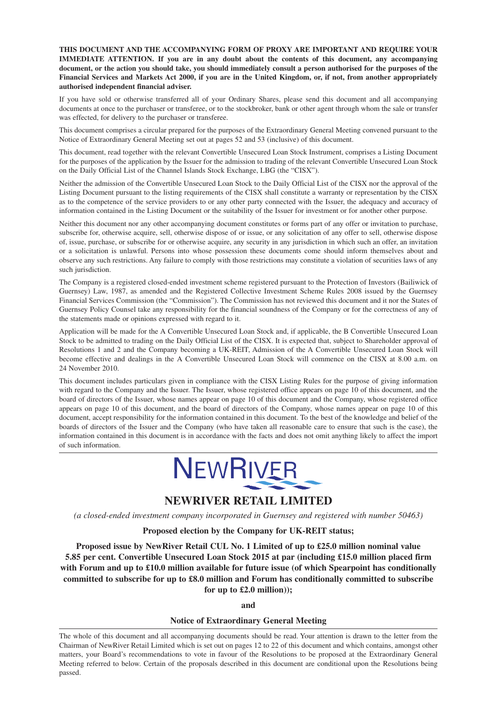**THIS DOCUMENT AND THE ACCOMPANYING FORM OF PROXY ARE IMPORTANT AND REQUIRE YOUR IMMEDIATE ATTENTION. If you are in any doubt about the contents of this document, any accompanying** document, or the action you should take, you should immediately consult a person authorised for the purposes of the Financial Services and Markets Act 2000, if you are in the United Kingdom, or, if not, from another appropriately **authorised independent financial adviser.**

If you have sold or otherwise transferred all of your Ordinary Shares, please send this document and all accompanying documents at once to the purchaser or transferee, or to the stockbroker, bank or other agent through whom the sale or transfer was effected, for delivery to the purchaser or transferee.

This document comprises a circular prepared for the purposes of the Extraordinary General Meeting convened pursuant to the Notice of Extraordinary General Meeting set out at pages 52 and 53 (inclusive) of this document.

This document, read together with the relevant Convertible Unsecured Loan Stock Instrument, comprises a Listing Document for the purposes of the application by the Issuer for the admission to trading of the relevant Convertible Unsecured Loan Stock on the Daily Official List of the Channel Islands Stock Exchange, LBG (the "CISX").

Neither the admission of the Convertible Unsecured Loan Stock to the Daily Official List of the CISX nor the approval of the Listing Document pursuant to the listing requirements of the CISX shall constitute a warranty or representation by the CISX as to the competence of the service providers to or any other party connected with the Issuer, the adequacy and accuracy of information contained in the Listing Document or the suitability of the Issuer for investment or for another other purpose.

Neither this document nor any other accompanying document constitutes or forms part of any offer or invitation to purchase, subscribe for, otherwise acquire, sell, otherwise dispose of or issue, or any solicitation of any offer to sell, otherwise dispose of, issue, purchase, or subscribe for or otherwise acquire, any security in any jurisdiction in which such an offer, an invitation or a solicitation is unlawful. Persons into whose possession these documents come should inform themselves about and observe any such restrictions. Any failure to comply with those restrictions may constitute a violation of securities laws of any such jurisdiction.

The Company is a registered closed-ended investment scheme registered pursuant to the Protection of Investors (Bailiwick of Guernsey) Law, 1987, as amended and the Registered Collective Investment Scheme Rules 2008 issued by the Guernsey Financial Services Commission (the "Commission"). The Commission has not reviewed this document and it nor the States of Guernsey Policy Counsel take any responsibility for the financial soundness of the Company or for the correctness of any of the statements made or opinions expressed with regard to it.

Application will be made for the A Convertible Unsecured Loan Stock and, if applicable, the B Convertible Unsecured Loan Stock to be admitted to trading on the Daily Official List of the CISX. It is expected that, subject to Shareholder approval of Resolutions 1 and 2 and the Company becoming a UK-REIT, Admission of the A Convertible Unsecured Loan Stock will become effective and dealings in the A Convertible Unsecured Loan Stock will commence on the CISX at 8.00 a.m. on 24 November 2010.

This document includes particulars given in compliance with the CISX Listing Rules for the purpose of giving information with regard to the Company and the Issuer. The Issuer, whose registered office appears on page 10 of this document, and the board of directors of the Issuer, whose names appear on page 10 of this document and the Company, whose registered office appears on page 10 of this document, and the board of directors of the Company, whose names appear on page 10 of this document, accept responsibility for the information contained in this document. To the best of the knowledge and belief of the boards of directors of the Issuer and the Company (who have taken all reasonable care to ensure that such is the case), the information contained in this document is in accordance with the facts and does not omit anything likely to affect the import of such information.



## **NEWRIVER RETAIL LIMITED**

*(a closed-ended investment company incorporated in Guernsey and registered with number 50463)*

## **Proposed election by the Company for UK-REIT status;**

**Proposed issue by NewRiver Retail CUL No. 1 Limited of up to £25.0 million nominal value 5.85 per cent. Convertible Unsecured Loan Stock 2015 at par (including £15.0 million placed firm with Forum and up to £10.0 million available for future issue (of which Spearpoint has conditionally committed to subscribe for up to £8.0 million and Forum has conditionally committed to subscribe for up to £2.0 million));**

**and**

#### **Notice of Extraordinary General Meeting**

The whole of this document and all accompanying documents should be read. Your attention is drawn to the letter from the Chairman of NewRiver Retail Limited which is set out on pages 12 to 22 of this document and which contains, amongst other matters, your Board's recommendations to vote in favour of the Resolutions to be proposed at the Extraordinary General Meeting referred to below. Certain of the proposals described in this document are conditional upon the Resolutions being passed.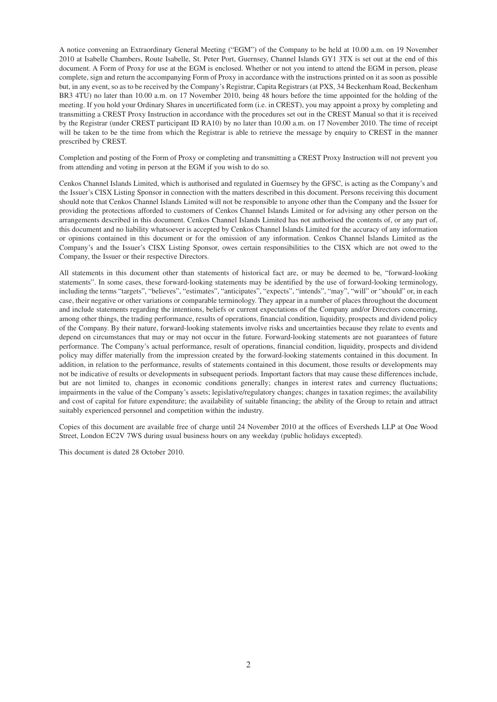A notice convening an Extraordinary General Meeting ("EGM") of the Company to be held at 10.00 a.m. on 19 November 2010 at Isabelle Chambers, Route Isabelle, St. Peter Port, Guernsey, Channel Islands GY1 3TX is set out at the end of this document. A Form of Proxy for use at the EGM is enclosed. Whether or not you intend to attend the EGM in person, please complete, sign and return the accompanying Form of Proxy in accordance with the instructions printed on it as soon as possible but, in any event, so as to be received by the Company's Registrar, Capita Registrars (at PXS, 34 Beckenham Road, Beckenham BR3 4TU) no later than 10.00 a.m. on 17 November 2010, being 48 hours before the time appointed for the holding of the meeting. If you hold your Ordinary Shares in uncertificated form (i.e. in CREST), you may appoint a proxy by completing and transmitting a CREST Proxy Instruction in accordance with the procedures set out in the CREST Manual so that it is received by the Registrar (under CREST participant ID RA10) by no later than 10.00 a.m. on 17 November 2010. The time of receipt will be taken to be the time from which the Registrar is able to retrieve the message by enquiry to CREST in the manner prescribed by CREST.

Completion and posting of the Form of Proxy or completing and transmitting a CREST Proxy Instruction will not prevent you from attending and voting in person at the EGM if you wish to do so.

Cenkos Channel Islands Limited, which is authorised and regulated in Guernsey by the GFSC, is acting as the Company's and the Issuer's CISX Listing Sponsor in connection with the matters described in this document. Persons receiving this document should note that Cenkos Channel Islands Limited will not be responsible to anyone other than the Company and the Issuer for providing the protections afforded to customers of Cenkos Channel Islands Limited or for advising any other person on the arrangements described in this document. Cenkos Channel Islands Limited has not authorised the contents of, or any part of, this document and no liability whatsoever is accepted by Cenkos Channel Islands Limited for the accuracy of any information or opinions contained in this document or for the omission of any information. Cenkos Channel Islands Limited as the Company's and the Issuer's CISX Listing Sponsor, owes certain responsibilities to the CISX which are not owed to the Company, the Issuer or their respective Directors.

All statements in this document other than statements of historical fact are, or may be deemed to be, "forward-looking statements". In some cases, these forward-looking statements may be identified by the use of forward-looking terminology, including the terms "targets", "believes", "estimates", "anticipates", "expects", "intends", "may", "will" or "should" or, in each case, their negative or other variations or comparable terminology. They appear in a number of places throughout the document and include statements regarding the intentions, beliefs or current expectations of the Company and/or Directors concerning, among other things, the trading performance, results of operations, financial condition, liquidity, prospects and dividend policy of the Company. By their nature, forward-looking statements involve risks and uncertainties because they relate to events and depend on circumstances that may or may not occur in the future. Forward-looking statements are not guarantees of future performance. The Company's actual performance, result of operations, financial condition, liquidity, prospects and dividend policy may differ materially from the impression created by the forward-looking statements contained in this document. In addition, in relation to the performance, results of statements contained in this document, those results or developments may not be indicative of results or developments in subsequent periods. Important factors that may cause these differences include, but are not limited to, changes in economic conditions generally; changes in interest rates and currency fluctuations; impairments in the value of the Company's assets; legislative/regulatory changes; changes in taxation regimes; the availability and cost of capital for future expenditure; the availability of suitable financing; the ability of the Group to retain and attract suitably experienced personnel and competition within the industry.

Copies of this document are available free of charge until 24 November 2010 at the offices of Eversheds LLP at One Wood Street, London EC2V 7WS during usual business hours on any weekday (public holidays excepted).

This document is dated 28 October 2010.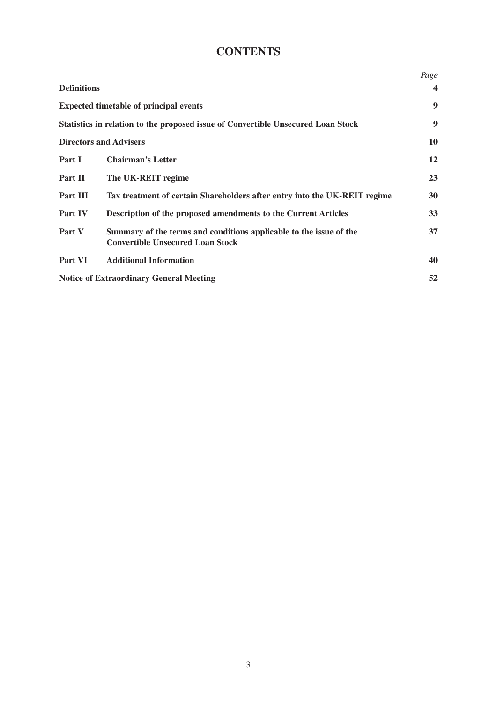# **CONTENTS**

|                    |                                                                                                               | Page                    |
|--------------------|---------------------------------------------------------------------------------------------------------------|-------------------------|
| <b>Definitions</b> |                                                                                                               | $\overline{\mathbf{4}}$ |
|                    | <b>Expected timetable of principal events</b>                                                                 | 9                       |
|                    | Statistics in relation to the proposed issue of Convertible Unsecured Loan Stock                              | 9                       |
|                    | <b>Directors and Advisers</b>                                                                                 | 10                      |
| Part I             | <b>Chairman's Letter</b>                                                                                      | 12                      |
| Part II            | The UK-REIT regime                                                                                            | 23                      |
| Part III           | Tax treatment of certain Shareholders after entry into the UK-REIT regime                                     | 30                      |
| Part IV            | Description of the proposed amendments to the Current Articles                                                | 33                      |
| Part V             | Summary of the terms and conditions applicable to the issue of the<br><b>Convertible Unsecured Loan Stock</b> | 37                      |
| Part VI            | <b>Additional Information</b>                                                                                 | 40                      |
|                    | <b>Notice of Extraordinary General Meeting</b>                                                                | 52                      |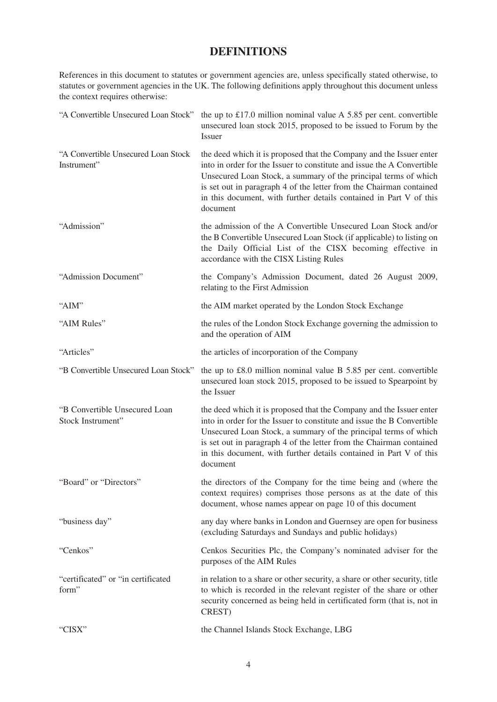## **DEFINITIONS**

References in this document to statutes or government agencies are, unless specifically stated otherwise, to statutes or government agencies in the UK. The following definitions apply throughout this document unless the context requires otherwise:

| "A Convertible Unsecured Loan Stock"               | the up to £17.0 million nominal value $A$ 5.85 per cent. convertible<br>unsecured loan stock 2015, proposed to be issued to Forum by the<br>Issuer                                                                                                                                                                                                                        |
|----------------------------------------------------|---------------------------------------------------------------------------------------------------------------------------------------------------------------------------------------------------------------------------------------------------------------------------------------------------------------------------------------------------------------------------|
| "A Convertible Unsecured Loan Stock<br>Instrument" | the deed which it is proposed that the Company and the Issuer enter<br>into in order for the Issuer to constitute and issue the A Convertible<br>Unsecured Loan Stock, a summary of the principal terms of which<br>is set out in paragraph 4 of the letter from the Chairman contained<br>in this document, with further details contained in Part V of this<br>document |
| "Admission"                                        | the admission of the A Convertible Unsecured Loan Stock and/or<br>the B Convertible Unsecured Loan Stock (if applicable) to listing on<br>the Daily Official List of the CISX becoming effective in<br>accordance with the CISX Listing Rules                                                                                                                             |
| "Admission Document"                               | the Company's Admission Document, dated 26 August 2009,<br>relating to the First Admission                                                                                                                                                                                                                                                                                |
| "AIM"                                              | the AIM market operated by the London Stock Exchange                                                                                                                                                                                                                                                                                                                      |
| "AIM Rules"                                        | the rules of the London Stock Exchange governing the admission to<br>and the operation of AIM                                                                                                                                                                                                                                                                             |
| "Articles"                                         | the articles of incorporation of the Company                                                                                                                                                                                                                                                                                                                              |
| "B Convertible Unsecured Loan Stock"               | the up to £8.0 million nominal value B 5.85 per cent. convertible<br>unsecured loan stock 2015, proposed to be issued to Spearpoint by<br>the Issuer                                                                                                                                                                                                                      |
| "B Convertible Unsecured Loan<br>Stock Instrument" | the deed which it is proposed that the Company and the Issuer enter<br>into in order for the Issuer to constitute and issue the B Convertible<br>Unsecured Loan Stock, a summary of the principal terms of which<br>is set out in paragraph 4 of the letter from the Chairman contained<br>in this document, with further details contained in Part V of this<br>document |
| "Board" or "Directors"                             | the directors of the Company for the time being and (where the<br>context requires) comprises those persons as at the date of this<br>document, whose names appear on page 10 of this document                                                                                                                                                                            |
| "business day"                                     | any day where banks in London and Guernsey are open for business<br>(excluding Saturdays and Sundays and public holidays)                                                                                                                                                                                                                                                 |
| "Cenkos"                                           | Cenkos Securities Plc, the Company's nominated adviser for the<br>purposes of the AIM Rules                                                                                                                                                                                                                                                                               |
| "certificated" or "in certificated<br>form"        | in relation to a share or other security, a share or other security, title<br>to which is recorded in the relevant register of the share or other<br>security concerned as being held in certificated form (that is, not in<br>CREST)                                                                                                                                     |
| "CISX"                                             | the Channel Islands Stock Exchange, LBG                                                                                                                                                                                                                                                                                                                                   |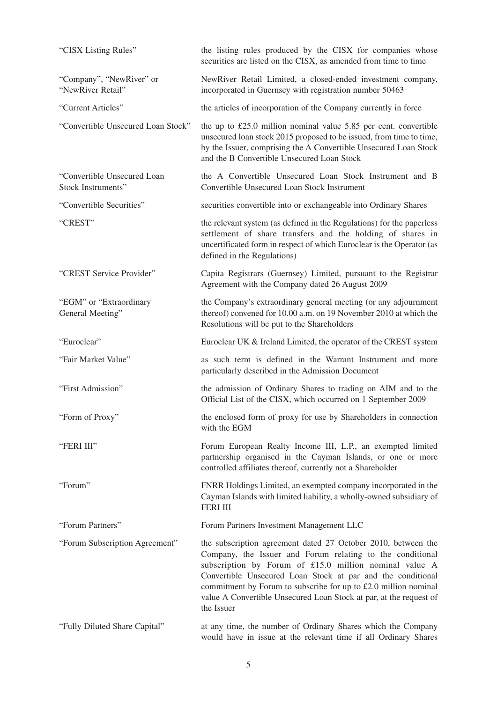| "CISX Listing Rules"                              | the listing rules produced by the CISX for companies whose<br>securities are listed on the CISX, as amended from time to time                                                                                                                                                                                                                                                                              |  |
|---------------------------------------------------|------------------------------------------------------------------------------------------------------------------------------------------------------------------------------------------------------------------------------------------------------------------------------------------------------------------------------------------------------------------------------------------------------------|--|
| "Company", "NewRiver" or<br>"NewRiver Retail"     | NewRiver Retail Limited, a closed-ended investment company,<br>incorporated in Guernsey with registration number 50463                                                                                                                                                                                                                                                                                     |  |
| "Current Articles"                                | the articles of incorporation of the Company currently in force                                                                                                                                                                                                                                                                                                                                            |  |
| "Convertible Unsecured Loan Stock"                | the up to $£25.0$ million nominal value $5.85$ per cent. convertible<br>unsecured loan stock 2015 proposed to be issued, from time to time,<br>by the Issuer, comprising the A Convertible Unsecured Loan Stock<br>and the B Convertible Unsecured Loan Stock                                                                                                                                              |  |
| "Convertible Unsecured Loan<br>Stock Instruments" | the A Convertible Unsecured Loan Stock Instrument and B<br>Convertible Unsecured Loan Stock Instrument                                                                                                                                                                                                                                                                                                     |  |
| "Convertible Securities"                          | securities convertible into or exchangeable into Ordinary Shares                                                                                                                                                                                                                                                                                                                                           |  |
| "CREST"                                           | the relevant system (as defined in the Regulations) for the paperless<br>settlement of share transfers and the holding of shares in<br>uncertificated form in respect of which Euroclear is the Operator (as<br>defined in the Regulations)                                                                                                                                                                |  |
| "CREST Service Provider"                          | Capita Registrars (Guernsey) Limited, pursuant to the Registrar<br>Agreement with the Company dated 26 August 2009                                                                                                                                                                                                                                                                                         |  |
| "EGM" or "Extraordinary<br>General Meeting"       | the Company's extraordinary general meeting (or any adjournment<br>thereof) convened for 10.00 a.m. on 19 November 2010 at which the<br>Resolutions will be put to the Shareholders                                                                                                                                                                                                                        |  |
| "Euroclear"                                       | Euroclear UK & Ireland Limited, the operator of the CREST system                                                                                                                                                                                                                                                                                                                                           |  |
| "Fair Market Value"                               | as such term is defined in the Warrant Instrument and more<br>particularly described in the Admission Document                                                                                                                                                                                                                                                                                             |  |
| "First Admission"                                 | the admission of Ordinary Shares to trading on AIM and to the<br>Official List of the CISX, which occurred on 1 September 2009                                                                                                                                                                                                                                                                             |  |
| "Form of Proxy"                                   | the enclosed form of proxy for use by Shareholders in connection<br>with the EGM                                                                                                                                                                                                                                                                                                                           |  |
| "FERI III"                                        | Forum European Realty Income III, L.P., an exempted limited<br>partnership organised in the Cayman Islands, or one or more<br>controlled affiliates thereof, currently not a Shareholder                                                                                                                                                                                                                   |  |
| "Forum"                                           | FNRR Holdings Limited, an exempted company incorporated in the<br>Cayman Islands with limited liability, a wholly-owned subsidiary of<br><b>FERI III</b>                                                                                                                                                                                                                                                   |  |
| "Forum Partners"                                  | Forum Partners Investment Management LLC                                                                                                                                                                                                                                                                                                                                                                   |  |
| "Forum Subscription Agreement"                    | the subscription agreement dated 27 October 2010, between the<br>Company, the Issuer and Forum relating to the conditional<br>subscription by Forum of £15.0 million nominal value A<br>Convertible Unsecured Loan Stock at par and the conditional<br>commitment by Forum to subscribe for up to £2.0 million nominal<br>value A Convertible Unsecured Loan Stock at par, at the request of<br>the Issuer |  |
| "Fully Diluted Share Capital"                     | at any time, the number of Ordinary Shares which the Company<br>would have in issue at the relevant time if all Ordinary Shares                                                                                                                                                                                                                                                                            |  |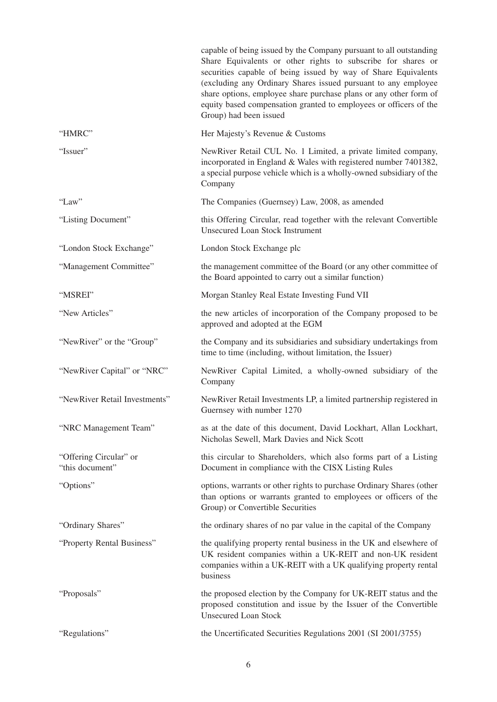|                                           | capable of being issued by the Company pursuant to all outstanding<br>Share Equivalents or other rights to subscribe for shares or<br>securities capable of being issued by way of Share Equivalents<br>(excluding any Ordinary Shares issued pursuant to any employee<br>share options, employee share purchase plans or any other form of<br>equity based compensation granted to employees or officers of the<br>Group) had been issued |
|-------------------------------------------|--------------------------------------------------------------------------------------------------------------------------------------------------------------------------------------------------------------------------------------------------------------------------------------------------------------------------------------------------------------------------------------------------------------------------------------------|
| "HMRC"                                    | Her Majesty's Revenue & Customs                                                                                                                                                                                                                                                                                                                                                                                                            |
| "Issuer"                                  | NewRiver Retail CUL No. 1 Limited, a private limited company,<br>incorporated in England & Wales with registered number 7401382,<br>a special purpose vehicle which is a wholly-owned subsidiary of the<br>Company                                                                                                                                                                                                                         |
| "Law"                                     | The Companies (Guernsey) Law, 2008, as amended                                                                                                                                                                                                                                                                                                                                                                                             |
| "Listing Document"                        | this Offering Circular, read together with the relevant Convertible<br><b>Unsecured Loan Stock Instrument</b>                                                                                                                                                                                                                                                                                                                              |
| "London Stock Exchange"                   | London Stock Exchange plc                                                                                                                                                                                                                                                                                                                                                                                                                  |
| "Management Committee"                    | the management committee of the Board (or any other committee of<br>the Board appointed to carry out a similar function)                                                                                                                                                                                                                                                                                                                   |
| "MSREI"                                   | Morgan Stanley Real Estate Investing Fund VII                                                                                                                                                                                                                                                                                                                                                                                              |
| "New Articles"                            | the new articles of incorporation of the Company proposed to be<br>approved and adopted at the EGM                                                                                                                                                                                                                                                                                                                                         |
| "NewRiver" or the "Group"                 | the Company and its subsidiaries and subsidiary undertakings from<br>time to time (including, without limitation, the Issuer)                                                                                                                                                                                                                                                                                                              |
| "NewRiver Capital" or "NRC"               | NewRiver Capital Limited, a wholly-owned subsidiary of the<br>Company                                                                                                                                                                                                                                                                                                                                                                      |
| "NewRiver Retail Investments"             | NewRiver Retail Investments LP, a limited partnership registered in<br>Guernsey with number 1270                                                                                                                                                                                                                                                                                                                                           |
| "NRC Management Team"                     | as at the date of this document, David Lockhart, Allan Lockhart,<br>Nicholas Sewell, Mark Davies and Nick Scott                                                                                                                                                                                                                                                                                                                            |
| "Offering Circular" or<br>"this document" | this circular to Shareholders, which also forms part of a Listing<br>Document in compliance with the CISX Listing Rules                                                                                                                                                                                                                                                                                                                    |
| "Options"                                 | options, warrants or other rights to purchase Ordinary Shares (other<br>than options or warrants granted to employees or officers of the<br>Group) or Convertible Securities                                                                                                                                                                                                                                                               |
| "Ordinary Shares"                         | the ordinary shares of no par value in the capital of the Company                                                                                                                                                                                                                                                                                                                                                                          |
| "Property Rental Business"                | the qualifying property rental business in the UK and elsewhere of<br>UK resident companies within a UK-REIT and non-UK resident<br>companies within a UK-REIT with a UK qualifying property rental<br>business                                                                                                                                                                                                                            |
| "Proposals"                               | the proposed election by the Company for UK-REIT status and the<br>proposed constitution and issue by the Issuer of the Convertible<br><b>Unsecured Loan Stock</b>                                                                                                                                                                                                                                                                         |
| "Regulations"                             | the Uncertificated Securities Regulations 2001 (SI 2001/3755)                                                                                                                                                                                                                                                                                                                                                                              |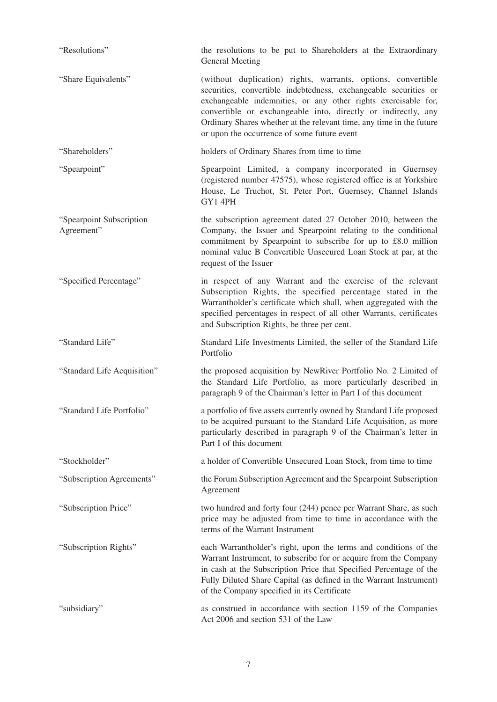| "Resolutions"                          | the resolutions to be put to Shareholders at the Extraordinary<br>General Meeting                                                                                                                                                                                                                                                                                                          |
|----------------------------------------|--------------------------------------------------------------------------------------------------------------------------------------------------------------------------------------------------------------------------------------------------------------------------------------------------------------------------------------------------------------------------------------------|
| "Share Equivalents"                    | (without duplication) rights, warrants, options, convertible<br>securities, convertible indebtedness, exchangeable securities or<br>exchangeable indemnities, or any other rights exercisable for,<br>convertible or exchangeable into, directly or indirectly, any<br>Ordinary Shares whether at the relevant time, any time in the future<br>or upon the occurrence of some future event |
| "Shareholders"                         | holders of Ordinary Shares from time to time                                                                                                                                                                                                                                                                                                                                               |
| "Spearpoint"                           | Spearpoint Limited, a company incorporated in Guernsey<br>(registered number 47575), whose registered office is at Yorkshire<br>House, Le Truchot, St. Peter Port, Guernsey, Channel Islands<br>GY1 4PH                                                                                                                                                                                    |
| "Spearpoint Subscription<br>Agreement" | the subscription agreement dated 27 October 2010, between the<br>Company, the Issuer and Spearpoint relating to the conditional<br>commitment by Spearpoint to subscribe for up to £8.0 million<br>nominal value B Convertible Unsecured Loan Stock at par, at the<br>request of the Issuer                                                                                                |
| "Specified Percentage"                 | in respect of any Warrant and the exercise of the relevant<br>Subscription Rights, the specified percentage stated in the<br>Warrantholder's certificate which shall, when aggregated with the<br>specified percentages in respect of all other Warrants, certificates<br>and Subscription Rights, be three per cent.                                                                      |
| "Standard Life"                        | Standard Life Investments Limited, the seller of the Standard Life<br>Portfolio                                                                                                                                                                                                                                                                                                            |
| "Standard Life Acquisition"            | the proposed acquisition by NewRiver Portfolio No. 2 Limited of<br>the Standard Life Portfolio, as more particularly described in<br>paragraph 9 of the Chairman's letter in Part I of this document                                                                                                                                                                                       |
| "Standard Life Portfolio"              | a portfolio of five assets currently owned by Standard Life proposed<br>to be acquired pursuant to the Standard Life Acquisition, as more<br>particularly described in paragraph 9 of the Chairman's letter in<br>Part I of this document                                                                                                                                                  |
| "Stockholder"                          | a holder of Convertible Unsecured Loan Stock, from time to time                                                                                                                                                                                                                                                                                                                            |
| "Subscription Agreements"              | the Forum Subscription Agreement and the Spearpoint Subscription<br>Agreement                                                                                                                                                                                                                                                                                                              |
| "Subscription Price"                   | two hundred and forty four (244) pence per Warrant Share, as such<br>price may be adjusted from time to time in accordance with the<br>terms of the Warrant Instrument                                                                                                                                                                                                                     |
| "Subscription Rights"                  | each Warrantholder's right, upon the terms and conditions of the<br>Warrant Instrument, to subscribe for or acquire from the Company<br>in cash at the Subscription Price that Specified Percentage of the<br>Fully Diluted Share Capital (as defined in the Warrant Instrument)<br>of the Company specified in its Certificate                                                            |
| "subsidiary"                           | as construed in accordance with section 1159 of the Companies<br>Act 2006 and section 531 of the Law                                                                                                                                                                                                                                                                                       |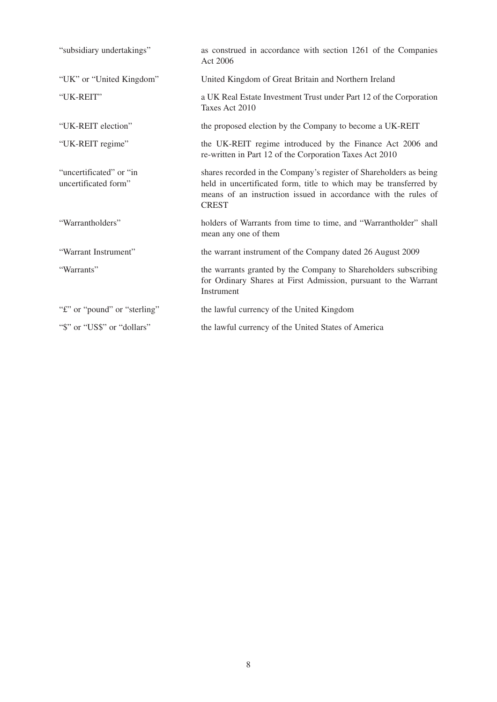| "subsidiary undertakings"                        | as construed in accordance with section 1261 of the Companies<br>Act 2006                                                                                                                                                 |
|--------------------------------------------------|---------------------------------------------------------------------------------------------------------------------------------------------------------------------------------------------------------------------------|
| "UK" or "United Kingdom"                         | United Kingdom of Great Britain and Northern Ireland                                                                                                                                                                      |
| "UK-REIT"                                        | a UK Real Estate Investment Trust under Part 12 of the Corporation<br>Taxes Act 2010                                                                                                                                      |
| "UK-REIT election"                               | the proposed election by the Company to become a UK-REIT                                                                                                                                                                  |
| "UK-REIT regime"                                 | the UK-REIT regime introduced by the Finance Act 2006 and<br>re-written in Part 12 of the Corporation Taxes Act 2010                                                                                                      |
| "uncertificated" or "in"<br>uncertificated form" | shares recorded in the Company's register of Shareholders as being<br>held in uncertificated form, title to which may be transferred by<br>means of an instruction issued in accordance with the rules of<br><b>CREST</b> |
| "Warrantholders"                                 | holders of Warrants from time to time, and "Warrantholder" shall<br>mean any one of them                                                                                                                                  |
| "Warrant Instrument"                             | the warrant instrument of the Company dated 26 August 2009                                                                                                                                                                |
| "Warrants"                                       | the warrants granted by the Company to Shareholders subscribing<br>for Ordinary Shares at First Admission, pursuant to the Warrant<br>Instrument                                                                          |
| "f" or "pound" or "sterling"                     | the lawful currency of the United Kingdom                                                                                                                                                                                 |
| "\$" or "US\$" or "dollars"                      | the lawful currency of the United States of America                                                                                                                                                                       |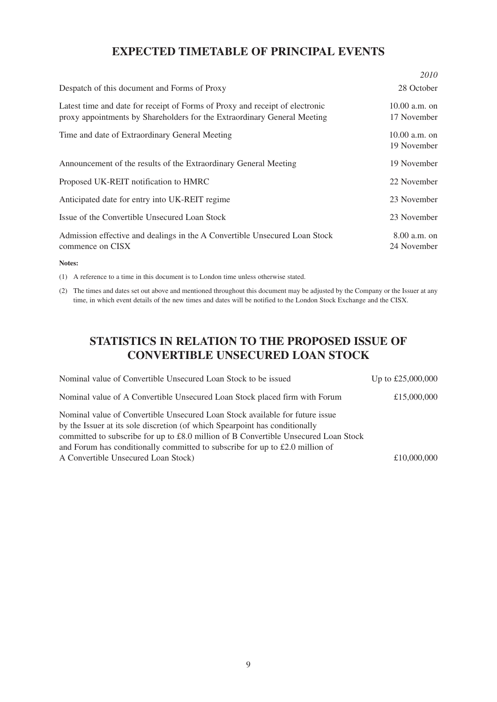## **EXPECTED TIMETABLE OF PRINCIPAL EVENTS**

|                                                                                                                                                          | 2010                           |
|----------------------------------------------------------------------------------------------------------------------------------------------------------|--------------------------------|
| Despatch of this document and Forms of Proxy                                                                                                             | 28 October                     |
| Latest time and date for receipt of Forms of Proxy and receipt of electronic<br>proxy appointments by Shareholders for the Extraordinary General Meeting | $10.00$ a.m. on<br>17 November |
| Time and date of Extraordinary General Meeting                                                                                                           | $10.00 a.m.$ on<br>19 November |
| Announcement of the results of the Extraordinary General Meeting                                                                                         | 19 November                    |
| Proposed UK-REIT notification to HMRC                                                                                                                    | 22 November                    |
| Anticipated date for entry into UK-REIT regime                                                                                                           | 23 November                    |
| Issue of the Convertible Unsecured Loan Stock                                                                                                            | 23 November                    |
| Admission effective and dealings in the A Convertible Unsecured Loan Stock<br>commence on CISX                                                           | $8.00$ a.m. on<br>24 November  |
| Notes:                                                                                                                                                   |                                |

(1) A reference to a time in this document is to London time unless otherwise stated.

(2) The times and dates set out above and mentioned throughout this document may be adjusted by the Company or the Issuer at any time, in which event details of the new times and dates will be notified to the London Stock Exchange and the CISX.

# **STATISTICS IN RELATION TO THE PROPOSED ISSUE OF CONVERTIBLE UNSECURED LOAN STOCK**

| Nominal value of Convertible Unsecured Loan Stock to be issued                                                                                                                                                                                                                                                                                                            | Up to £25,000,000 |
|---------------------------------------------------------------------------------------------------------------------------------------------------------------------------------------------------------------------------------------------------------------------------------------------------------------------------------------------------------------------------|-------------------|
| Nominal value of A Convertible Unsecured Loan Stock placed firm with Forum                                                                                                                                                                                                                                                                                                | £15,000,000       |
| Nominal value of Convertible Unsecured Loan Stock available for future issue<br>by the Issuer at its sole discretion (of which Spearpoint has conditionally<br>committed to subscribe for up to £8.0 million of B Convertible Unsecured Loan Stock<br>and Forum has conditionally committed to subscribe for up to £2.0 million of<br>A Convertible Unsecured Loan Stock) | £10,000,000       |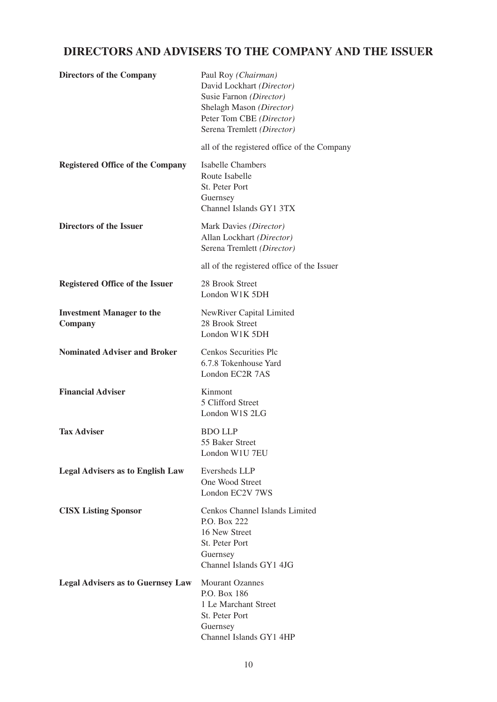# **DIRECTORS AND ADVISERS TO THE COMPANY AND THE ISSUER**

| <b>Directors of the Company</b>             | Paul Roy (Chairman)<br>David Lockhart (Director)<br>Susie Farnon (Director)<br>Shelagh Mason (Director)<br>Peter Tom CBE (Director)<br>Serena Tremlett (Director) |
|---------------------------------------------|-------------------------------------------------------------------------------------------------------------------------------------------------------------------|
|                                             | all of the registered office of the Company                                                                                                                       |
| <b>Registered Office of the Company</b>     | <b>Isabelle Chambers</b><br>Route Isabelle<br>St. Peter Port<br>Guernsey<br>Channel Islands GY1 3TX                                                               |
| Directors of the Issuer                     | Mark Davies (Director)<br>Allan Lockhart (Director)<br>Serena Tremlett (Director)                                                                                 |
|                                             | all of the registered office of the Issuer                                                                                                                        |
| <b>Registered Office of the Issuer</b>      | 28 Brook Street<br>London W1K 5DH                                                                                                                                 |
| <b>Investment Manager to the</b><br>Company | NewRiver Capital Limited<br>28 Brook Street<br>London W1K 5DH                                                                                                     |
| <b>Nominated Adviser and Broker</b>         | Cenkos Securities Plc<br>6.7.8 Tokenhouse Yard<br>London EC2R 7AS                                                                                                 |
| <b>Financial Adviser</b>                    | Kinmont<br>5 Clifford Street<br>London W1S 2LG                                                                                                                    |
| <b>Tax Adviser</b>                          | <b>BDO LLP</b><br>55 Baker Street<br>London W1U 7EU                                                                                                               |
| <b>Legal Advisers as to English Law</b>     | Eversheds LLP<br>One Wood Street<br>London EC2V 7WS                                                                                                               |
| <b>CISX Listing Sponsor</b>                 | Cenkos Channel Islands Limited<br>P.O. Box 222<br>16 New Street<br>St. Peter Port<br>Guernsey<br>Channel Islands GY1 4JG                                          |
| <b>Legal Advisers as to Guernsey Law</b>    | <b>Mourant Ozannes</b><br>P.O. Box 186<br>1 Le Marchant Street<br>St. Peter Port<br>Guernsey<br>Channel Islands GY1 4HP                                           |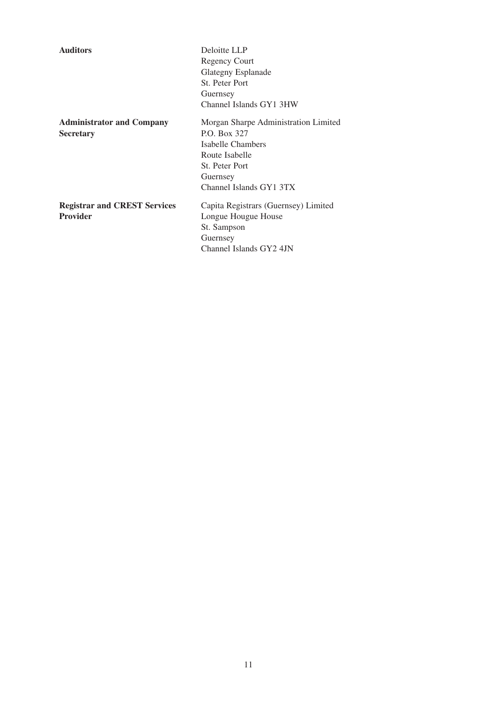| <b>Auditors</b>                     | Deloitte LLP                         |
|-------------------------------------|--------------------------------------|
|                                     | <b>Regency Court</b>                 |
|                                     | Glategny Esplanade                   |
|                                     | St. Peter Port                       |
|                                     | Guernsey                             |
|                                     | Channel Islands GY1 3HW              |
| <b>Administrator and Company</b>    | Morgan Sharpe Administration Limited |
| <b>Secretary</b>                    | P.O. Box 327                         |
|                                     | Isabelle Chambers                    |
|                                     | Route Isabelle                       |
|                                     | St. Peter Port                       |
|                                     | Guernsey                             |
|                                     | Channel Islands GY1 3TX              |
| <b>Registrar and CREST Services</b> | Capita Registrars (Guernsey) Limited |
| <b>Provider</b>                     | Longue Hougue House                  |
|                                     | St. Sampson                          |
|                                     | Guernsey                             |
|                                     | Channel Islands GY2 4JN              |
|                                     |                                      |
|                                     |                                      |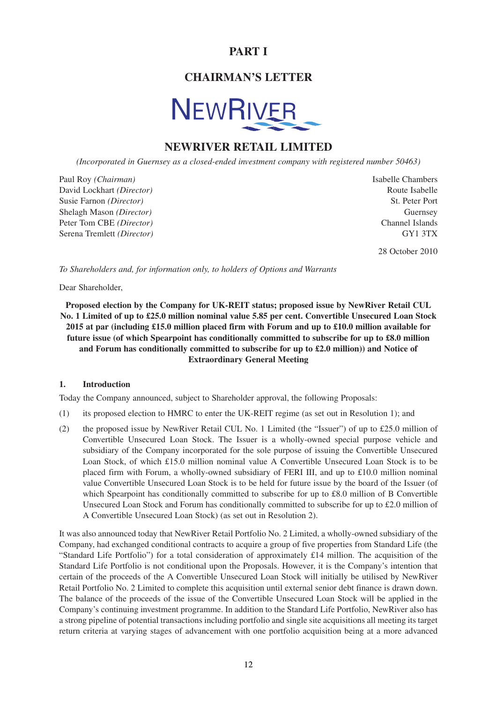## **PART I**

## **CHAIRMAN'S LETTER**



## **NEWRIVER RETAIL LIMITED**

*(Incorporated in Guernsey as a closed-ended investment company with registered number 50463)*

Paul Roy *(Chairman)* Isabelle Chambers David Lockhart *(Director)* **Route Isabelle Route Isabelle** Susie Farnon *(Director)* 3t. Peter Port Shelagh Mason *(Director)* **Guernsey Guernsey** Peter Tom CBE *(Director)* Channel Islands Serena Tremlett *(Director)* GY1 3TX

28 October 2010

*To Shareholders and, for information only, to holders of Options and Warrants*

Dear Shareholder,

**Proposed election by the Company for UK-REIT status; proposed issue by NewRiver Retail CUL No. 1 Limited of up to £25.0 million nominal value 5.85 per cent. Convertible Unsecured Loan Stock 2015 at par (including £15.0 million placed firm with Forum and up to £10.0 million available for future issue (of which Spearpoint has conditionally committed to subscribe for up to £8.0 million and Forum has conditionally committed to subscribe for up to £2.0 million)) and Notice of Extraordinary General Meeting**

#### **1. Introduction**

Today the Company announced, subject to Shareholder approval, the following Proposals:

- (1) its proposed election to HMRC to enter the UK-REIT regime (as set out in Resolution 1); and
- (2) the proposed issue by NewRiver Retail CUL No. 1 Limited (the "Issuer") of up to £25.0 million of Convertible Unsecured Loan Stock. The Issuer is a wholly-owned special purpose vehicle and subsidiary of the Company incorporated for the sole purpose of issuing the Convertible Unsecured Loan Stock, of which £15.0 million nominal value A Convertible Unsecured Loan Stock is to be placed firm with Forum, a wholly-owned subsidiary of FERI III, and up to £10.0 million nominal value Convertible Unsecured Loan Stock is to be held for future issue by the board of the Issuer (of which Spearpoint has conditionally committed to subscribe for up to £8.0 million of B Convertible Unsecured Loan Stock and Forum has conditionally committed to subscribe for up to £2.0 million of A Convertible Unsecured Loan Stock) (as set out in Resolution 2).

It was also announced today that NewRiver Retail Portfolio No. 2 Limited, a wholly-owned subsidiary of the Company, had exchanged conditional contracts to acquire a group of five properties from Standard Life (the "Standard Life Portfolio") for a total consideration of approximately £14 million. The acquisition of the Standard Life Portfolio is not conditional upon the Proposals. However, it is the Company's intention that certain of the proceeds of the A Convertible Unsecured Loan Stock will initially be utilised by NewRiver Retail Portfolio No. 2 Limited to complete this acquisition until external senior debt finance is drawn down. The balance of the proceeds of the issue of the Convertible Unsecured Loan Stock will be applied in the Company's continuing investment programme. In addition to the Standard Life Portfolio, NewRiver also has a strong pipeline of potential transactions including portfolio and single site acquisitions all meeting its target return criteria at varying stages of advancement with one portfolio acquisition being at a more advanced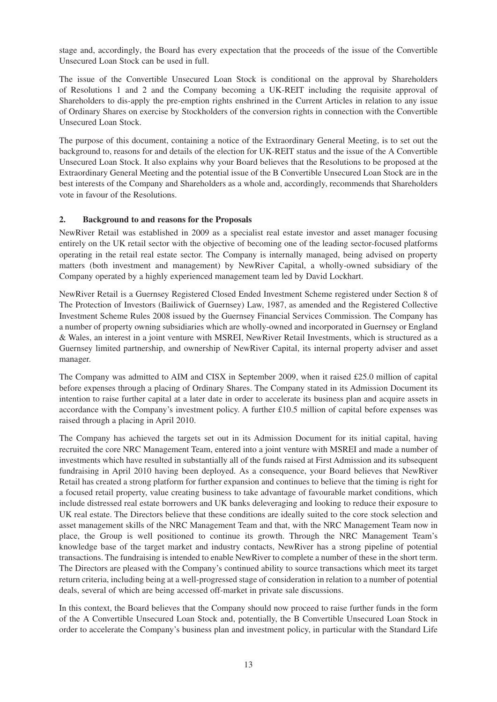stage and, accordingly, the Board has every expectation that the proceeds of the issue of the Convertible Unsecured Loan Stock can be used in full.

The issue of the Convertible Unsecured Loan Stock is conditional on the approval by Shareholders of Resolutions 1 and 2 and the Company becoming a UK-REIT including the requisite approval of Shareholders to dis-apply the pre-emption rights enshrined in the Current Articles in relation to any issue of Ordinary Shares on exercise by Stockholders of the conversion rights in connection with the Convertible Unsecured Loan Stock.

The purpose of this document, containing a notice of the Extraordinary General Meeting, is to set out the background to, reasons for and details of the election for UK-REIT status and the issue of the A Convertible Unsecured Loan Stock. It also explains why your Board believes that the Resolutions to be proposed at the Extraordinary General Meeting and the potential issue of the B Convertible Unsecured Loan Stock are in the best interests of the Company and Shareholders as a whole and, accordingly, recommends that Shareholders vote in favour of the Resolutions.

## **2. Background to and reasons for the Proposals**

NewRiver Retail was established in 2009 as a specialist real estate investor and asset manager focusing entirely on the UK retail sector with the objective of becoming one of the leading sector-focused platforms operating in the retail real estate sector. The Company is internally managed, being advised on property matters (both investment and management) by NewRiver Capital, a wholly-owned subsidiary of the Company operated by a highly experienced management team led by David Lockhart.

NewRiver Retail is a Guernsey Registered Closed Ended Investment Scheme registered under Section 8 of The Protection of Investors (Bailiwick of Guernsey) Law, 1987, as amended and the Registered Collective Investment Scheme Rules 2008 issued by the Guernsey Financial Services Commission. The Company has a number of property owning subsidiaries which are wholly-owned and incorporated in Guernsey or England & Wales, an interest in a joint venture with MSREI, NewRiver Retail Investments, which is structured as a Guernsey limited partnership, and ownership of NewRiver Capital, its internal property adviser and asset manager.

The Company was admitted to AIM and CISX in September 2009, when it raised £25.0 million of capital before expenses through a placing of Ordinary Shares. The Company stated in its Admission Document its intention to raise further capital at a later date in order to accelerate its business plan and acquire assets in accordance with the Company's investment policy. A further £10.5 million of capital before expenses was raised through a placing in April 2010.

The Company has achieved the targets set out in its Admission Document for its initial capital, having recruited the core NRC Management Team, entered into a joint venture with MSREI and made a number of investments which have resulted in substantially all of the funds raised at First Admission and its subsequent fundraising in April 2010 having been deployed. As a consequence, your Board believes that NewRiver Retail has created a strong platform for further expansion and continues to believe that the timing is right for a focused retail property, value creating business to take advantage of favourable market conditions, which include distressed real estate borrowers and UK banks deleveraging and looking to reduce their exposure to UK real estate. The Directors believe that these conditions are ideally suited to the core stock selection and asset management skills of the NRC Management Team and that, with the NRC Management Team now in place, the Group is well positioned to continue its growth. Through the NRC Management Team's knowledge base of the target market and industry contacts, NewRiver has a strong pipeline of potential transactions. The fundraising is intended to enable NewRiver to complete a number of these in the short term. The Directors are pleased with the Company's continued ability to source transactions which meet its target return criteria, including being at a well-progressed stage of consideration in relation to a number of potential deals, several of which are being accessed off-market in private sale discussions.

In this context, the Board believes that the Company should now proceed to raise further funds in the form of the A Convertible Unsecured Loan Stock and, potentially, the B Convertible Unsecured Loan Stock in order to accelerate the Company's business plan and investment policy, in particular with the Standard Life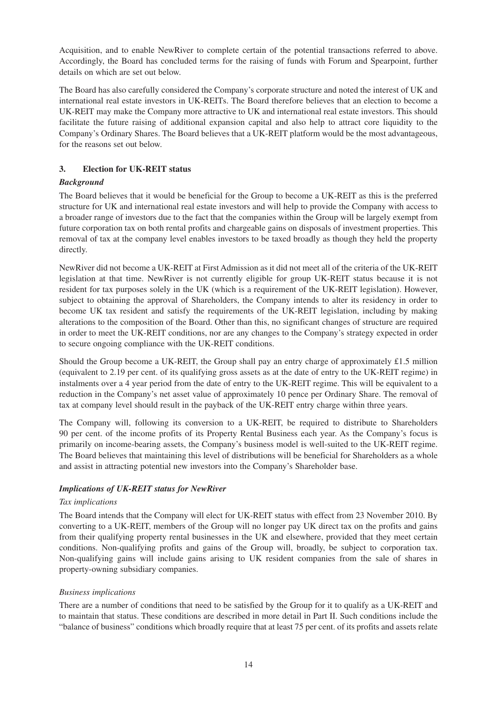Acquisition, and to enable NewRiver to complete certain of the potential transactions referred to above. Accordingly, the Board has concluded terms for the raising of funds with Forum and Spearpoint, further details on which are set out below.

The Board has also carefully considered the Company's corporate structure and noted the interest of UK and international real estate investors in UK-REITs. The Board therefore believes that an election to become a UK-REIT may make the Company more attractive to UK and international real estate investors. This should facilitate the future raising of additional expansion capital and also help to attract core liquidity to the Company's Ordinary Shares. The Board believes that a UK-REIT platform would be the most advantageous, for the reasons set out below.

## **3. Election for UK-REIT status**

## *Background*

The Board believes that it would be beneficial for the Group to become a UK-REIT as this is the preferred structure for UK and international real estate investors and will help to provide the Company with access to a broader range of investors due to the fact that the companies within the Group will be largely exempt from future corporation tax on both rental profits and chargeable gains on disposals of investment properties. This removal of tax at the company level enables investors to be taxed broadly as though they held the property directly.

NewRiver did not become a UK-REIT at First Admission as it did not meet all of the criteria of the UK-REIT legislation at that time. NewRiver is not currently eligible for group UK-REIT status because it is not resident for tax purposes solely in the UK (which is a requirement of the UK-REIT legislation). However, subject to obtaining the approval of Shareholders, the Company intends to alter its residency in order to become UK tax resident and satisfy the requirements of the UK-REIT legislation, including by making alterations to the composition of the Board. Other than this, no significant changes of structure are required in order to meet the UK-REIT conditions, nor are any changes to the Company's strategy expected in order to secure ongoing compliance with the UK-REIT conditions.

Should the Group become a UK-REIT, the Group shall pay an entry charge of approximately £1.5 million (equivalent to 2.19 per cent. of its qualifying gross assets as at the date of entry to the UK-REIT regime) in instalments over a 4 year period from the date of entry to the UK-REIT regime. This will be equivalent to a reduction in the Company's net asset value of approximately 10 pence per Ordinary Share. The removal of tax at company level should result in the payback of the UK-REIT entry charge within three years.

The Company will, following its conversion to a UK-REIT, be required to distribute to Shareholders 90 per cent. of the income profits of its Property Rental Business each year. As the Company's focus is primarily on income-bearing assets, the Company's business model is well-suited to the UK-REIT regime. The Board believes that maintaining this level of distributions will be beneficial for Shareholders as a whole and assist in attracting potential new investors into the Company's Shareholder base.

## *Implications of UK-REIT status for NewRiver*

## *Tax implications*

The Board intends that the Company will elect for UK-REIT status with effect from 23 November 2010. By converting to a UK-REIT, members of the Group will no longer pay UK direct tax on the profits and gains from their qualifying property rental businesses in the UK and elsewhere, provided that they meet certain conditions. Non-qualifying profits and gains of the Group will, broadly, be subject to corporation tax. Non-qualifying gains will include gains arising to UK resident companies from the sale of shares in property-owning subsidiary companies.

## *Business implications*

There are a number of conditions that need to be satisfied by the Group for it to qualify as a UK-REIT and to maintain that status. These conditions are described in more detail in Part II. Such conditions include the "balance of business" conditions which broadly require that at least 75 per cent. of its profits and assets relate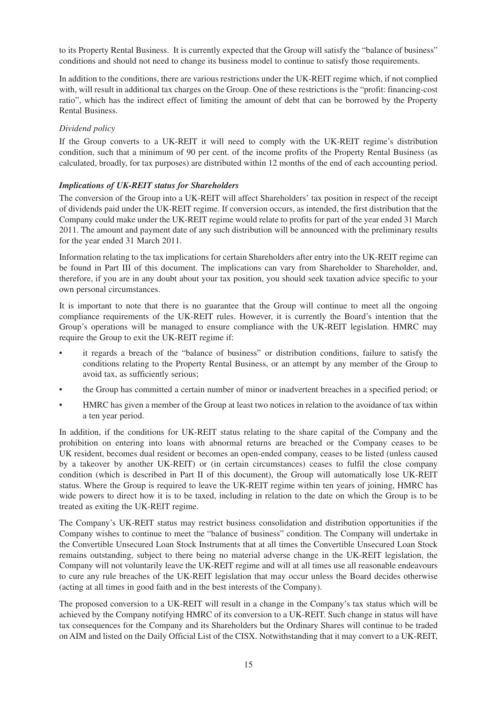to its Property Rental Business. It is currently expected that the Group will satisfy the "balance of business" conditions and should not need to change its business model to continue to satisfy those requirements.

In addition to the conditions, there are various restrictions under the UK-REIT regime which, if not complied with, will result in additional tax charges on the Group. One of these restrictions is the "profit: financing-cost ratio", which has the indirect effect of limiting the amount of debt that can be borrowed by the Property Rental Business.

## *Dividend policy*

If the Group converts to a UK-REIT it will need to comply with the UK-REIT regime's distribution condition, such that a minimum of 90 per cent. of the income profits of the Property Rental Business (as calculated, broadly, for tax purposes) are distributed within 12 months of the end of each accounting period.

## *Implications of UK-REIT status for Shareholders*

The conversion of the Group into a UK-REIT will affect Shareholders' tax position in respect of the receipt of dividends paid under the UK-REIT regime. If conversion occurs, as intended, the first distribution that the Company could make under the UK-REIT regime would relate to profits for part of the year ended 31 March 2011. The amount and payment date of any such distribution will be announced with the preliminary results for the year ended 31 March 2011.

Information relating to the tax implications for certain Shareholders after entry into the UK-REIT regime can be found in Part III of this document. The implications can vary from Shareholder to Shareholder, and, therefore, if you are in any doubt about your tax position, you should seek taxation advice specific to your own personal circumstances.

It is important to note that there is no guarantee that the Group will continue to meet all the ongoing compliance requirements of the UK-REIT rules. However, it is currently the Board's intention that the Group's operations will be managed to ensure compliance with the UK-REIT legislation. HMRC may require the Group to exit the UK-REIT regime if:

- it regards a breach of the "balance of business" or distribution conditions, failure to satisfy the conditions relating to the Property Rental Business, or an attempt by any member of the Group to avoid tax, as sufficiently serious;
- the Group has committed a certain number of minor or inadvertent breaches in a specified period; or
- HMRC has given a member of the Group at least two notices in relation to the avoidance of tax within a ten year period.

In addition, if the conditions for UK-REIT status relating to the share capital of the Company and the prohibition on entering into loans with abnormal returns are breached or the Company ceases to be UK resident, becomes dual resident or becomes an open-ended company, ceases to be listed (unless caused by a takeover by another UK-REIT) or (in certain circumstances) ceases to fulfil the close company condition (which is described in Part II of this document), the Group will automatically lose UK-REIT status. Where the Group is required to leave the UK-REIT regime within ten years of joining, HMRC has wide powers to direct how it is to be taxed, including in relation to the date on which the Group is to be treated as exiting the UK-REIT regime.

The Company's UK-REIT status may restrict business consolidation and distribution opportunities if the Company wishes to continue to meet the "balance of business" condition. The Company will undertake in the Convertible Unsecured Loan Stock Instruments that at all times the Convertible Unsecured Loan Stock remains outstanding, subject to there being no material adverse change in the UK-REIT legislation, the Company will not voluntarily leave the UK-REIT regime and will at all times use all reasonable endeavours to cure any rule breaches of the UK-REIT legislation that may occur unless the Board decides otherwise (acting at all times in good faith and in the best interests of the Company).

The proposed conversion to a UK-REIT will result in a change in the Company's tax status which will be achieved by the Company notifying HMRC of its conversion to a UK-REIT. Such change in status will have tax consequences for the Company and its Shareholders but the Ordinary Shares will continue to be traded on AIM and listed on the Daily Official List of the CISX. Notwithstanding that it may convert to a UK-REIT,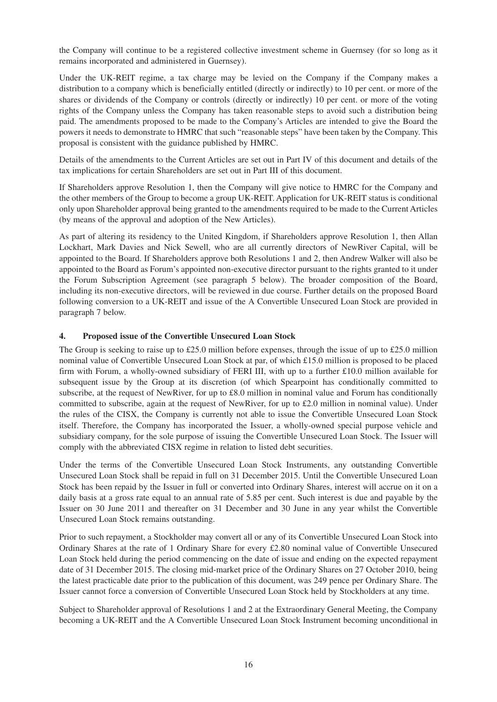the Company will continue to be a registered collective investment scheme in Guernsey (for so long as it remains incorporated and administered in Guernsey).

Under the UK-REIT regime, a tax charge may be levied on the Company if the Company makes a distribution to a company which is beneficially entitled (directly or indirectly) to 10 per cent. or more of the shares or dividends of the Company or controls (directly or indirectly) 10 per cent. or more of the voting rights of the Company unless the Company has taken reasonable steps to avoid such a distribution being paid. The amendments proposed to be made to the Company's Articles are intended to give the Board the powers it needs to demonstrate to HMRC that such "reasonable steps" have been taken by the Company. This proposal is consistent with the guidance published by HMRC.

Details of the amendments to the Current Articles are set out in Part IV of this document and details of the tax implications for certain Shareholders are set out in Part III of this document.

If Shareholders approve Resolution 1, then the Company will give notice to HMRC for the Company and the other members of the Group to become a group UK-REIT. Application for UK-REIT status is conditional only upon Shareholder approval being granted to the amendments required to be made to the Current Articles (by means of the approval and adoption of the New Articles).

As part of altering its residency to the United Kingdom, if Shareholders approve Resolution 1, then Allan Lockhart, Mark Davies and Nick Sewell, who are all currently directors of NewRiver Capital, will be appointed to the Board. If Shareholders approve both Resolutions 1 and 2, then Andrew Walker will also be appointed to the Board as Forum's appointed non-executive director pursuant to the rights granted to it under the Forum Subscription Agreement (see paragraph 5 below). The broader composition of the Board, including its non-executive directors, will be reviewed in due course. Further details on the proposed Board following conversion to a UK-REIT and issue of the A Convertible Unsecured Loan Stock are provided in paragraph 7 below.

## **4. Proposed issue of the Convertible Unsecured Loan Stock**

The Group is seeking to raise up to £25.0 million before expenses, through the issue of up to £25.0 million nominal value of Convertible Unsecured Loan Stock at par, of which £15.0 million is proposed to be placed firm with Forum, a wholly-owned subsidiary of FERI III, with up to a further £10.0 million available for subsequent issue by the Group at its discretion (of which Spearpoint has conditionally committed to subscribe, at the request of NewRiver, for up to £8.0 million in nominal value and Forum has conditionally committed to subscribe, again at the request of NewRiver, for up to £2.0 million in nominal value). Under the rules of the CISX, the Company is currently not able to issue the Convertible Unsecured Loan Stock itself. Therefore, the Company has incorporated the Issuer, a wholly-owned special purpose vehicle and subsidiary company, for the sole purpose of issuing the Convertible Unsecured Loan Stock. The Issuer will comply with the abbreviated CISX regime in relation to listed debt securities.

Under the terms of the Convertible Unsecured Loan Stock Instruments, any outstanding Convertible Unsecured Loan Stock shall be repaid in full on 31 December 2015. Until the Convertible Unsecured Loan Stock has been repaid by the Issuer in full or converted into Ordinary Shares, interest will accrue on it on a daily basis at a gross rate equal to an annual rate of 5.85 per cent. Such interest is due and payable by the Issuer on 30 June 2011 and thereafter on 31 December and 30 June in any year whilst the Convertible Unsecured Loan Stock remains outstanding.

Prior to such repayment, a Stockholder may convert all or any of its Convertible Unsecured Loan Stock into Ordinary Shares at the rate of 1 Ordinary Share for every £2.80 nominal value of Convertible Unsecured Loan Stock held during the period commencing on the date of issue and ending on the expected repayment date of 31 December 2015. The closing mid-market price of the Ordinary Shares on 27 October 2010, being the latest practicable date prior to the publication of this document, was 249 pence per Ordinary Share. The Issuer cannot force a conversion of Convertible Unsecured Loan Stock held by Stockholders at any time.

Subject to Shareholder approval of Resolutions 1 and 2 at the Extraordinary General Meeting, the Company becoming a UK-REIT and the A Convertible Unsecured Loan Stock Instrument becoming unconditional in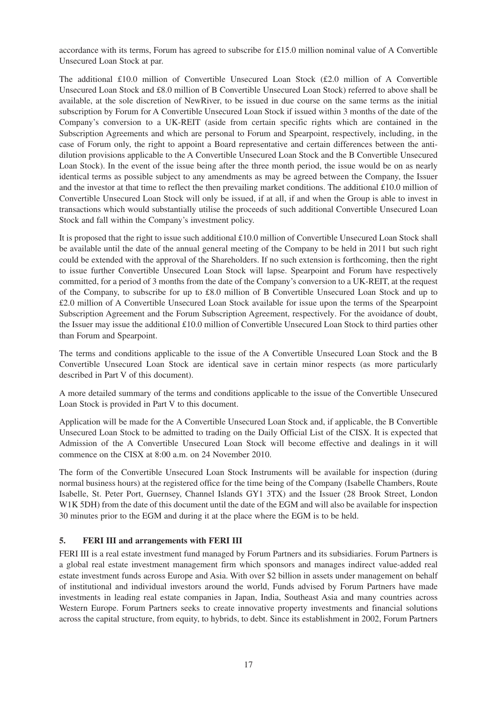accordance with its terms, Forum has agreed to subscribe for £15.0 million nominal value of A Convertible Unsecured Loan Stock at par.

The additional £10.0 million of Convertible Unsecured Loan Stock (£2.0 million of A Convertible Unsecured Loan Stock and £8.0 million of B Convertible Unsecured Loan Stock) referred to above shall be available, at the sole discretion of NewRiver, to be issued in due course on the same terms as the initial subscription by Forum for A Convertible Unsecured Loan Stock if issued within 3 months of the date of the Company's conversion to a UK-REIT (aside from certain specific rights which are contained in the Subscription Agreements and which are personal to Forum and Spearpoint, respectively, including, in the case of Forum only, the right to appoint a Board representative and certain differences between the antidilution provisions applicable to the A Convertible Unsecured Loan Stock and the B Convertible Unsecured Loan Stock). In the event of the issue being after the three month period, the issue would be on as nearly identical terms as possible subject to any amendments as may be agreed between the Company, the Issuer and the investor at that time to reflect the then prevailing market conditions. The additional £10.0 million of Convertible Unsecured Loan Stock will only be issued, if at all, if and when the Group is able to invest in transactions which would substantially utilise the proceeds of such additional Convertible Unsecured Loan Stock and fall within the Company's investment policy.

It is proposed that the right to issue such additional £10.0 million of Convertible Unsecured Loan Stock shall be available until the date of the annual general meeting of the Company to be held in 2011 but such right could be extended with the approval of the Shareholders. If no such extension is forthcoming, then the right to issue further Convertible Unsecured Loan Stock will lapse. Spearpoint and Forum have respectively committed, for a period of 3 months from the date of the Company's conversion to a UK-REIT, at the request of the Company, to subscribe for up to £8.0 million of B Convertible Unsecured Loan Stock and up to £2.0 million of A Convertible Unsecured Loan Stock available for issue upon the terms of the Spearpoint Subscription Agreement and the Forum Subscription Agreement, respectively. For the avoidance of doubt, the Issuer may issue the additional £10.0 million of Convertible Unsecured Loan Stock to third parties other than Forum and Spearpoint.

The terms and conditions applicable to the issue of the A Convertible Unsecured Loan Stock and the B Convertible Unsecured Loan Stock are identical save in certain minor respects (as more particularly described in Part V of this document).

A more detailed summary of the terms and conditions applicable to the issue of the Convertible Unsecured Loan Stock is provided in Part V to this document.

Application will be made for the A Convertible Unsecured Loan Stock and, if applicable, the B Convertible Unsecured Loan Stock to be admitted to trading on the Daily Official List of the CISX. It is expected that Admission of the A Convertible Unsecured Loan Stock will become effective and dealings in it will commence on the CISX at 8:00 a.m. on 24 November 2010.

The form of the Convertible Unsecured Loan Stock Instruments will be available for inspection (during normal business hours) at the registered office for the time being of the Company (Isabelle Chambers, Route Isabelle, St. Peter Port, Guernsey, Channel Islands GY1 3TX) and the Issuer (28 Brook Street, London W1K 5DH) from the date of this document until the date of the EGM and will also be available for inspection 30 minutes prior to the EGM and during it at the place where the EGM is to be held.

## **5. FERI III and arrangements with FERI III**

FERI III is a real estate investment fund managed by Forum Partners and its subsidiaries. Forum Partners is a global real estate investment management firm which sponsors and manages indirect value-added real estate investment funds across Europe and Asia. With over \$2 billion in assets under management on behalf of institutional and individual investors around the world, Funds advised by Forum Partners have made investments in leading real estate companies in Japan, India, Southeast Asia and many countries across Western Europe. Forum Partners seeks to create innovative property investments and financial solutions across the capital structure, from equity, to hybrids, to debt. Since its establishment in 2002, Forum Partners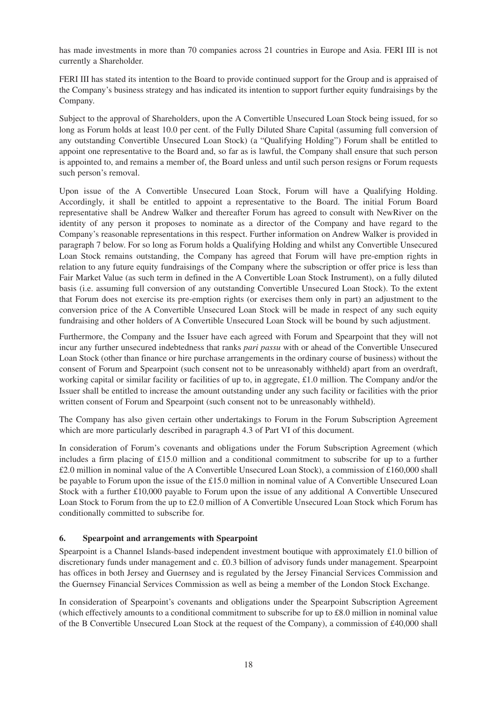has made investments in more than 70 companies across 21 countries in Europe and Asia. FERI III is not currently a Shareholder.

FERI III has stated its intention to the Board to provide continued support for the Group and is appraised of the Company's business strategy and has indicated its intention to support further equity fundraisings by the Company.

Subject to the approval of Shareholders, upon the A Convertible Unsecured Loan Stock being issued, for so long as Forum holds at least 10.0 per cent. of the Fully Diluted Share Capital (assuming full conversion of any outstanding Convertible Unsecured Loan Stock) (a "Qualifying Holding") Forum shall be entitled to appoint one representative to the Board and, so far as is lawful, the Company shall ensure that such person is appointed to, and remains a member of, the Board unless and until such person resigns or Forum requests such person's removal.

Upon issue of the A Convertible Unsecured Loan Stock, Forum will have a Qualifying Holding. Accordingly, it shall be entitled to appoint a representative to the Board. The initial Forum Board representative shall be Andrew Walker and thereafter Forum has agreed to consult with NewRiver on the identity of any person it proposes to nominate as a director of the Company and have regard to the Company's reasonable representations in this respect. Further information on Andrew Walker is provided in paragraph 7 below. For so long as Forum holds a Qualifying Holding and whilst any Convertible Unsecured Loan Stock remains outstanding, the Company has agreed that Forum will have pre-emption rights in relation to any future equity fundraisings of the Company where the subscription or offer price is less than Fair Market Value (as such term in defined in the A Convertible Loan Stock Instrument), on a fully diluted basis (i.e. assuming full conversion of any outstanding Convertible Unsecured Loan Stock). To the extent that Forum does not exercise its pre-emption rights (or exercises them only in part) an adjustment to the conversion price of the A Convertible Unsecured Loan Stock will be made in respect of any such equity fundraising and other holders of A Convertible Unsecured Loan Stock will be bound by such adjustment.

Furthermore, the Company and the Issuer have each agreed with Forum and Spearpoint that they will not incur any further unsecured indebtedness that ranks *pari passu* with or ahead of the Convertible Unsecured Loan Stock (other than finance or hire purchase arrangements in the ordinary course of business) without the consent of Forum and Spearpoint (such consent not to be unreasonably withheld) apart from an overdraft, working capital or similar facility or facilities of up to, in aggregate, £1.0 million. The Company and/or the Issuer shall be entitled to increase the amount outstanding under any such facility or facilities with the prior written consent of Forum and Spearpoint (such consent not to be unreasonably withheld).

The Company has also given certain other undertakings to Forum in the Forum Subscription Agreement which are more particularly described in paragraph 4.3 of Part VI of this document.

In consideration of Forum's covenants and obligations under the Forum Subscription Agreement (which includes a firm placing of £15.0 million and a conditional commitment to subscribe for up to a further £2.0 million in nominal value of the A Convertible Unsecured Loan Stock), a commission of £160,000 shall be payable to Forum upon the issue of the £15.0 million in nominal value of A Convertible Unsecured Loan Stock with a further £10,000 payable to Forum upon the issue of any additional A Convertible Unsecured Loan Stock to Forum from the up to £2.0 million of A Convertible Unsecured Loan Stock which Forum has conditionally committed to subscribe for.

## **6. Spearpoint and arrangements with Spearpoint**

Spearpoint is a Channel Islands-based independent investment boutique with approximately £1.0 billion of discretionary funds under management and c. £0.3 billion of advisory funds under management. Spearpoint has offices in both Jersey and Guernsey and is regulated by the Jersey Financial Services Commission and the Guernsey Financial Services Commission as well as being a member of the London Stock Exchange.

In consideration of Spearpoint's covenants and obligations under the Spearpoint Subscription Agreement (which effectively amounts to a conditional commitment to subscribe for up to £8.0 million in nominal value of the B Convertible Unsecured Loan Stock at the request of the Company), a commission of £40,000 shall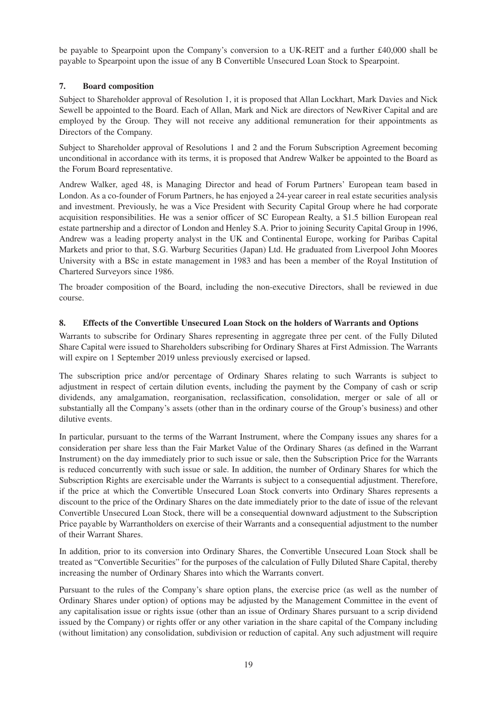be payable to Spearpoint upon the Company's conversion to a UK-REIT and a further £40,000 shall be payable to Spearpoint upon the issue of any B Convertible Unsecured Loan Stock to Spearpoint.

## **7. Board composition**

Subject to Shareholder approval of Resolution 1, it is proposed that Allan Lockhart, Mark Davies and Nick Sewell be appointed to the Board. Each of Allan, Mark and Nick are directors of NewRiver Capital and are employed by the Group. They will not receive any additional remuneration for their appointments as Directors of the Company.

Subject to Shareholder approval of Resolutions 1 and 2 and the Forum Subscription Agreement becoming unconditional in accordance with its terms, it is proposed that Andrew Walker be appointed to the Board as the Forum Board representative.

Andrew Walker, aged 48, is Managing Director and head of Forum Partners' European team based in London. As a co-founder of Forum Partners, he has enjoyed a 24-year career in real estate securities analysis and investment. Previously, he was a Vice President with Security Capital Group where he had corporate acquisition responsibilities. He was a senior officer of SC European Realty, a \$1.5 billion European real estate partnership and a director of London and Henley S.A. Prior to joining Security Capital Group in 1996, Andrew was a leading property analyst in the UK and Continental Europe, working for Paribas Capital Markets and prior to that, S.G. Warburg Securities (Japan) Ltd. He graduated from Liverpool John Moores University with a BSc in estate management in 1983 and has been a member of the Royal Institution of Chartered Surveyors since 1986.

The broader composition of the Board, including the non-executive Directors, shall be reviewed in due course.

## **8. Effects of the Convertible Unsecured Loan Stock on the holders of Warrants and Options**

Warrants to subscribe for Ordinary Shares representing in aggregate three per cent. of the Fully Diluted Share Capital were issued to Shareholders subscribing for Ordinary Shares at First Admission. The Warrants will expire on 1 September 2019 unless previously exercised or lapsed.

The subscription price and/or percentage of Ordinary Shares relating to such Warrants is subject to adjustment in respect of certain dilution events, including the payment by the Company of cash or scrip dividends, any amalgamation, reorganisation, reclassification, consolidation, merger or sale of all or substantially all the Company's assets (other than in the ordinary course of the Group's business) and other dilutive events.

In particular, pursuant to the terms of the Warrant Instrument, where the Company issues any shares for a consideration per share less than the Fair Market Value of the Ordinary Shares (as defined in the Warrant Instrument) on the day immediately prior to such issue or sale, then the Subscription Price for the Warrants is reduced concurrently with such issue or sale. In addition, the number of Ordinary Shares for which the Subscription Rights are exercisable under the Warrants is subject to a consequential adjustment. Therefore, if the price at which the Convertible Unsecured Loan Stock converts into Ordinary Shares represents a discount to the price of the Ordinary Shares on the date immediately prior to the date of issue of the relevant Convertible Unsecured Loan Stock, there will be a consequential downward adjustment to the Subscription Price payable by Warrantholders on exercise of their Warrants and a consequential adjustment to the number of their Warrant Shares.

In addition, prior to its conversion into Ordinary Shares, the Convertible Unsecured Loan Stock shall be treated as "Convertible Securities" for the purposes of the calculation of Fully Diluted Share Capital, thereby increasing the number of Ordinary Shares into which the Warrants convert.

Pursuant to the rules of the Company's share option plans, the exercise price (as well as the number of Ordinary Shares under option) of options may be adjusted by the Management Committee in the event of any capitalisation issue or rights issue (other than an issue of Ordinary Shares pursuant to a scrip dividend issued by the Company) or rights offer or any other variation in the share capital of the Company including (without limitation) any consolidation, subdivision or reduction of capital. Any such adjustment will require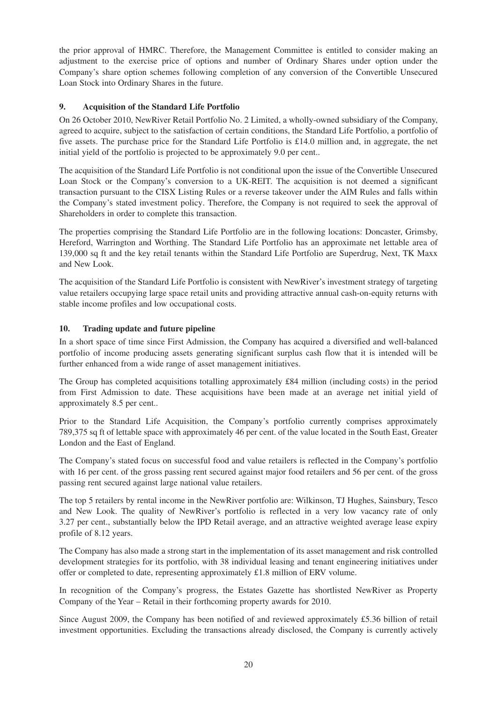the prior approval of HMRC. Therefore, the Management Committee is entitled to consider making an adjustment to the exercise price of options and number of Ordinary Shares under option under the Company's share option schemes following completion of any conversion of the Convertible Unsecured Loan Stock into Ordinary Shares in the future.

## **9. Acquisition of the Standard Life Portfolio**

On 26 October 2010, NewRiver Retail Portfolio No. 2 Limited, a wholly-owned subsidiary of the Company, agreed to acquire, subject to the satisfaction of certain conditions, the Standard Life Portfolio, a portfolio of five assets. The purchase price for the Standard Life Portfolio is £14.0 million and, in aggregate, the net initial yield of the portfolio is projected to be approximately 9.0 per cent..

The acquisition of the Standard Life Portfolio is not conditional upon the issue of the Convertible Unsecured Loan Stock or the Company's conversion to a UK-REIT. The acquisition is not deemed a significant transaction pursuant to the CISX Listing Rules or a reverse takeover under the AIM Rules and falls within the Company's stated investment policy. Therefore, the Company is not required to seek the approval of Shareholders in order to complete this transaction.

The properties comprising the Standard Life Portfolio are in the following locations: Doncaster, Grimsby, Hereford, Warrington and Worthing. The Standard Life Portfolio has an approximate net lettable area of 139,000 sq ft and the key retail tenants within the Standard Life Portfolio are Superdrug, Next, TK Maxx and New Look.

The acquisition of the Standard Life Portfolio is consistent with NewRiver's investment strategy of targeting value retailers occupying large space retail units and providing attractive annual cash-on-equity returns with stable income profiles and low occupational costs.

## **10. Trading update and future pipeline**

In a short space of time since First Admission, the Company has acquired a diversified and well-balanced portfolio of income producing assets generating significant surplus cash flow that it is intended will be further enhanced from a wide range of asset management initiatives.

The Group has completed acquisitions totalling approximately £84 million (including costs) in the period from First Admission to date. These acquisitions have been made at an average net initial yield of approximately 8.5 per cent..

Prior to the Standard Life Acquisition, the Company's portfolio currently comprises approximately 789,375 sq ft of lettable space with approximately 46 per cent. of the value located in the South East, Greater London and the East of England.

The Company's stated focus on successful food and value retailers is reflected in the Company's portfolio with 16 per cent. of the gross passing rent secured against major food retailers and 56 per cent. of the gross passing rent secured against large national value retailers.

The top 5 retailers by rental income in the NewRiver portfolio are: Wilkinson, TJ Hughes, Sainsbury, Tesco and New Look. The quality of NewRiver's portfolio is reflected in a very low vacancy rate of only 3.27 per cent., substantially below the IPD Retail average, and an attractive weighted average lease expiry profile of 8.12 years.

The Company has also made a strong start in the implementation of its asset management and risk controlled development strategies for its portfolio, with 38 individual leasing and tenant engineering initiatives under offer or completed to date, representing approximately £1.8 million of ERV volume.

In recognition of the Company's progress, the Estates Gazette has shortlisted NewRiver as Property Company of the Year – Retail in their forthcoming property awards for 2010.

Since August 2009, the Company has been notified of and reviewed approximately £5.36 billion of retail investment opportunities. Excluding the transactions already disclosed, the Company is currently actively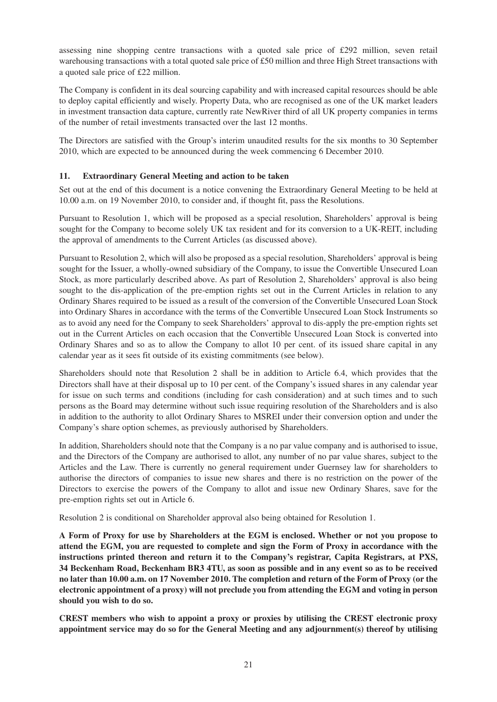assessing nine shopping centre transactions with a quoted sale price of £292 million, seven retail warehousing transactions with a total quoted sale price of £50 million and three High Street transactions with a quoted sale price of £22 million.

The Company is confident in its deal sourcing capability and with increased capital resources should be able to deploy capital efficiently and wisely. Property Data, who are recognised as one of the UK market leaders in investment transaction data capture, currently rate NewRiver third of all UK property companies in terms of the number of retail investments transacted over the last 12 months.

The Directors are satisfied with the Group's interim unaudited results for the six months to 30 September 2010, which are expected to be announced during the week commencing 6 December 2010.

## **11. Extraordinary General Meeting and action to be taken**

Set out at the end of this document is a notice convening the Extraordinary General Meeting to be held at 10.00 a.m. on 19 November 2010, to consider and, if thought fit, pass the Resolutions.

Pursuant to Resolution 1, which will be proposed as a special resolution, Shareholders' approval is being sought for the Company to become solely UK tax resident and for its conversion to a UK-REIT, including the approval of amendments to the Current Articles (as discussed above).

Pursuant to Resolution 2, which will also be proposed as a special resolution, Shareholders' approval is being sought for the Issuer, a wholly-owned subsidiary of the Company, to issue the Convertible Unsecured Loan Stock, as more particularly described above. As part of Resolution 2, Shareholders' approval is also being sought to the dis-application of the pre-emption rights set out in the Current Articles in relation to any Ordinary Shares required to be issued as a result of the conversion of the Convertible Unsecured Loan Stock into Ordinary Shares in accordance with the terms of the Convertible Unsecured Loan Stock Instruments so as to avoid any need for the Company to seek Shareholders' approval to dis-apply the pre-emption rights set out in the Current Articles on each occasion that the Convertible Unsecured Loan Stock is converted into Ordinary Shares and so as to allow the Company to allot 10 per cent. of its issued share capital in any calendar year as it sees fit outside of its existing commitments (see below).

Shareholders should note that Resolution 2 shall be in addition to Article 6.4, which provides that the Directors shall have at their disposal up to 10 per cent. of the Company's issued shares in any calendar year for issue on such terms and conditions (including for cash consideration) and at such times and to such persons as the Board may determine without such issue requiring resolution of the Shareholders and is also in addition to the authority to allot Ordinary Shares to MSREI under their conversion option and under the Company's share option schemes, as previously authorised by Shareholders.

In addition, Shareholders should note that the Company is a no par value company and is authorised to issue, and the Directors of the Company are authorised to allot, any number of no par value shares, subject to the Articles and the Law. There is currently no general requirement under Guernsey law for shareholders to authorise the directors of companies to issue new shares and there is no restriction on the power of the Directors to exercise the powers of the Company to allot and issue new Ordinary Shares, save for the pre-emption rights set out in Article 6.

Resolution 2 is conditional on Shareholder approval also being obtained for Resolution 1.

A Form of Proxy for use by Shareholders at the EGM is enclosed. Whether or not you propose to **attend the EGM, you are requested to complete and sign the Form of Proxy in accordance with the instructions printed thereon and return it to the Company's registrar, Capita Registrars, at PXS,** 34 Beckenham Road, Beckenham BR3 4TU, as soon as possible and in any event so as to be received no later than 10.00 a.m. on 17 November 2010. The completion and return of the Form of Proxy (or the **electronic appointment of a proxy) will not preclude you from attending the EGM and voting in person should you wish to do so.**

**CREST members who wish to appoint a proxy or proxies by utilising the CREST electronic proxy appointment service may do so for the General Meeting and any adjournment(s) thereof by utilising**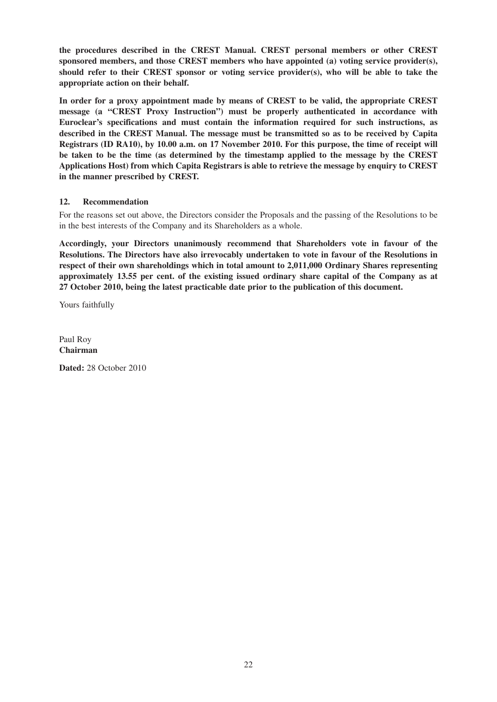**the procedures described in the CREST Manual. CREST personal members or other CREST sponsored members, and those CREST members who have appointed (a) voting service provider(s), should refer to their CREST sponsor or voting service provider(s), who will be able to take the appropriate action on their behalf.**

**In order for a proxy appointment made by means of CREST to be valid, the appropriate CREST message (a "CREST Proxy Instruction") must be properly authenticated in accordance with Euroclear's specifications and must contain the information required for such instructions, as described in the CREST Manual. The message must be transmitted so as to be received by Capita** Registrars (ID RA10), by 10.00 a.m. on 17 November 2010. For this purpose, the time of receipt will **be taken to be the time (as determined by the timestamp applied to the message by the CREST Applications Host) from which Capita Registrars is able to retrieve the message by enquiry to CREST in the manner prescribed by CREST.**

## **12. Recommendation**

For the reasons set out above, the Directors consider the Proposals and the passing of the Resolutions to be in the best interests of the Company and its Shareholders as a whole.

**Accordingly, your Directors unanimously recommend that Shareholders vote in favour of the Resolutions. The Directors have also irrevocably undertaken to vote in favour of the Resolutions in respect of their own shareholdings which in total amount to 2,011,000 Ordinary Shares representing approximately 13.55 per cent. of the existing issued ordinary share capital of the Company as at 27 October 2010, being the latest practicable date prior to the publication of this document.**

Yours faithfully

Paul Roy **Chairman**

**Dated:** 28 October 2010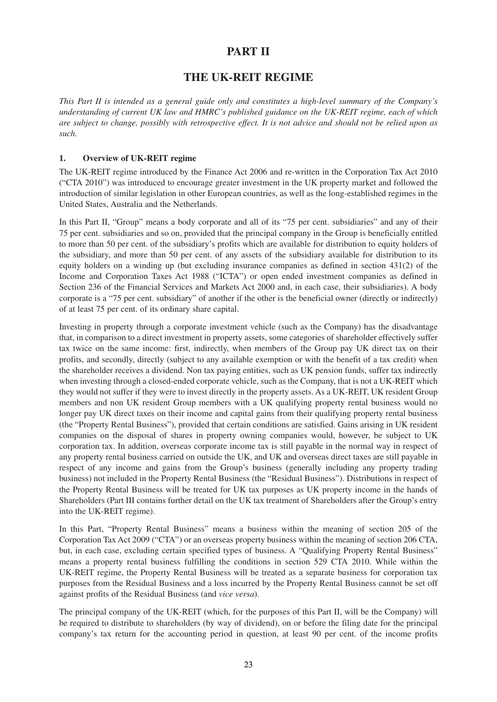## **PART II**

## **THE UK-REIT REGIME**

This Part II is intended as a general guide only and constitutes a high-level summary of the Company's *understanding of current UK law and HMRC's published guidance on the UK-REIT regime, each of which* are subject to change, possibly with retrospective effect. It is not advice and should not be relied upon as *such.*

#### **1. Overview of UK-REIT regime**

The UK-REIT regime introduced by the Finance Act 2006 and re-written in the Corporation Tax Act 2010 ("CTA 2010") was introduced to encourage greater investment in the UK property market and followed the introduction of similar legislation in other European countries, as well as the long-established regimes in the United States, Australia and the Netherlands.

In this Part II, "Group" means a body corporate and all of its "75 per cent. subsidiaries" and any of their 75 per cent. subsidiaries and so on, provided that the principal company in the Group is beneficially entitled to more than 50 per cent. of the subsidiary's profits which are available for distribution to equity holders of the subsidiary, and more than 50 per cent. of any assets of the subsidiary available for distribution to its equity holders on a winding up (but excluding insurance companies as defined in section 431(2) of the Income and Corporation Taxes Act 1988 ("ICTA") or open ended investment companies as defined in Section 236 of the Financial Services and Markets Act 2000 and, in each case, their subsidiaries). A body corporate is a "75 per cent. subsidiary" of another if the other is the beneficial owner (directly or indirectly) of at least 75 per cent. of its ordinary share capital.

Investing in property through a corporate investment vehicle (such as the Company) has the disadvantage that, in comparison to a direct investment in property assets, some categories of shareholder effectively suffer tax twice on the same income: first, indirectly, when members of the Group pay UK direct tax on their profits, and secondly, directly (subject to any available exemption or with the benefit of a tax credit) when the shareholder receives a dividend. Non tax paying entities, such as UK pension funds, suffer tax indirectly when investing through a closed-ended corporate vehicle, such as the Company, that is not a UK-REIT which they would not suffer if they were to invest directly in the property assets. As a UK-REIT, UK resident Group members and non UK resident Group members with a UK qualifying property rental business would no longer pay UK direct taxes on their income and capital gains from their qualifying property rental business (the "Property Rental Business"), provided that certain conditions are satisfied. Gains arising in UK resident companies on the disposal of shares in property owning companies would, however, be subject to UK corporation tax. In addition, overseas corporate income tax is still payable in the normal way in respect of any property rental business carried on outside the UK, and UK and overseas direct taxes are still payable in respect of any income and gains from the Group's business (generally including any property trading business) not included in the Property Rental Business (the "Residual Business"). Distributions in respect of the Property Rental Business will be treated for UK tax purposes as UK property income in the hands of Shareholders (Part III contains further detail on the UK tax treatment of Shareholders after the Group's entry into the UK-REIT regime).

In this Part, "Property Rental Business" means a business within the meaning of section 205 of the Corporation Tax Act 2009 ("CTA") or an overseas property business within the meaning of section 206 CTA, but, in each case, excluding certain specified types of business. A "Qualifying Property Rental Business" means a property rental business fulfilling the conditions in section 529 CTA 2010. While within the UK-REIT regime, the Property Rental Business will be treated as a separate business for corporation tax purposes from the Residual Business and a loss incurred by the Property Rental Business cannot be set off against profits of the Residual Business (and *vice versa*).

The principal company of the UK-REIT (which, for the purposes of this Part II, will be the Company) will be required to distribute to shareholders (by way of dividend), on or before the filing date for the principal company's tax return for the accounting period in question, at least 90 per cent. of the income profits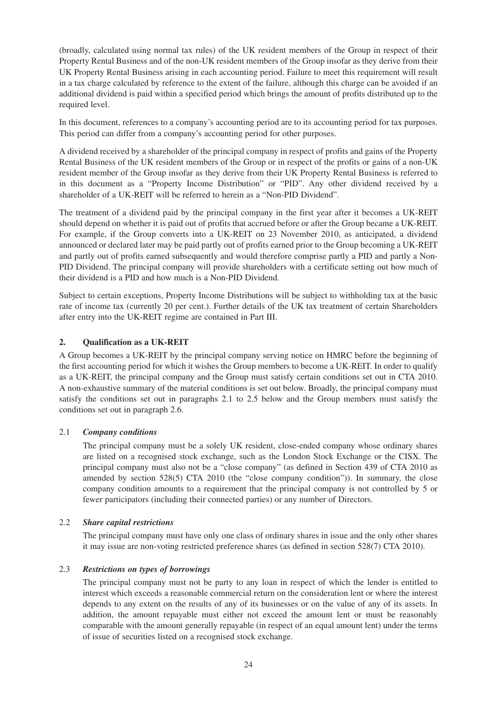(broadly, calculated using normal tax rules) of the UK resident members of the Group in respect of their Property Rental Business and of the non-UK resident members of the Group insofar as they derive from their UK Property Rental Business arising in each accounting period. Failure to meet this requirement will result in a tax charge calculated by reference to the extent of the failure, although this charge can be avoided if an additional dividend is paid within a specified period which brings the amount of profits distributed up to the required level.

In this document, references to a company's accounting period are to its accounting period for tax purposes. This period can differ from a company's accounting period for other purposes.

A dividend received by a shareholder of the principal company in respect of profits and gains of the Property Rental Business of the UK resident members of the Group or in respect of the profits or gains of a non-UK resident member of the Group insofar as they derive from their UK Property Rental Business is referred to in this document as a "Property Income Distribution" or "PID". Any other dividend received by a shareholder of a UK-REIT will be referred to herein as a "Non-PID Dividend".

The treatment of a dividend paid by the principal company in the first year after it becomes a UK-REIT should depend on whether it is paid out of profits that accrued before or after the Group became a UK-REIT. For example, if the Group converts into a UK-REIT on 23 November 2010, as anticipated, a dividend announced or declared later may be paid partly out of profits earned prior to the Group becoming a UK-REIT and partly out of profits earned subsequently and would therefore comprise partly a PID and partly a Non-PID Dividend. The principal company will provide shareholders with a certificate setting out how much of their dividend is a PID and how much is a Non-PID Dividend.

Subject to certain exceptions, Property Income Distributions will be subject to withholding tax at the basic rate of income tax (currently 20 per cent.). Further details of the UK tax treatment of certain Shareholders after entry into the UK-REIT regime are contained in Part III.

## **2. Qualification as a UK-REIT**

A Group becomes a UK-REIT by the principal company serving notice on HMRC before the beginning of the first accounting period for which it wishes the Group members to become a UK-REIT. In order to qualify as a UK-REIT, the principal company and the Group must satisfy certain conditions set out in CTA 2010. A non-exhaustive summary of the material conditions is set out below. Broadly, the principal company must satisfy the conditions set out in paragraphs 2.1 to 2.5 below and the Group members must satisfy the conditions set out in paragraph 2.6.

## 2.1 *Company conditions*

The principal company must be a solely UK resident, close-ended company whose ordinary shares are listed on a recognised stock exchange, such as the London Stock Exchange or the CISX. The principal company must also not be a "close company" (as defined in Section 439 of CTA 2010 as amended by section 528(5) CTA 2010 (the "close company condition")). In summary, the close company condition amounts to a requirement that the principal company is not controlled by 5 or fewer participators (including their connected parties) or any number of Directors.

## 2.2 *Share capital restrictions*

The principal company must have only one class of ordinary shares in issue and the only other shares it may issue are non-voting restricted preference shares (as defined in section 528(7) CTA 2010).

## 2.3 *Restrictions on types of borrowings*

The principal company must not be party to any loan in respect of which the lender is entitled to interest which exceeds a reasonable commercial return on the consideration lent or where the interest depends to any extent on the results of any of its businesses or on the value of any of its assets. In addition, the amount repayable must either not exceed the amount lent or must be reasonably comparable with the amount generally repayable (in respect of an equal amount lent) under the terms of issue of securities listed on a recognised stock exchange.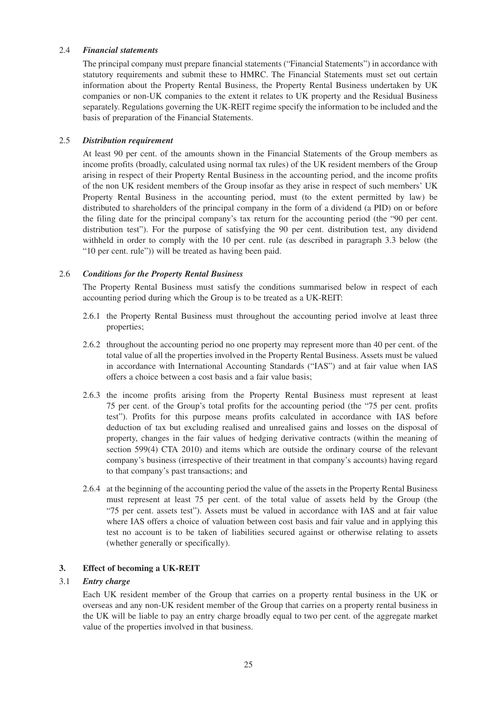## 2.4 *Financial statements*

The principal company must prepare financial statements ("Financial Statements") in accordance with statutory requirements and submit these to HMRC. The Financial Statements must set out certain information about the Property Rental Business, the Property Rental Business undertaken by UK companies or non-UK companies to the extent it relates to UK property and the Residual Business separately. Regulations governing the UK-REIT regime specify the information to be included and the basis of preparation of the Financial Statements.

#### 2.5 *Distribution requirement*

At least 90 per cent. of the amounts shown in the Financial Statements of the Group members as income profits (broadly, calculated using normal tax rules) of the UK resident members of the Group arising in respect of their Property Rental Business in the accounting period, and the income profits of the non UK resident members of the Group insofar as they arise in respect of such members' UK Property Rental Business in the accounting period, must (to the extent permitted by law) be distributed to shareholders of the principal company in the form of a dividend (a PID) on or before the filing date for the principal company's tax return for the accounting period (the "90 per cent. distribution test"). For the purpose of satisfying the 90 per cent. distribution test, any dividend withheld in order to comply with the 10 per cent. rule (as described in paragraph 3.3 below (the "10 per cent. rule")) will be treated as having been paid.

## 2.6 *Conditions for the Property Rental Business*

The Property Rental Business must satisfy the conditions summarised below in respect of each accounting period during which the Group is to be treated as a UK-REIT:

- 2.6.1 the Property Rental Business must throughout the accounting period involve at least three properties;
- 2.6.2 throughout the accounting period no one property may represent more than 40 per cent. of the total value of all the properties involved in the Property Rental Business. Assets must be valued in accordance with International Accounting Standards ("IAS") and at fair value when IAS offers a choice between a cost basis and a fair value basis;
- 2.6.3 the income profits arising from the Property Rental Business must represent at least 75 per cent. of the Group's total profits for the accounting period (the "75 per cent. profits test"). Profits for this purpose means profits calculated in accordance with IAS before deduction of tax but excluding realised and unrealised gains and losses on the disposal of property, changes in the fair values of hedging derivative contracts (within the meaning of section 599(4) CTA 2010) and items which are outside the ordinary course of the relevant company's business (irrespective of their treatment in that company's accounts) having regard to that company's past transactions; and
- 2.6.4 at the beginning of the accounting period the value of the assets in the Property Rental Business must represent at least 75 per cent. of the total value of assets held by the Group (the "75 per cent. assets test"). Assets must be valued in accordance with IAS and at fair value where IAS offers a choice of valuation between cost basis and fair value and in applying this test no account is to be taken of liabilities secured against or otherwise relating to assets (whether generally or specifically).

## **3. Effect of becoming a UK-REIT**

### 3.1 *Entry charge*

Each UK resident member of the Group that carries on a property rental business in the UK or overseas and any non-UK resident member of the Group that carries on a property rental business in the UK will be liable to pay an entry charge broadly equal to two per cent. of the aggregate market value of the properties involved in that business.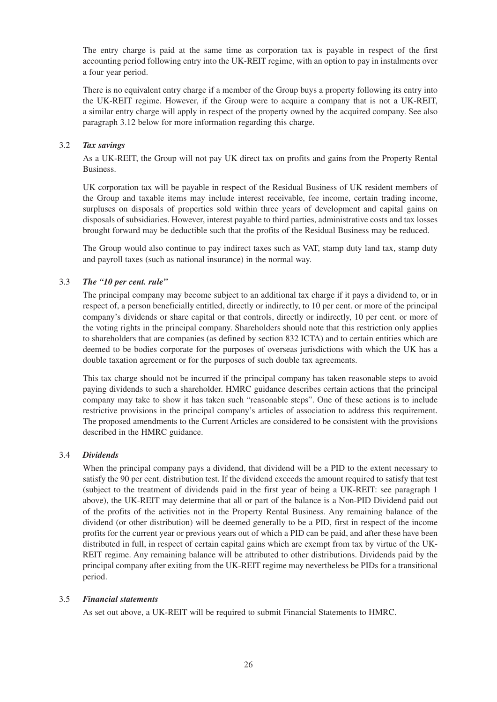The entry charge is paid at the same time as corporation tax is payable in respect of the first accounting period following entry into the UK-REIT regime, with an option to pay in instalments over a four year period.

There is no equivalent entry charge if a member of the Group buys a property following its entry into the UK-REIT regime. However, if the Group were to acquire a company that is not a UK-REIT, a similar entry charge will apply in respect of the property owned by the acquired company. See also paragraph 3.12 below for more information regarding this charge.

## 3.2 *Tax savings*

As a UK-REIT, the Group will not pay UK direct tax on profits and gains from the Property Rental Business.

UK corporation tax will be payable in respect of the Residual Business of UK resident members of the Group and taxable items may include interest receivable, fee income, certain trading income, surpluses on disposals of properties sold within three years of development and capital gains on disposals of subsidiaries. However, interest payable to third parties, administrative costs and tax losses brought forward may be deductible such that the profits of the Residual Business may be reduced.

The Group would also continue to pay indirect taxes such as VAT, stamp duty land tax, stamp duty and payroll taxes (such as national insurance) in the normal way.

## 3.3 *The "10 per cent. rule"*

The principal company may become subject to an additional tax charge if it pays a dividend to, or in respect of, a person beneficially entitled, directly or indirectly, to 10 per cent. or more of the principal company's dividends or share capital or that controls, directly or indirectly, 10 per cent. or more of the voting rights in the principal company. Shareholders should note that this restriction only applies to shareholders that are companies (as defined by section 832 ICTA) and to certain entities which are deemed to be bodies corporate for the purposes of overseas jurisdictions with which the UK has a double taxation agreement or for the purposes of such double tax agreements.

This tax charge should not be incurred if the principal company has taken reasonable steps to avoid paying dividends to such a shareholder. HMRC guidance describes certain actions that the principal company may take to show it has taken such "reasonable steps". One of these actions is to include restrictive provisions in the principal company's articles of association to address this requirement. The proposed amendments to the Current Articles are considered to be consistent with the provisions described in the HMRC guidance.

## 3.4 *Dividends*

When the principal company pays a dividend, that dividend will be a PID to the extent necessary to satisfy the 90 per cent. distribution test. If the dividend exceeds the amount required to satisfy that test (subject to the treatment of dividends paid in the first year of being a UK-REIT: see paragraph 1 above), the UK-REIT may determine that all or part of the balance is a Non-PID Dividend paid out of the profits of the activities not in the Property Rental Business. Any remaining balance of the dividend (or other distribution) will be deemed generally to be a PID, first in respect of the income profits for the current year or previous years out of which a PID can be paid, and after these have been distributed in full, in respect of certain capital gains which are exempt from tax by virtue of the UK-REIT regime. Any remaining balance will be attributed to other distributions. Dividends paid by the principal company after exiting from the UK-REIT regime may nevertheless be PIDs for a transitional period.

## 3.5 *Financial statements*

As set out above, a UK-REIT will be required to submit Financial Statements to HMRC.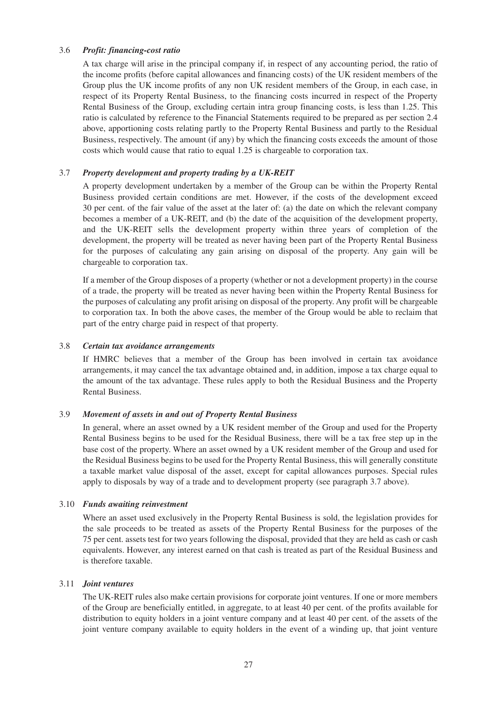## 3.6 *Profit: financing-cost ratio*

A tax charge will arise in the principal company if, in respect of any accounting period, the ratio of the income profits (before capital allowances and financing costs) of the UK resident members of the Group plus the UK income profits of any non UK resident members of the Group, in each case, in respect of its Property Rental Business, to the financing costs incurred in respect of the Property Rental Business of the Group, excluding certain intra group financing costs, is less than 1.25. This ratio is calculated by reference to the Financial Statements required to be prepared as per section 2.4 above, apportioning costs relating partly to the Property Rental Business and partly to the Residual Business, respectively. The amount (if any) by which the financing costs exceeds the amount of those costs which would cause that ratio to equal 1.25 is chargeable to corporation tax.

### 3.7 *Property development and property trading by a UK-REIT*

A property development undertaken by a member of the Group can be within the Property Rental Business provided certain conditions are met. However, if the costs of the development exceed 30 per cent. of the fair value of the asset at the later of: (a) the date on which the relevant company becomes a member of a UK-REIT, and (b) the date of the acquisition of the development property, and the UK-REIT sells the development property within three years of completion of the development, the property will be treated as never having been part of the Property Rental Business for the purposes of calculating any gain arising on disposal of the property. Any gain will be chargeable to corporation tax.

If a member of the Group disposes of a property (whether or not a development property) in the course of a trade, the property will be treated as never having been within the Property Rental Business for the purposes of calculating any profit arising on disposal of the property. Any profit will be chargeable to corporation tax. In both the above cases, the member of the Group would be able to reclaim that part of the entry charge paid in respect of that property.

#### 3.8 *Certain tax avoidance arrangements*

If HMRC believes that a member of the Group has been involved in certain tax avoidance arrangements, it may cancel the tax advantage obtained and, in addition, impose a tax charge equal to the amount of the tax advantage. These rules apply to both the Residual Business and the Property Rental Business.

#### 3.9 *Movement of assets in and out of Property Rental Business*

In general, where an asset owned by a UK resident member of the Group and used for the Property Rental Business begins to be used for the Residual Business, there will be a tax free step up in the base cost of the property. Where an asset owned by a UK resident member of the Group and used for the Residual Business begins to be used for the Property Rental Business, this will generally constitute a taxable market value disposal of the asset, except for capital allowances purposes. Special rules apply to disposals by way of a trade and to development property (see paragraph 3.7 above).

#### 3.10 *Funds awaiting reinvestment*

Where an asset used exclusively in the Property Rental Business is sold, the legislation provides for the sale proceeds to be treated as assets of the Property Rental Business for the purposes of the 75 per cent. assets test for two years following the disposal, provided that they are held as cash or cash equivalents. However, any interest earned on that cash is treated as part of the Residual Business and is therefore taxable.

#### 3.11 *Joint ventures*

The UK-REIT rules also make certain provisions for corporate joint ventures. If one or more members of the Group are beneficially entitled, in aggregate, to at least 40 per cent. of the profits available for distribution to equity holders in a joint venture company and at least 40 per cent. of the assets of the joint venture company available to equity holders in the event of a winding up, that joint venture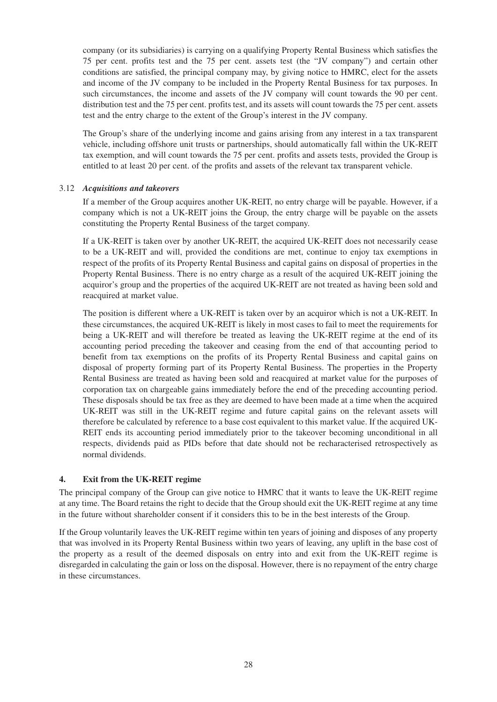company (or its subsidiaries) is carrying on a qualifying Property Rental Business which satisfies the 75 per cent. profits test and the 75 per cent. assets test (the "JV company") and certain other conditions are satisfied, the principal company may, by giving notice to HMRC, elect for the assets and income of the JV company to be included in the Property Rental Business for tax purposes. In such circumstances, the income and assets of the JV company will count towards the 90 per cent. distribution test and the 75 per cent. profits test, and its assets will count towards the 75 per cent. assets test and the entry charge to the extent of the Group's interest in the JV company.

The Group's share of the underlying income and gains arising from any interest in a tax transparent vehicle, including offshore unit trusts or partnerships, should automatically fall within the UK-REIT tax exemption, and will count towards the 75 per cent. profits and assets tests, provided the Group is entitled to at least 20 per cent. of the profits and assets of the relevant tax transparent vehicle.

## 3.12 *Acquisitions and takeovers*

If a member of the Group acquires another UK-REIT, no entry charge will be payable. However, if a company which is not a UK-REIT joins the Group, the entry charge will be payable on the assets constituting the Property Rental Business of the target company.

If a UK-REIT is taken over by another UK-REIT, the acquired UK-REIT does not necessarily cease to be a UK-REIT and will, provided the conditions are met, continue to enjoy tax exemptions in respect of the profits of its Property Rental Business and capital gains on disposal of properties in the Property Rental Business. There is no entry charge as a result of the acquired UK-REIT joining the acquiror's group and the properties of the acquired UK-REIT are not treated as having been sold and reacquired at market value.

The position is different where a UK-REIT is taken over by an acquiror which is not a UK-REIT. In these circumstances, the acquired UK-REIT is likely in most cases to fail to meet the requirements for being a UK-REIT and will therefore be treated as leaving the UK-REIT regime at the end of its accounting period preceding the takeover and ceasing from the end of that accounting period to benefit from tax exemptions on the profits of its Property Rental Business and capital gains on disposal of property forming part of its Property Rental Business. The properties in the Property Rental Business are treated as having been sold and reacquired at market value for the purposes of corporation tax on chargeable gains immediately before the end of the preceding accounting period. These disposals should be tax free as they are deemed to have been made at a time when the acquired UK-REIT was still in the UK-REIT regime and future capital gains on the relevant assets will therefore be calculated by reference to a base cost equivalent to this market value. If the acquired UK-REIT ends its accounting period immediately prior to the takeover becoming unconditional in all respects, dividends paid as PIDs before that date should not be recharacterised retrospectively as normal dividends.

## **4. Exit from the UK-REIT regime**

The principal company of the Group can give notice to HMRC that it wants to leave the UK-REIT regime at any time. The Board retains the right to decide that the Group should exit the UK-REIT regime at any time in the future without shareholder consent if it considers this to be in the best interests of the Group.

If the Group voluntarily leaves the UK-REIT regime within ten years of joining and disposes of any property that was involved in its Property Rental Business within two years of leaving, any uplift in the base cost of the property as a result of the deemed disposals on entry into and exit from the UK-REIT regime is disregarded in calculating the gain or loss on the disposal. However, there is no repayment of the entry charge in these circumstances.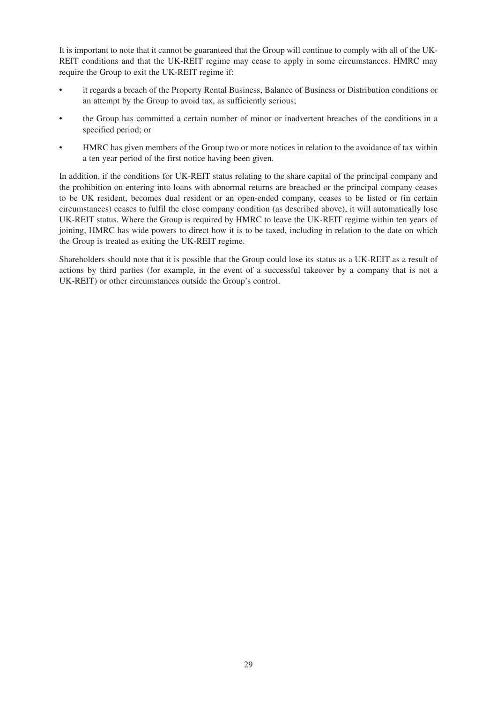It is important to note that it cannot be guaranteed that the Group will continue to comply with all of the UK-REIT conditions and that the UK-REIT regime may cease to apply in some circumstances. HMRC may require the Group to exit the UK-REIT regime if:

- it regards a breach of the Property Rental Business, Balance of Business or Distribution conditions or an attempt by the Group to avoid tax, as sufficiently serious;
- the Group has committed a certain number of minor or inadvertent breaches of the conditions in a specified period; or
- HMRC has given members of the Group two or more notices in relation to the avoidance of tax within a ten year period of the first notice having been given.

In addition, if the conditions for UK-REIT status relating to the share capital of the principal company and the prohibition on entering into loans with abnormal returns are breached or the principal company ceases to be UK resident, becomes dual resident or an open-ended company, ceases to be listed or (in certain circumstances) ceases to fulfil the close company condition (as described above), it will automatically lose UK-REIT status. Where the Group is required by HMRC to leave the UK-REIT regime within ten years of joining, HMRC has wide powers to direct how it is to be taxed, including in relation to the date on which the Group is treated as exiting the UK-REIT regime.

Shareholders should note that it is possible that the Group could lose its status as a UK-REIT as a result of actions by third parties (for example, in the event of a successful takeover by a company that is not a UK-REIT) or other circumstances outside the Group's control.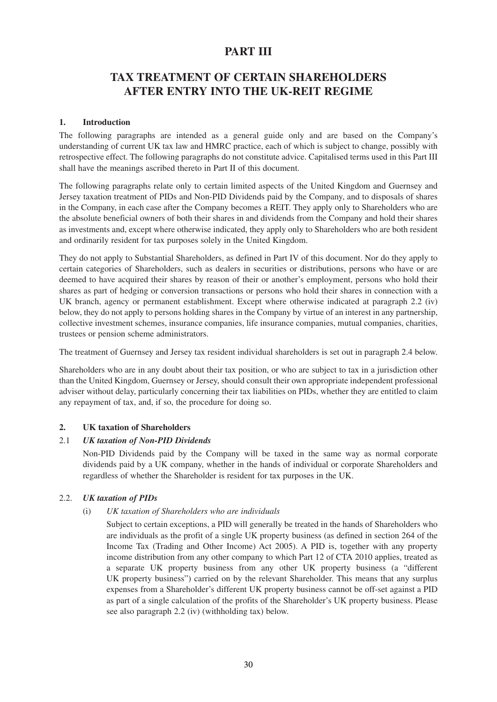## **PART III**

## **TAX TREATMENT OF CERTAIN SHAREHOLDERS AFTER ENTRY INTO THE UK-REIT REGIME**

## **1. Introduction**

The following paragraphs are intended as a general guide only and are based on the Company's understanding of current UK tax law and HMRC practice, each of which is subject to change, possibly with retrospective effect. The following paragraphs do not constitute advice. Capitalised terms used in this Part III shall have the meanings ascribed thereto in Part II of this document.

The following paragraphs relate only to certain limited aspects of the United Kingdom and Guernsey and Jersey taxation treatment of PIDs and Non-PID Dividends paid by the Company, and to disposals of shares in the Company, in each case after the Company becomes a REIT. They apply only to Shareholders who are the absolute beneficial owners of both their shares in and dividends from the Company and hold their shares as investments and, except where otherwise indicated, they apply only to Shareholders who are both resident and ordinarily resident for tax purposes solely in the United Kingdom.

They do not apply to Substantial Shareholders, as defined in Part IV of this document. Nor do they apply to certain categories of Shareholders, such as dealers in securities or distributions, persons who have or are deemed to have acquired their shares by reason of their or another's employment, persons who hold their shares as part of hedging or conversion transactions or persons who hold their shares in connection with a UK branch, agency or permanent establishment. Except where otherwise indicated at paragraph 2.2 (iv) below, they do not apply to persons holding shares in the Company by virtue of an interest in any partnership, collective investment schemes, insurance companies, life insurance companies, mutual companies, charities, trustees or pension scheme administrators.

The treatment of Guernsey and Jersey tax resident individual shareholders is set out in paragraph 2.4 below.

Shareholders who are in any doubt about their tax position, or who are subject to tax in a jurisdiction other than the United Kingdom, Guernsey or Jersey, should consult their own appropriate independent professional adviser without delay, particularly concerning their tax liabilities on PIDs, whether they are entitled to claim any repayment of tax, and, if so, the procedure for doing so.

## **2. UK taxation of Shareholders**

## 2.1 *UK taxation of Non-PID Dividends*

Non-PID Dividends paid by the Company will be taxed in the same way as normal corporate dividends paid by a UK company, whether in the hands of individual or corporate Shareholders and regardless of whether the Shareholder is resident for tax purposes in the UK.

## 2.2. *UK taxation of PIDs*

## (i) *UK taxation of Shareholders who are individuals*

Subject to certain exceptions, a PID will generally be treated in the hands of Shareholders who are individuals as the profit of a single UK property business (as defined in section 264 of the Income Tax (Trading and Other Income) Act 2005). A PID is, together with any property income distribution from any other company to which Part 12 of CTA 2010 applies, treated as a separate UK property business from any other UK property business (a "different UK property business") carried on by the relevant Shareholder. This means that any surplus expenses from a Shareholder's different UK property business cannot be off-set against a PID as part of a single calculation of the profits of the Shareholder's UK property business. Please see also paragraph 2.2 (iv) (withholding tax) below.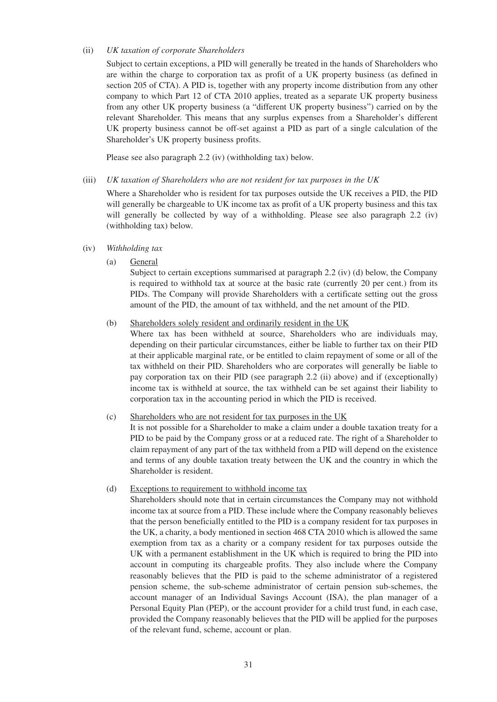#### (ii) *UK taxation of corporate Shareholders*

Subject to certain exceptions, a PID will generally be treated in the hands of Shareholders who are within the charge to corporation tax as profit of a UK property business (as defined in section 205 of CTA). A PID is, together with any property income distribution from any other company to which Part 12 of CTA 2010 applies, treated as a separate UK property business from any other UK property business (a "different UK property business") carried on by the relevant Shareholder. This means that any surplus expenses from a Shareholder's different UK property business cannot be off-set against a PID as part of a single calculation of the Shareholder's UK property business profits.

Please see also paragraph 2.2 (iv) (withholding tax) below.

#### (iii) *UK taxation of Shareholders who are not resident for tax purposes in the UK*

Where a Shareholder who is resident for tax purposes outside the UK receives a PID, the PID will generally be chargeable to UK income tax as profit of a UK property business and this tax will generally be collected by way of a withholding. Please see also paragraph 2.2 (iv) (withholding tax) below.

#### (iv) *Withholding tax*

(a) General

Subject to certain exceptions summarised at paragraph 2.2 (iv) (d) below, the Company is required to withhold tax at source at the basic rate (currently 20 per cent.) from its PIDs. The Company will provide Shareholders with a certificate setting out the gross amount of the PID, the amount of tax withheld, and the net amount of the PID.

#### (b) Shareholders solely resident and ordinarily resident in the UK

Where tax has been withheld at source, Shareholders who are individuals may, depending on their particular circumstances, either be liable to further tax on their PID at their applicable marginal rate, or be entitled to claim repayment of some or all of the tax withheld on their PID. Shareholders who are corporates will generally be liable to pay corporation tax on their PID (see paragraph 2.2 (ii) above) and if (exceptionally) income tax is withheld at source, the tax withheld can be set against their liability to corporation tax in the accounting period in which the PID is received.

## (c) Shareholders who are not resident for tax purposes in the UK

It is not possible for a Shareholder to make a claim under a double taxation treaty for a PID to be paid by the Company gross or at a reduced rate. The right of a Shareholder to claim repayment of any part of the tax withheld from a PID will depend on the existence and terms of any double taxation treaty between the UK and the country in which the Shareholder is resident.

#### (d) Exceptions to requirement to withhold income tax

Shareholders should note that in certain circumstances the Company may not withhold income tax at source from a PID. These include where the Company reasonably believes that the person beneficially entitled to the PID is a company resident for tax purposes in the UK, a charity, a body mentioned in section 468 CTA 2010 which is allowed the same exemption from tax as a charity or a company resident for tax purposes outside the UK with a permanent establishment in the UK which is required to bring the PID into account in computing its chargeable profits. They also include where the Company reasonably believes that the PID is paid to the scheme administrator of a registered pension scheme, the sub-scheme administrator of certain pension sub-schemes, the account manager of an Individual Savings Account (ISA), the plan manager of a Personal Equity Plan (PEP), or the account provider for a child trust fund, in each case, provided the Company reasonably believes that the PID will be applied for the purposes of the relevant fund, scheme, account or plan.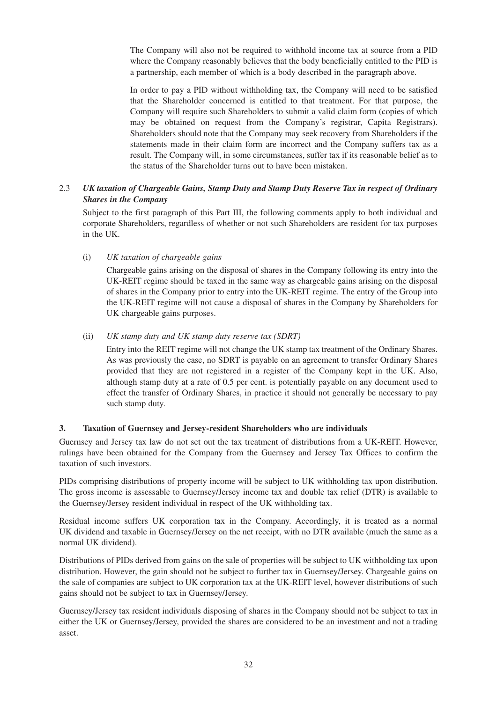The Company will also not be required to withhold income tax at source from a PID where the Company reasonably believes that the body beneficially entitled to the PID is a partnership, each member of which is a body described in the paragraph above.

In order to pay a PID without withholding tax, the Company will need to be satisfied that the Shareholder concerned is entitled to that treatment. For that purpose, the Company will require such Shareholders to submit a valid claim form (copies of which may be obtained on request from the Company's registrar, Capita Registrars). Shareholders should note that the Company may seek recovery from Shareholders if the statements made in their claim form are incorrect and the Company suffers tax as a result. The Company will, in some circumstances, suffer tax if its reasonable belief as to the status of the Shareholder turns out to have been mistaken.

## 2.3 *UK taxation of Chargeable Gains, Stamp Duty and Stamp Duty Reserve Tax in respect of Ordinary Shares in the Company*

Subject to the first paragraph of this Part III, the following comments apply to both individual and corporate Shareholders, regardless of whether or not such Shareholders are resident for tax purposes in the UK.

(i) *UK taxation of chargeable gains*

Chargeable gains arising on the disposal of shares in the Company following its entry into the UK-REIT regime should be taxed in the same way as chargeable gains arising on the disposal of shares in the Company prior to entry into the UK-REIT regime. The entry of the Group into the UK-REIT regime will not cause a disposal of shares in the Company by Shareholders for UK chargeable gains purposes.

(ii) *UK stamp duty and UK stamp duty reserve tax (SDRT)*

Entry into the REIT regime will not change the UK stamp tax treatment of the Ordinary Shares. As was previously the case, no SDRT is payable on an agreement to transfer Ordinary Shares provided that they are not registered in a register of the Company kept in the UK. Also, although stamp duty at a rate of 0.5 per cent. is potentially payable on any document used to effect the transfer of Ordinary Shares, in practice it should not generally be necessary to pay such stamp duty.

## **3. Taxation of Guernsey and Jersey-resident Shareholders who are individuals**

Guernsey and Jersey tax law do not set out the tax treatment of distributions from a UK-REIT. However, rulings have been obtained for the Company from the Guernsey and Jersey Tax Offices to confirm the taxation of such investors.

PIDs comprising distributions of property income will be subject to UK withholding tax upon distribution. The gross income is assessable to Guernsey/Jersey income tax and double tax relief (DTR) is available to the Guernsey/Jersey resident individual in respect of the UK withholding tax.

Residual income suffers UK corporation tax in the Company. Accordingly, it is treated as a normal UK dividend and taxable in Guernsey/Jersey on the net receipt, with no DTR available (much the same as a normal UK dividend).

Distributions of PIDs derived from gains on the sale of properties will be subject to UK withholding tax upon distribution. However, the gain should not be subject to further tax in Guernsey/Jersey. Chargeable gains on the sale of companies are subject to UK corporation tax at the UK-REIT level, however distributions of such gains should not be subject to tax in Guernsey/Jersey.

Guernsey/Jersey tax resident individuals disposing of shares in the Company should not be subject to tax in either the UK or Guernsey/Jersey, provided the shares are considered to be an investment and not a trading asset.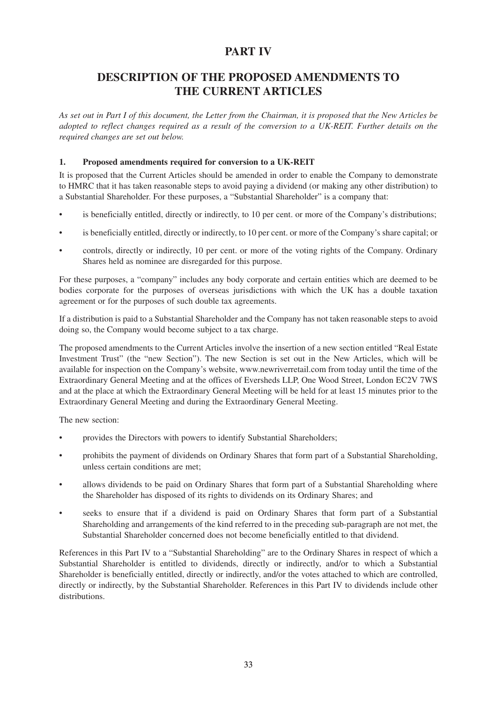## **PART IV**

## **DESCRIPTION OF THE PROPOSED AMENDMENTS TO THE CURRENT ARTICLES**

As set out in Part I of this document, the Letter from the Chairman, it is proposed that the New Articles be adopted to reflect changes required as a result of the conversion to a UK-REIT. Further details on the *required changes are set out below.*

## **1. Proposed amendments required for conversion to a UK-REIT**

It is proposed that the Current Articles should be amended in order to enable the Company to demonstrate to HMRC that it has taken reasonable steps to avoid paying a dividend (or making any other distribution) to a Substantial Shareholder. For these purposes, a "Substantial Shareholder" is a company that:

- is beneficially entitled, directly or indirectly, to 10 per cent. or more of the Company's distributions;
- is beneficially entitled, directly or indirectly, to 10 per cent. or more of the Company's share capital; or
- controls, directly or indirectly, 10 per cent. or more of the voting rights of the Company. Ordinary Shares held as nominee are disregarded for this purpose.

For these purposes, a "company" includes any body corporate and certain entities which are deemed to be bodies corporate for the purposes of overseas jurisdictions with which the UK has a double taxation agreement or for the purposes of such double tax agreements.

If a distribution is paid to a Substantial Shareholder and the Company has not taken reasonable steps to avoid doing so, the Company would become subject to a tax charge.

The proposed amendments to the Current Articles involve the insertion of a new section entitled "Real Estate Investment Trust" (the "new Section"). The new Section is set out in the New Articles, which will be available for inspection on the Company's website, www.newriverretail.com from today until the time of the Extraordinary General Meeting and at the offices of Eversheds LLP, One Wood Street, London EC2V 7WS and at the place at which the Extraordinary General Meeting will be held for at least 15 minutes prior to the Extraordinary General Meeting and during the Extraordinary General Meeting.

The new section:

- provides the Directors with powers to identify Substantial Shareholders;
- prohibits the payment of dividends on Ordinary Shares that form part of a Substantial Shareholding, unless certain conditions are met;
- allows dividends to be paid on Ordinary Shares that form part of a Substantial Shareholding where the Shareholder has disposed of its rights to dividends on its Ordinary Shares; and
- seeks to ensure that if a dividend is paid on Ordinary Shares that form part of a Substantial Shareholding and arrangements of the kind referred to in the preceding sub-paragraph are not met, the Substantial Shareholder concerned does not become beneficially entitled to that dividend.

References in this Part IV to a "Substantial Shareholding" are to the Ordinary Shares in respect of which a Substantial Shareholder is entitled to dividends, directly or indirectly, and/or to which a Substantial Shareholder is beneficially entitled, directly or indirectly, and/or the votes attached to which are controlled, directly or indirectly, by the Substantial Shareholder. References in this Part IV to dividends include other distributions.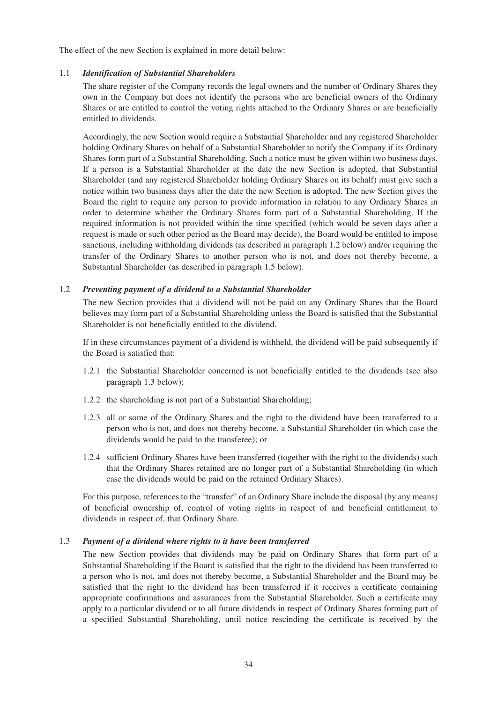The effect of the new Section is explained in more detail below:

## 1.1 *Identification of Substantial Shareholders*

The share register of the Company records the legal owners and the number of Ordinary Shares they own in the Company but does not identify the persons who are beneficial owners of the Ordinary Shares or are entitled to control the voting rights attached to the Ordinary Shares or are beneficially entitled to dividends.

Accordingly, the new Section would require a Substantial Shareholder and any registered Shareholder holding Ordinary Shares on behalf of a Substantial Shareholder to notify the Company if its Ordinary Shares form part of a Substantial Shareholding. Such a notice must be given within two business days. If a person is a Substantial Shareholder at the date the new Section is adopted, that Substantial Shareholder (and any registered Shareholder holding Ordinary Shares on its behalf) must give such a notice within two business days after the date the new Section is adopted. The new Section gives the Board the right to require any person to provide information in relation to any Ordinary Shares in order to determine whether the Ordinary Shares form part of a Substantial Shareholding. If the required information is not provided within the time specified (which would be seven days after a request is made or such other period as the Board may decide), the Board would be entitled to impose sanctions, including withholding dividends (as described in paragraph 1.2 below) and/or requiring the transfer of the Ordinary Shares to another person who is not, and does not thereby become, a Substantial Shareholder (as described in paragraph 1.5 below).

#### 1.2 *Preventing payment of a dividend to a Substantial Shareholder*

The new Section provides that a dividend will not be paid on any Ordinary Shares that the Board believes may form part of a Substantial Shareholding unless the Board is satisfied that the Substantial Shareholder is not beneficially entitled to the dividend.

If in these circumstances payment of a dividend is withheld, the dividend will be paid subsequently if the Board is satisfied that:

- 1.2.1 the Substantial Shareholder concerned is not beneficially entitled to the dividends (see also paragraph 1.3 below);
- 1.2.2 the shareholding is not part of a Substantial Shareholding;
- 1.2.3 all or some of the Ordinary Shares and the right to the dividend have been transferred to a person who is not, and does not thereby become, a Substantial Shareholder (in which case the dividends would be paid to the transferee); or
- 1.2.4 sufficient Ordinary Shares have been transferred (together with the right to the dividends) such that the Ordinary Shares retained are no longer part of a Substantial Shareholding (in which case the dividends would be paid on the retained Ordinary Shares).

For this purpose, references to the "transfer" of an Ordinary Share include the disposal (by any means) of beneficial ownership of, control of voting rights in respect of and beneficial entitlement to dividends in respect of, that Ordinary Share.

#### 1.3 *Payment of a dividend where rights to it have been transferred*

The new Section provides that dividends may be paid on Ordinary Shares that form part of a Substantial Shareholding if the Board is satisfied that the right to the dividend has been transferred to a person who is not, and does not thereby become, a Substantial Shareholder and the Board may be satisfied that the right to the dividend has been transferred if it receives a certificate containing appropriate confirmations and assurances from the Substantial Shareholder. Such a certificate may apply to a particular dividend or to all future dividends in respect of Ordinary Shares forming part of a specified Substantial Shareholding, until notice rescinding the certificate is received by the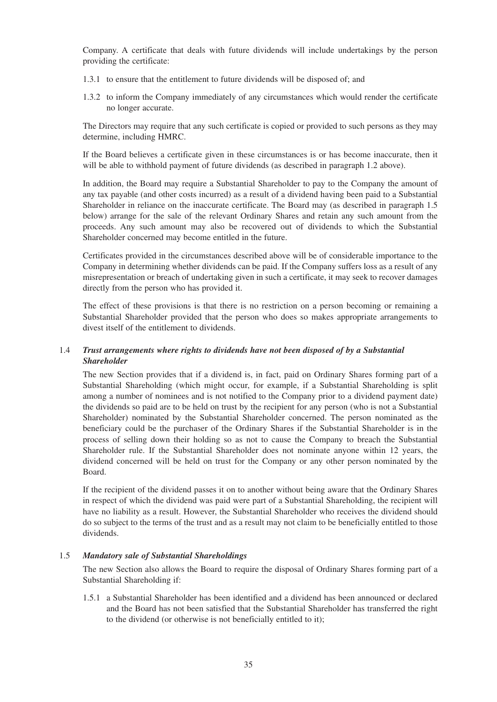Company. A certificate that deals with future dividends will include undertakings by the person providing the certificate:

- 1.3.1 to ensure that the entitlement to future dividends will be disposed of; and
- 1.3.2 to inform the Company immediately of any circumstances which would render the certificate no longer accurate.

The Directors may require that any such certificate is copied or provided to such persons as they may determine, including HMRC.

If the Board believes a certificate given in these circumstances is or has become inaccurate, then it will be able to withhold payment of future dividends (as described in paragraph 1.2 above).

In addition, the Board may require a Substantial Shareholder to pay to the Company the amount of any tax payable (and other costs incurred) as a result of a dividend having been paid to a Substantial Shareholder in reliance on the inaccurate certificate. The Board may (as described in paragraph 1.5 below) arrange for the sale of the relevant Ordinary Shares and retain any such amount from the proceeds. Any such amount may also be recovered out of dividends to which the Substantial Shareholder concerned may become entitled in the future.

Certificates provided in the circumstances described above will be of considerable importance to the Company in determining whether dividends can be paid. If the Company suffers loss as a result of any misrepresentation or breach of undertaking given in such a certificate, it may seek to recover damages directly from the person who has provided it.

The effect of these provisions is that there is no restriction on a person becoming or remaining a Substantial Shareholder provided that the person who does so makes appropriate arrangements to divest itself of the entitlement to dividends.

## 1.4 *Trust arrangements where rights to dividends have not been disposed of by a Substantial Shareholder*

The new Section provides that if a dividend is, in fact, paid on Ordinary Shares forming part of a Substantial Shareholding (which might occur, for example, if a Substantial Shareholding is split among a number of nominees and is not notified to the Company prior to a dividend payment date) the dividends so paid are to be held on trust by the recipient for any person (who is not a Substantial Shareholder) nominated by the Substantial Shareholder concerned. The person nominated as the beneficiary could be the purchaser of the Ordinary Shares if the Substantial Shareholder is in the process of selling down their holding so as not to cause the Company to breach the Substantial Shareholder rule. If the Substantial Shareholder does not nominate anyone within 12 years, the dividend concerned will be held on trust for the Company or any other person nominated by the Board.

If the recipient of the dividend passes it on to another without being aware that the Ordinary Shares in respect of which the dividend was paid were part of a Substantial Shareholding, the recipient will have no liability as a result. However, the Substantial Shareholder who receives the dividend should do so subject to the terms of the trust and as a result may not claim to be beneficially entitled to those dividends.

## 1.5 *Mandatory sale of Substantial Shareholdings*

The new Section also allows the Board to require the disposal of Ordinary Shares forming part of a Substantial Shareholding if:

1.5.1 a Substantial Shareholder has been identified and a dividend has been announced or declared and the Board has not been satisfied that the Substantial Shareholder has transferred the right to the dividend (or otherwise is not beneficially entitled to it);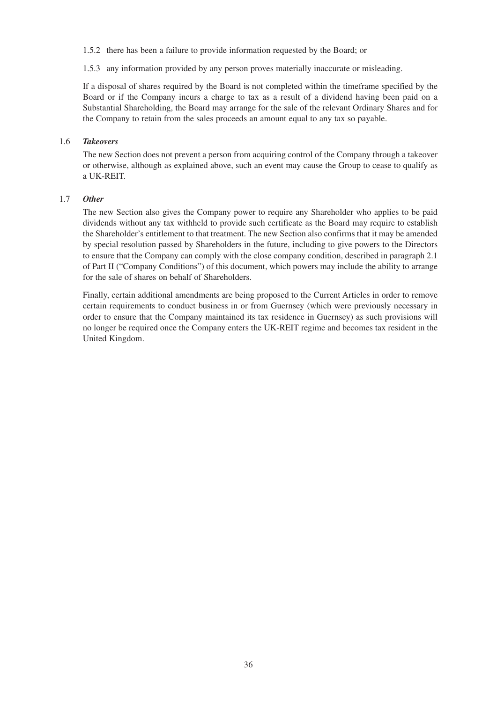1.5.2 there has been a failure to provide information requested by the Board; or

1.5.3 any information provided by any person proves materially inaccurate or misleading.

If a disposal of shares required by the Board is not completed within the timeframe specified by the Board or if the Company incurs a charge to tax as a result of a dividend having been paid on a Substantial Shareholding, the Board may arrange for the sale of the relevant Ordinary Shares and for the Company to retain from the sales proceeds an amount equal to any tax so payable.

## 1.6 *Takeovers*

The new Section does not prevent a person from acquiring control of the Company through a takeover or otherwise, although as explained above, such an event may cause the Group to cease to qualify as a UK-REIT.

## 1.7 *Other*

The new Section also gives the Company power to require any Shareholder who applies to be paid dividends without any tax withheld to provide such certificate as the Board may require to establish the Shareholder's entitlement to that treatment. The new Section also confirms that it may be amended by special resolution passed by Shareholders in the future, including to give powers to the Directors to ensure that the Company can comply with the close company condition, described in paragraph 2.1 of Part II ("Company Conditions") of this document, which powers may include the ability to arrange for the sale of shares on behalf of Shareholders.

Finally, certain additional amendments are being proposed to the Current Articles in order to remove certain requirements to conduct business in or from Guernsey (which were previously necessary in order to ensure that the Company maintained its tax residence in Guernsey) as such provisions will no longer be required once the Company enters the UK-REIT regime and becomes tax resident in the United Kingdom.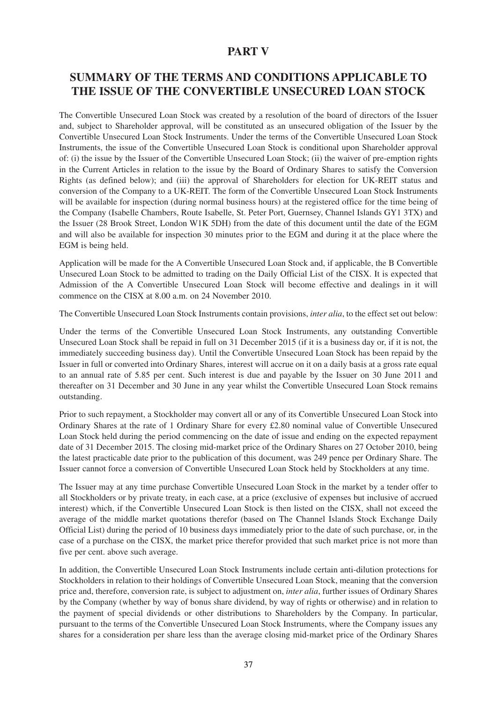## **PART V**

## **SUMMARY OF THE TERMS AND CONDITIONS APPLICABLE TO THE ISSUE OF THE CONVERTIBLE UNSECURED LOAN STOCK**

The Convertible Unsecured Loan Stock was created by a resolution of the board of directors of the Issuer and, subject to Shareholder approval, will be constituted as an unsecured obligation of the Issuer by the Convertible Unsecured Loan Stock Instruments. Under the terms of the Convertible Unsecured Loan Stock Instruments, the issue of the Convertible Unsecured Loan Stock is conditional upon Shareholder approval of: (i) the issue by the Issuer of the Convertible Unsecured Loan Stock; (ii) the waiver of pre-emption rights in the Current Articles in relation to the issue by the Board of Ordinary Shares to satisfy the Conversion Rights (as defined below); and (iii) the approval of Shareholders for election for UK-REIT status and conversion of the Company to a UK-REIT. The form of the Convertible Unsecured Loan Stock Instruments will be available for inspection (during normal business hours) at the registered office for the time being of the Company (Isabelle Chambers, Route Isabelle, St. Peter Port, Guernsey, Channel Islands GY1 3TX) and the Issuer (28 Brook Street, London W1K 5DH) from the date of this document until the date of the EGM and will also be available for inspection 30 minutes prior to the EGM and during it at the place where the EGM is being held.

Application will be made for the A Convertible Unsecured Loan Stock and, if applicable, the B Convertible Unsecured Loan Stock to be admitted to trading on the Daily Official List of the CISX. It is expected that Admission of the A Convertible Unsecured Loan Stock will become effective and dealings in it will commence on the CISX at 8.00 a.m. on 24 November 2010.

The Convertible Unsecured Loan Stock Instruments contain provisions, *inter alia*, to the effect set out below:

Under the terms of the Convertible Unsecured Loan Stock Instruments, any outstanding Convertible Unsecured Loan Stock shall be repaid in full on 31 December 2015 (if it is a business day or, if it is not, the immediately succeeding business day). Until the Convertible Unsecured Loan Stock has been repaid by the Issuer in full or converted into Ordinary Shares, interest will accrue on it on a daily basis at a gross rate equal to an annual rate of 5.85 per cent. Such interest is due and payable by the Issuer on 30 June 2011 and thereafter on 31 December and 30 June in any year whilst the Convertible Unsecured Loan Stock remains outstanding.

Prior to such repayment, a Stockholder may convert all or any of its Convertible Unsecured Loan Stock into Ordinary Shares at the rate of 1 Ordinary Share for every £2.80 nominal value of Convertible Unsecured Loan Stock held during the period commencing on the date of issue and ending on the expected repayment date of 31 December 2015. The closing mid-market price of the Ordinary Shares on 27 October 2010, being the latest practicable date prior to the publication of this document, was 249 pence per Ordinary Share. The Issuer cannot force a conversion of Convertible Unsecured Loan Stock held by Stockholders at any time.

The Issuer may at any time purchase Convertible Unsecured Loan Stock in the market by a tender offer to all Stockholders or by private treaty, in each case, at a price (exclusive of expenses but inclusive of accrued interest) which, if the Convertible Unsecured Loan Stock is then listed on the CISX, shall not exceed the average of the middle market quotations therefor (based on The Channel Islands Stock Exchange Daily Official List) during the period of 10 business days immediately prior to the date of such purchase, or, in the case of a purchase on the CISX, the market price therefor provided that such market price is not more than five per cent. above such average.

In addition, the Convertible Unsecured Loan Stock Instruments include certain anti-dilution protections for Stockholders in relation to their holdings of Convertible Unsecured Loan Stock, meaning that the conversion price and, therefore, conversion rate, is subject to adjustment on, *inter alia*, further issues of Ordinary Shares by the Company (whether by way of bonus share dividend, by way of rights or otherwise) and in relation to the payment of special dividends or other distributions to Shareholders by the Company. In particular, pursuant to the terms of the Convertible Unsecured Loan Stock Instruments, where the Company issues any shares for a consideration per share less than the average closing mid-market price of the Ordinary Shares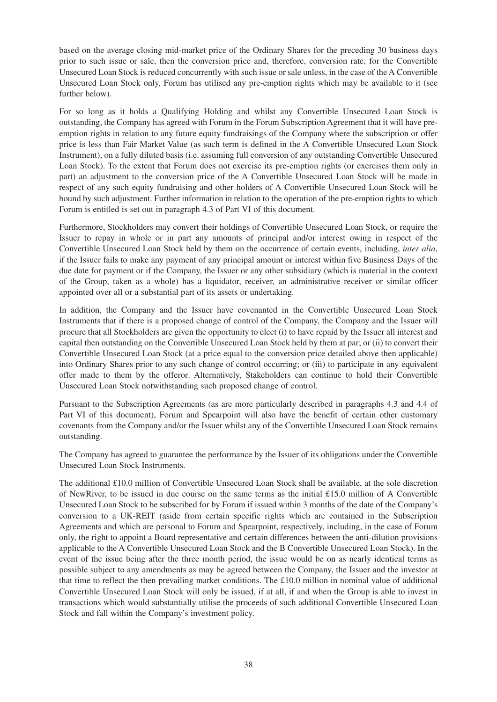based on the average closing mid-market price of the Ordinary Shares for the preceding 30 business days prior to such issue or sale, then the conversion price and, therefore, conversion rate, for the Convertible Unsecured Loan Stock is reduced concurrently with such issue or sale unless, in the case of the A Convertible Unsecured Loan Stock only, Forum has utilised any pre-emption rights which may be available to it (see further below).

For so long as it holds a Qualifying Holding and whilst any Convertible Unsecured Loan Stock is outstanding, the Company has agreed with Forum in the Forum Subscription Agreement that it will have preemption rights in relation to any future equity fundraisings of the Company where the subscription or offer price is less than Fair Market Value (as such term is defined in the A Convertible Unsecured Loan Stock Instrument), on a fully diluted basis (i.e. assuming full conversion of any outstanding Convertible Unsecured Loan Stock). To the extent that Forum does not exercise its pre-emption rights (or exercises them only in part) an adjustment to the conversion price of the A Convertible Unsecured Loan Stock will be made in respect of any such equity fundraising and other holders of A Convertible Unsecured Loan Stock will be bound by such adjustment. Further information in relation to the operation of the pre-emption rights to which Forum is entitled is set out in paragraph 4.3 of Part VI of this document.

Furthermore, Stockholders may convert their holdings of Convertible Unsecured Loan Stock, or require the Issuer to repay in whole or in part any amounts of principal and/or interest owing in respect of the Convertible Unsecured Loan Stock held by them on the occurrence of certain events, including, *inter alia*, if the Issuer fails to make any payment of any principal amount or interest within five Business Days of the due date for payment or if the Company, the Issuer or any other subsidiary (which is material in the context of the Group, taken as a whole) has a liquidator, receiver, an administrative receiver or similar officer appointed over all or a substantial part of its assets or undertaking.

In addition, the Company and the Issuer have covenanted in the Convertible Unsecured Loan Stock Instruments that if there is a proposed change of control of the Company, the Company and the Issuer will procure that all Stockholders are given the opportunity to elect (i) to have repaid by the Issuer all interest and capital then outstanding on the Convertible Unsecured Loan Stock held by them at par; or (ii) to convert their Convertible Unsecured Loan Stock (at a price equal to the conversion price detailed above then applicable) into Ordinary Shares prior to any such change of control occurring; or (iii) to participate in any equivalent offer made to them by the offeror. Alternatively, Stakeholders can continue to hold their Convertible Unsecured Loan Stock notwithstanding such proposed change of control.

Pursuant to the Subscription Agreements (as are more particularly described in paragraphs 4.3 and 4.4 of Part VI of this document), Forum and Spearpoint will also have the benefit of certain other customary covenants from the Company and/or the Issuer whilst any of the Convertible Unsecured Loan Stock remains outstanding.

The Company has agreed to guarantee the performance by the Issuer of its obligations under the Convertible Unsecured Loan Stock Instruments.

The additional £10.0 million of Convertible Unsecured Loan Stock shall be available, at the sole discretion of NewRiver, to be issued in due course on the same terms as the initial £15.0 million of A Convertible Unsecured Loan Stock to be subscribed for by Forum if issued within 3 months of the date of the Company's conversion to a UK-REIT (aside from certain specific rights which are contained in the Subscription Agreements and which are personal to Forum and Spearpoint, respectively, including, in the case of Forum only, the right to appoint a Board representative and certain differences between the anti-dilution provisions applicable to the A Convertible Unsecured Loan Stock and the B Convertible Unsecured Loan Stock). In the event of the issue being after the three month period, the issue would be on as nearly identical terms as possible subject to any amendments as may be agreed between the Company, the Issuer and the investor at that time to reflect the then prevailing market conditions. The £10.0 million in nominal value of additional Convertible Unsecured Loan Stock will only be issued, if at all, if and when the Group is able to invest in transactions which would substantially utilise the proceeds of such additional Convertible Unsecured Loan Stock and fall within the Company's investment policy.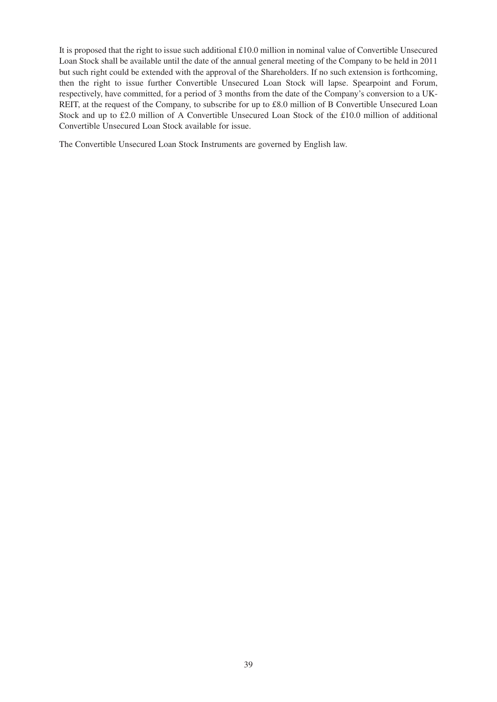It is proposed that the right to issue such additional £10.0 million in nominal value of Convertible Unsecured Loan Stock shall be available until the date of the annual general meeting of the Company to be held in 2011 but such right could be extended with the approval of the Shareholders. If no such extension is forthcoming, then the right to issue further Convertible Unsecured Loan Stock will lapse. Spearpoint and Forum, respectively, have committed, for a period of 3 months from the date of the Company's conversion to a UK-REIT, at the request of the Company, to subscribe for up to £8.0 million of B Convertible Unsecured Loan Stock and up to £2.0 million of A Convertible Unsecured Loan Stock of the £10.0 million of additional Convertible Unsecured Loan Stock available for issue.

The Convertible Unsecured Loan Stock Instruments are governed by English law.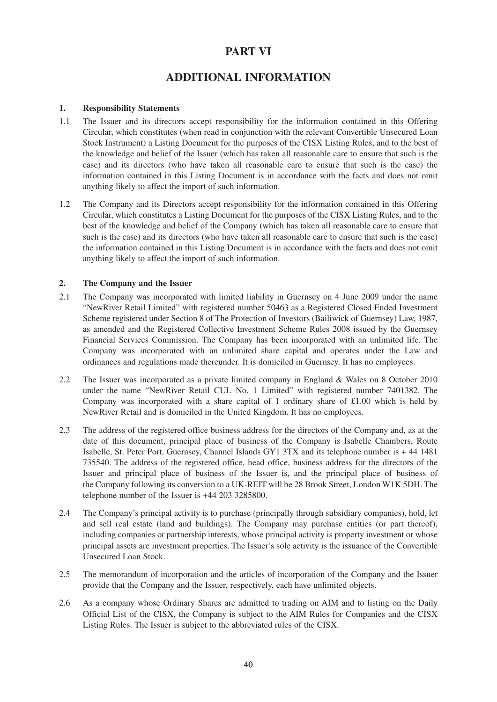## **PART VI**

## **ADDITIONAL INFORMATION**

## **1. Responsibility Statements**

- 1.1 The Issuer and its directors accept responsibility for the information contained in this Offering Circular, which constitutes (when read in conjunction with the relevant Convertible Unsecured Loan Stock Instrument) a Listing Document for the purposes of the CISX Listing Rules, and to the best of the knowledge and belief of the Issuer (which has taken all reasonable care to ensure that such is the case) and its directors (who have taken all reasonable care to ensure that such is the case) the information contained in this Listing Document is in accordance with the facts and does not omit anything likely to affect the import of such information.
- 1.2 The Company and its Directors accept responsibility for the information contained in this Offering Circular, which constitutes a Listing Document for the purposes of the CISX Listing Rules, and to the best of the knowledge and belief of the Company (which has taken all reasonable care to ensure that such is the case) and its directors (who have taken all reasonable care to ensure that such is the case) the information contained in this Listing Document is in accordance with the facts and does not omit anything likely to affect the import of such information.

## **2. The Company and the Issuer**

- 2.1 The Company was incorporated with limited liability in Guernsey on 4 June 2009 under the name "NewRiver Retail Limited" with registered number 50463 as a Registered Closed Ended Investment Scheme registered under Section 8 of The Protection of Investors (Bailiwick of Guernsey) Law, 1987, as amended and the Registered Collective Investment Scheme Rules 2008 issued by the Guernsey Financial Services Commission. The Company has been incorporated with an unlimited life. The Company was incorporated with an unlimited share capital and operates under the Law and ordinances and regulations made thereunder. It is domiciled in Guernsey. It has no employees.
- 2.2 The Issuer was incorporated as a private limited company in England & Wales on 8 October 2010 under the name "NewRiver Retail CUL No. 1 Limited" with registered number 7401382. The Company was incorporated with a share capital of 1 ordinary share of  $\pounds1.00$  which is held by NewRiver Retail and is domiciled in the United Kingdom. It has no employees.
- 2.3 The address of the registered office business address for the directors of the Company and, as at the date of this document, principal place of business of the Company is Isabelle Chambers, Route Isabelle, St. Peter Port, Guernsey, Channel Islands GY1 3TX and its telephone number is + 44 1481 735540. The address of the registered office, head office, business address for the directors of the Issuer and principal place of business of the Issuer is, and the principal place of business of the Company following its conversion to a UK-REIT will be 28 Brook Street, London W1K 5DH. The telephone number of the Issuer is +44 203 3285800.
- 2.4 The Company's principal activity is to purchase (principally through subsidiary companies), hold, let and sell real estate (land and buildings). The Company may purchase entities (or part thereof), including companies or partnership interests, whose principal activity is property investment or whose principal assets are investment properties. The Issuer's sole activity is the issuance of the Convertible Unsecured Loan Stock.
- 2.5 The memorandum of incorporation and the articles of incorporation of the Company and the Issuer provide that the Company and the Issuer, respectively, each have unlimited objects.
- 2.6 As a company whose Ordinary Shares are admitted to trading on AIM and to listing on the Daily Official List of the CISX, the Company is subject to the AIM Rules for Companies and the CISX Listing Rules. The Issuer is subject to the abbreviated rules of the CISX.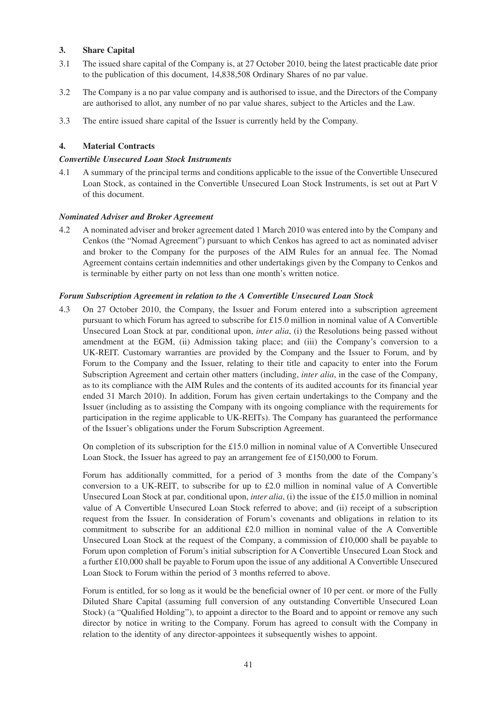## **3. Share Capital**

- 3.1 The issued share capital of the Company is, at 27 October 2010, being the latest practicable date prior to the publication of this document, 14,838,508 Ordinary Shares of no par value.
- 3.2 The Company is a no par value company and is authorised to issue, and the Directors of the Company are authorised to allot, any number of no par value shares, subject to the Articles and the Law.
- 3.3 The entire issued share capital of the Issuer is currently held by the Company.

## **4. Material Contracts**

## *Convertible Unsecured Loan Stock Instruments*

4.1 A summary of the principal terms and conditions applicable to the issue of the Convertible Unsecured Loan Stock, as contained in the Convertible Unsecured Loan Stock Instruments, is set out at Part V of this document.

## *Nominated Adviser and Broker Agreement*

4.2 A nominated adviser and broker agreement dated 1 March 2010 was entered into by the Company and Cenkos (the "Nomad Agreement") pursuant to which Cenkos has agreed to act as nominated adviser and broker to the Company for the purposes of the AIM Rules for an annual fee. The Nomad Agreement contains certain indemnities and other undertakings given by the Company to Cenkos and is terminable by either party on not less than one month's written notice.

## *Forum Subscription Agreement in relation to the A Convertible Unsecured Loan Stock*

4.3 On 27 October 2010, the Company, the Issuer and Forum entered into a subscription agreement pursuant to which Forum has agreed to subscribe for £15.0 million in nominal value of A Convertible Unsecured Loan Stock at par, conditional upon, *inter alia*, (i) the Resolutions being passed without amendment at the EGM, (ii) Admission taking place; and (iii) the Company's conversion to a UK-REIT. Customary warranties are provided by the Company and the Issuer to Forum, and by Forum to the Company and the Issuer, relating to their title and capacity to enter into the Forum Subscription Agreement and certain other matters (including, *inter alia*, in the case of the Company, as to its compliance with the AIM Rules and the contents of its audited accounts for its financial year ended 31 March 2010). In addition, Forum has given certain undertakings to the Company and the Issuer (including as to assisting the Company with its ongoing compliance with the requirements for participation in the regime applicable to UK-REITs). The Company has guaranteed the performance of the Issuer's obligations under the Forum Subscription Agreement.

On completion of its subscription for the £15.0 million in nominal value of A Convertible Unsecured Loan Stock, the Issuer has agreed to pay an arrangement fee of £150,000 to Forum.

Forum has additionally committed, for a period of 3 months from the date of the Company's conversion to a UK-REIT, to subscribe for up to £2.0 million in nominal value of A Convertible Unsecured Loan Stock at par, conditional upon, *inter alia*, (i) the issue of the £15.0 million in nominal value of A Convertible Unsecured Loan Stock referred to above; and (ii) receipt of a subscription request from the Issuer. In consideration of Forum's covenants and obligations in relation to its commitment to subscribe for an additional £2.0 million in nominal value of the A Convertible Unsecured Loan Stock at the request of the Company, a commission of £10,000 shall be payable to Forum upon completion of Forum's initial subscription for A Convertible Unsecured Loan Stock and a further £10,000 shall be payable to Forum upon the issue of any additional A Convertible Unsecured Loan Stock to Forum within the period of 3 months referred to above.

Forum is entitled, for so long as it would be the beneficial owner of 10 per cent. or more of the Fully Diluted Share Capital (assuming full conversion of any outstanding Convertible Unsecured Loan Stock) (a "Qualified Holding"), to appoint a director to the Board and to appoint or remove any such director by notice in writing to the Company. Forum has agreed to consult with the Company in relation to the identity of any director-appointees it subsequently wishes to appoint.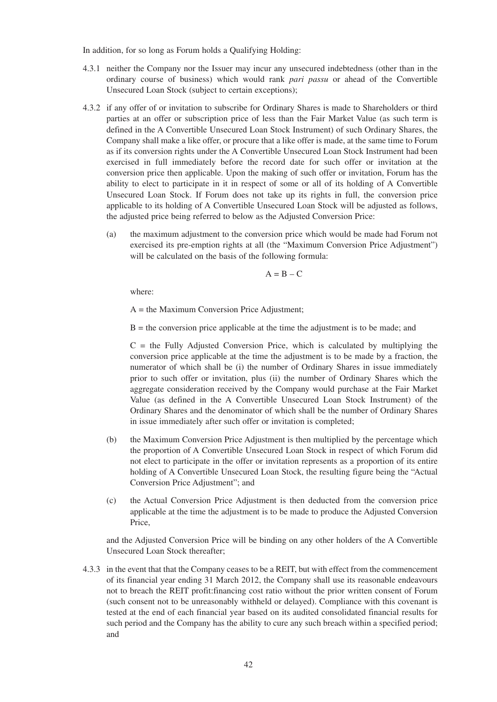In addition, for so long as Forum holds a Qualifying Holding:

- 4.3.1 neither the Company nor the Issuer may incur any unsecured indebtedness (other than in the ordinary course of business) which would rank *pari passu* or ahead of the Convertible Unsecured Loan Stock (subject to certain exceptions);
- 4.3.2 if any offer of or invitation to subscribe for Ordinary Shares is made to Shareholders or third parties at an offer or subscription price of less than the Fair Market Value (as such term is defined in the A Convertible Unsecured Loan Stock Instrument) of such Ordinary Shares, the Company shall make a like offer, or procure that a like offer is made, at the same time to Forum as if its conversion rights under the A Convertible Unsecured Loan Stock Instrument had been exercised in full immediately before the record date for such offer or invitation at the conversion price then applicable. Upon the making of such offer or invitation, Forum has the ability to elect to participate in it in respect of some or all of its holding of A Convertible Unsecured Loan Stock. If Forum does not take up its rights in full, the conversion price applicable to its holding of A Convertible Unsecured Loan Stock will be adjusted as follows, the adjusted price being referred to below as the Adjusted Conversion Price:
	- (a) the maximum adjustment to the conversion price which would be made had Forum not exercised its pre-emption rights at all (the "Maximum Conversion Price Adjustment") will be calculated on the basis of the following formula:

$$
A = B - C
$$

where:

A = the Maximum Conversion Price Adjustment;

 $B =$  the conversion price applicable at the time the adjustment is to be made; and

 $C =$  the Fully Adjusted Conversion Price, which is calculated by multiplying the conversion price applicable at the time the adjustment is to be made by a fraction, the numerator of which shall be (i) the number of Ordinary Shares in issue immediately prior to such offer or invitation, plus (ii) the number of Ordinary Shares which the aggregate consideration received by the Company would purchase at the Fair Market Value (as defined in the A Convertible Unsecured Loan Stock Instrument) of the Ordinary Shares and the denominator of which shall be the number of Ordinary Shares in issue immediately after such offer or invitation is completed;

- (b) the Maximum Conversion Price Adjustment is then multiplied by the percentage which the proportion of A Convertible Unsecured Loan Stock in respect of which Forum did not elect to participate in the offer or invitation represents as a proportion of its entire holding of A Convertible Unsecured Loan Stock, the resulting figure being the "Actual Conversion Price Adjustment"; and
- (c) the Actual Conversion Price Adjustment is then deducted from the conversion price applicable at the time the adjustment is to be made to produce the Adjusted Conversion Price,

and the Adjusted Conversion Price will be binding on any other holders of the A Convertible Unsecured Loan Stock thereafter;

4.3.3 in the event that that the Company ceases to be a REIT, but with effect from the commencement of its financial year ending 31 March 2012, the Company shall use its reasonable endeavours not to breach the REIT profit:financing cost ratio without the prior written consent of Forum (such consent not to be unreasonably withheld or delayed). Compliance with this covenant is tested at the end of each financial year based on its audited consolidated financial results for such period and the Company has the ability to cure any such breach within a specified period; and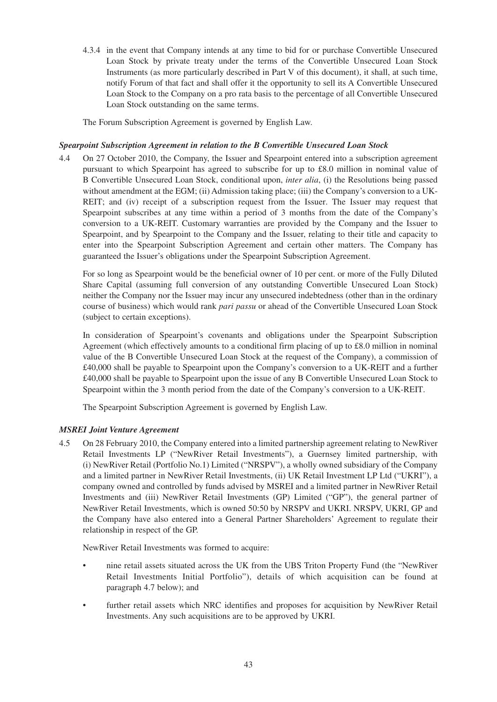4.3.4 in the event that Company intends at any time to bid for or purchase Convertible Unsecured Loan Stock by private treaty under the terms of the Convertible Unsecured Loan Stock Instruments (as more particularly described in Part V of this document), it shall, at such time, notify Forum of that fact and shall offer it the opportunity to sell its A Convertible Unsecured Loan Stock to the Company on a pro rata basis to the percentage of all Convertible Unsecured Loan Stock outstanding on the same terms.

The Forum Subscription Agreement is governed by English Law.

## *Spearpoint Subscription Agreement in relation to the B Convertible Unsecured Loan Stock*

4.4 On 27 October 2010, the Company, the Issuer and Spearpoint entered into a subscription agreement pursuant to which Spearpoint has agreed to subscribe for up to £8.0 million in nominal value of B Convertible Unsecured Loan Stock, conditional upon, *inter alia*, (i) the Resolutions being passed without amendment at the EGM; (ii) Admission taking place; (iii) the Company's conversion to a UK-REIT; and (iv) receipt of a subscription request from the Issuer. The Issuer may request that Spearpoint subscribes at any time within a period of 3 months from the date of the Company's conversion to a UK-REIT. Customary warranties are provided by the Company and the Issuer to Spearpoint, and by Spearpoint to the Company and the Issuer, relating to their title and capacity to enter into the Spearpoint Subscription Agreement and certain other matters. The Company has guaranteed the Issuer's obligations under the Spearpoint Subscription Agreement.

For so long as Spearpoint would be the beneficial owner of 10 per cent. or more of the Fully Diluted Share Capital (assuming full conversion of any outstanding Convertible Unsecured Loan Stock) neither the Company nor the Issuer may incur any unsecured indebtedness (other than in the ordinary course of business) which would rank *pari passu* or ahead of the Convertible Unsecured Loan Stock (subject to certain exceptions).

In consideration of Spearpoint's covenants and obligations under the Spearpoint Subscription Agreement (which effectively amounts to a conditional firm placing of up to £8.0 million in nominal value of the B Convertible Unsecured Loan Stock at the request of the Company), a commission of £40,000 shall be payable to Spearpoint upon the Company's conversion to a UK-REIT and a further £40,000 shall be payable to Spearpoint upon the issue of any B Convertible Unsecured Loan Stock to Spearpoint within the 3 month period from the date of the Company's conversion to a UK-REIT.

The Spearpoint Subscription Agreement is governed by English Law.

## *MSREI Joint Venture Agreement*

4.5 On 28 February 2010, the Company entered into a limited partnership agreement relating to NewRiver Retail Investments LP ("NewRiver Retail Investments"), a Guernsey limited partnership, with (i) NewRiver Retail (Portfolio No.1) Limited ("NRSPV"), a wholly owned subsidiary of the Company and a limited partner in NewRiver Retail Investments, (ii) UK Retail Investment LP Ltd ("UKRI"), a company owned and controlled by funds advised by MSREI and a limited partner in NewRiver Retail Investments and (iii) NewRiver Retail Investments (GP) Limited ("GP"), the general partner of NewRiver Retail Investments, which is owned 50:50 by NRSPV and UKRI. NRSPV, UKRI, GP and the Company have also entered into a General Partner Shareholders' Agreement to regulate their relationship in respect of the GP.

NewRiver Retail Investments was formed to acquire:

- nine retail assets situated across the UK from the UBS Triton Property Fund (the "NewRiver" Retail Investments Initial Portfolio"), details of which acquisition can be found at paragraph 4.7 below); and
- further retail assets which NRC identifies and proposes for acquisition by NewRiver Retail Investments. Any such acquisitions are to be approved by UKRI.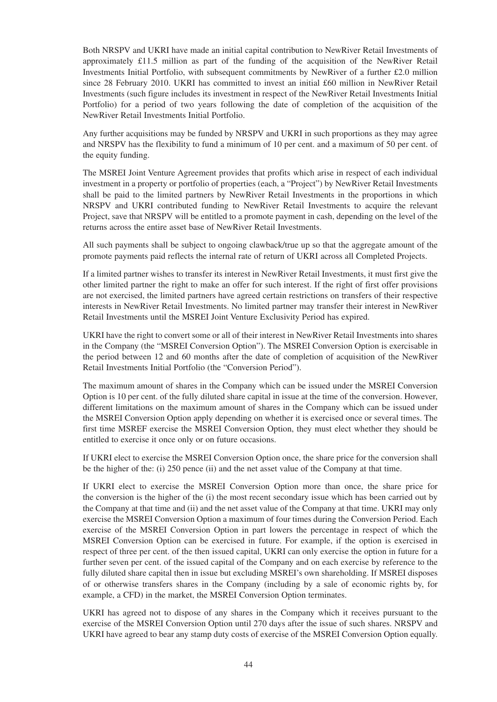Both NRSPV and UKRI have made an initial capital contribution to NewRiver Retail Investments of approximately £11.5 million as part of the funding of the acquisition of the NewRiver Retail Investments Initial Portfolio, with subsequent commitments by NewRiver of a further £2.0 million since 28 February 2010. UKRI has committed to invest an initial £60 million in NewRiver Retail Investments (such figure includes its investment in respect of the NewRiver Retail Investments Initial Portfolio) for a period of two years following the date of completion of the acquisition of the NewRiver Retail Investments Initial Portfolio.

Any further acquisitions may be funded by NRSPV and UKRI in such proportions as they may agree and NRSPV has the flexibility to fund a minimum of 10 per cent. and a maximum of 50 per cent. of the equity funding.

The MSREI Joint Venture Agreement provides that profits which arise in respect of each individual investment in a property or portfolio of properties (each, a "Project") by NewRiver Retail Investments shall be paid to the limited partners by NewRiver Retail Investments in the proportions in which NRSPV and UKRI contributed funding to NewRiver Retail Investments to acquire the relevant Project, save that NRSPV will be entitled to a promote payment in cash, depending on the level of the returns across the entire asset base of NewRiver Retail Investments.

All such payments shall be subject to ongoing clawback/true up so that the aggregate amount of the promote payments paid reflects the internal rate of return of UKRI across all Completed Projects.

If a limited partner wishes to transfer its interest in NewRiver Retail Investments, it must first give the other limited partner the right to make an offer for such interest. If the right of first offer provisions are not exercised, the limited partners have agreed certain restrictions on transfers of their respective interests in NewRiver Retail Investments. No limited partner may transfer their interest in NewRiver Retail Investments until the MSREI Joint Venture Exclusivity Period has expired.

UKRI have the right to convert some or all of their interest in NewRiver Retail Investments into shares in the Company (the "MSREI Conversion Option"). The MSREI Conversion Option is exercisable in the period between 12 and 60 months after the date of completion of acquisition of the NewRiver Retail Investments Initial Portfolio (the "Conversion Period").

The maximum amount of shares in the Company which can be issued under the MSREI Conversion Option is 10 per cent. of the fully diluted share capital in issue at the time of the conversion. However, different limitations on the maximum amount of shares in the Company which can be issued under the MSREI Conversion Option apply depending on whether it is exercised once or several times. The first time MSREF exercise the MSREI Conversion Option, they must elect whether they should be entitled to exercise it once only or on future occasions.

If UKRI elect to exercise the MSREI Conversion Option once, the share price for the conversion shall be the higher of the: (i) 250 pence (ii) and the net asset value of the Company at that time.

If UKRI elect to exercise the MSREI Conversion Option more than once, the share price for the conversion is the higher of the (i) the most recent secondary issue which has been carried out by the Company at that time and (ii) and the net asset value of the Company at that time. UKRI may only exercise the MSREI Conversion Option a maximum of four times during the Conversion Period. Each exercise of the MSREI Conversion Option in part lowers the percentage in respect of which the MSREI Conversion Option can be exercised in future. For example, if the option is exercised in respect of three per cent. of the then issued capital, UKRI can only exercise the option in future for a further seven per cent. of the issued capital of the Company and on each exercise by reference to the fully diluted share capital then in issue but excluding MSREI's own shareholding. If MSREI disposes of or otherwise transfers shares in the Company (including by a sale of economic rights by, for example, a CFD) in the market, the MSREI Conversion Option terminates.

UKRI has agreed not to dispose of any shares in the Company which it receives pursuant to the exercise of the MSREI Conversion Option until 270 days after the issue of such shares. NRSPV and UKRI have agreed to bear any stamp duty costs of exercise of the MSREI Conversion Option equally.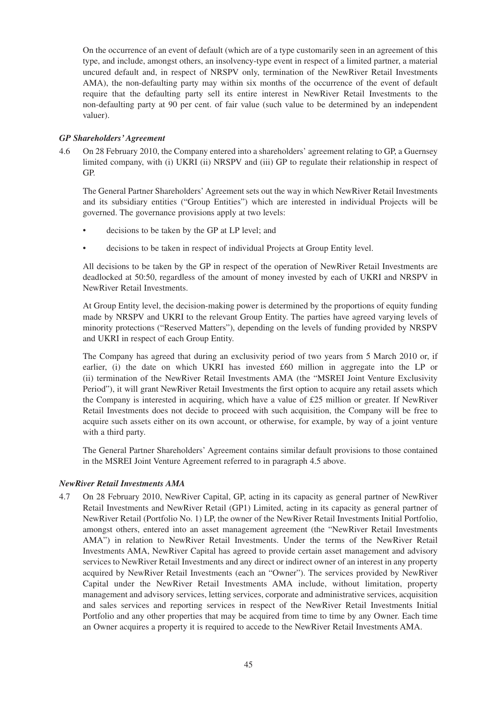On the occurrence of an event of default (which are of a type customarily seen in an agreement of this type, and include, amongst others, an insolvency-type event in respect of a limited partner, a material uncured default and, in respect of NRSPV only, termination of the NewRiver Retail Investments AMA), the non-defaulting party may within six months of the occurrence of the event of default require that the defaulting party sell its entire interest in NewRiver Retail Investments to the non-defaulting party at 90 per cent. of fair value (such value to be determined by an independent valuer).

## *GP Shareholders'Agreement*

4.6 On 28 February 2010, the Company entered into a shareholders' agreement relating to GP, a Guernsey limited company, with (i) UKRI (ii) NRSPV and (iii) GP to regulate their relationship in respect of GP.

The General Partner Shareholders' Agreement sets out the way in which NewRiver Retail Investments and its subsidiary entities ("Group Entities") which are interested in individual Projects will be governed. The governance provisions apply at two levels:

- decisions to be taken by the GP at LP level; and
- decisions to be taken in respect of individual Projects at Group Entity level.

All decisions to be taken by the GP in respect of the operation of NewRiver Retail Investments are deadlocked at 50:50, regardless of the amount of money invested by each of UKRI and NRSPV in NewRiver Retail Investments.

At Group Entity level, the decision-making power is determined by the proportions of equity funding made by NRSPV and UKRI to the relevant Group Entity. The parties have agreed varying levels of minority protections ("Reserved Matters"), depending on the levels of funding provided by NRSPV and UKRI in respect of each Group Entity.

The Company has agreed that during an exclusivity period of two years from 5 March 2010 or, if earlier, (i) the date on which UKRI has invested £60 million in aggregate into the LP or (ii) termination of the NewRiver Retail Investments AMA (the "MSREI Joint Venture Exclusivity Period"), it will grant NewRiver Retail Investments the first option to acquire any retail assets which the Company is interested in acquiring, which have a value of £25 million or greater. If NewRiver Retail Investments does not decide to proceed with such acquisition, the Company will be free to acquire such assets either on its own account, or otherwise, for example, by way of a joint venture with a third party.

The General Partner Shareholders' Agreement contains similar default provisions to those contained in the MSREI Joint Venture Agreement referred to in paragraph 4.5 above.

## *NewRiver Retail Investments AMA*

4.7 On 28 February 2010, NewRiver Capital, GP, acting in its capacity as general partner of NewRiver Retail Investments and NewRiver Retail (GP1) Limited, acting in its capacity as general partner of NewRiver Retail (Portfolio No. 1) LP, the owner of the NewRiver Retail Investments Initial Portfolio, amongst others, entered into an asset management agreement (the "NewRiver Retail Investments AMA") in relation to NewRiver Retail Investments. Under the terms of the NewRiver Retail Investments AMA, NewRiver Capital has agreed to provide certain asset management and advisory services to NewRiver Retail Investments and any direct or indirect owner of an interest in any property acquired by NewRiver Retail Investments (each an "Owner"). The services provided by NewRiver Capital under the NewRiver Retail Investments AMA include, without limitation, property management and advisory services, letting services, corporate and administrative services, acquisition and sales services and reporting services in respect of the NewRiver Retail Investments Initial Portfolio and any other properties that may be acquired from time to time by any Owner. Each time an Owner acquires a property it is required to accede to the NewRiver Retail Investments AMA.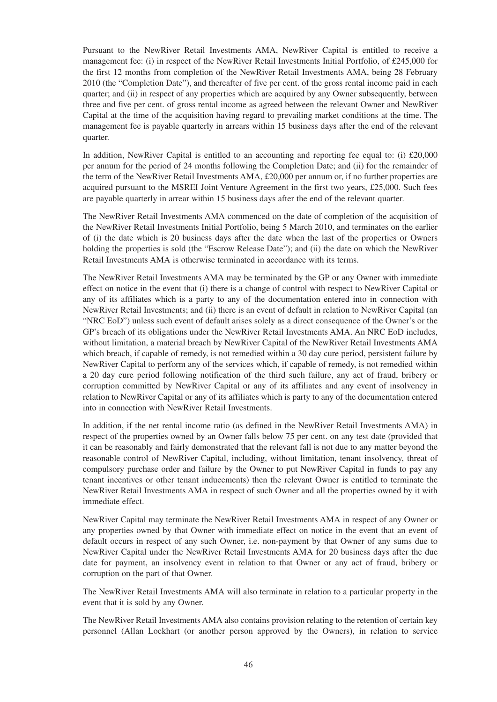Pursuant to the NewRiver Retail Investments AMA, NewRiver Capital is entitled to receive a management fee: (i) in respect of the NewRiver Retail Investments Initial Portfolio, of £245,000 for the first 12 months from completion of the NewRiver Retail Investments AMA, being 28 February 2010 (the "Completion Date"), and thereafter of five per cent. of the gross rental income paid in each quarter; and (ii) in respect of any properties which are acquired by any Owner subsequently, between three and five per cent. of gross rental income as agreed between the relevant Owner and NewRiver Capital at the time of the acquisition having regard to prevailing market conditions at the time. The management fee is payable quarterly in arrears within 15 business days after the end of the relevant quarter.

In addition, NewRiver Capital is entitled to an accounting and reporting fee equal to: (i)  $\text{\pounds}20,000$ per annum for the period of 24 months following the Completion Date; and (ii) for the remainder of the term of the NewRiver Retail Investments AMA, £20,000 per annum or, if no further properties are acquired pursuant to the MSREI Joint Venture Agreement in the first two years, £25,000. Such fees are payable quarterly in arrear within 15 business days after the end of the relevant quarter.

The NewRiver Retail Investments AMA commenced on the date of completion of the acquisition of the NewRiver Retail Investments Initial Portfolio, being 5 March 2010, and terminates on the earlier of (i) the date which is 20 business days after the date when the last of the properties or Owners holding the properties is sold (the "Escrow Release Date"); and (ii) the date on which the NewRiver Retail Investments AMA is otherwise terminated in accordance with its terms.

The NewRiver Retail Investments AMA may be terminated by the GP or any Owner with immediate effect on notice in the event that (i) there is a change of control with respect to NewRiver Capital or any of its affiliates which is a party to any of the documentation entered into in connection with NewRiver Retail Investments; and (ii) there is an event of default in relation to NewRiver Capital (an "NRC EoD") unless such event of default arises solely as a direct consequence of the Owner's or the GP's breach of its obligations under the NewRiver Retail Investments AMA. An NRC EoD includes, without limitation, a material breach by NewRiver Capital of the NewRiver Retail Investments AMA which breach, if capable of remedy, is not remedied within a 30 day cure period, persistent failure by NewRiver Capital to perform any of the services which, if capable of remedy, is not remedied within a 20 day cure period following notification of the third such failure, any act of fraud, bribery or corruption committed by NewRiver Capital or any of its affiliates and any event of insolvency in relation to NewRiver Capital or any of its affiliates which is party to any of the documentation entered into in connection with NewRiver Retail Investments.

In addition, if the net rental income ratio (as defined in the NewRiver Retail Investments AMA) in respect of the properties owned by an Owner falls below 75 per cent. on any test date (provided that it can be reasonably and fairly demonstrated that the relevant fall is not due to any matter beyond the reasonable control of NewRiver Capital, including, without limitation, tenant insolvency, threat of compulsory purchase order and failure by the Owner to put NewRiver Capital in funds to pay any tenant incentives or other tenant inducements) then the relevant Owner is entitled to terminate the NewRiver Retail Investments AMA in respect of such Owner and all the properties owned by it with immediate effect.

NewRiver Capital may terminate the NewRiver Retail Investments AMA in respect of any Owner or any properties owned by that Owner with immediate effect on notice in the event that an event of default occurs in respect of any such Owner, i.e. non-payment by that Owner of any sums due to NewRiver Capital under the NewRiver Retail Investments AMA for 20 business days after the due date for payment, an insolvency event in relation to that Owner or any act of fraud, bribery or corruption on the part of that Owner.

The NewRiver Retail Investments AMA will also terminate in relation to a particular property in the event that it is sold by any Owner.

The NewRiver Retail Investments AMA also contains provision relating to the retention of certain key personnel (Allan Lockhart (or another person approved by the Owners), in relation to service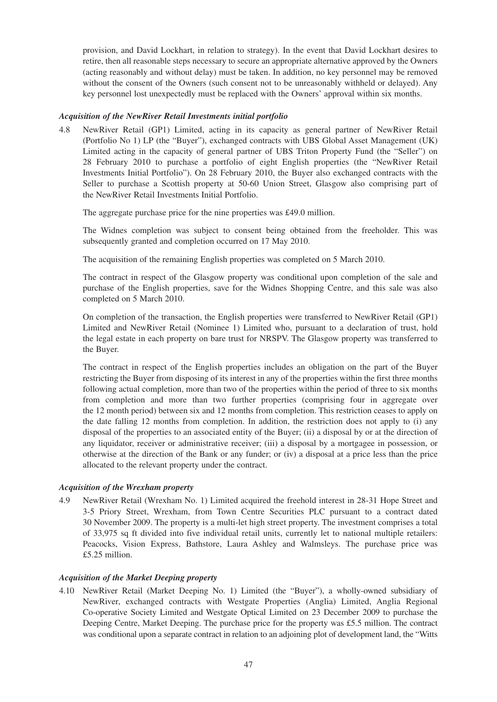provision, and David Lockhart, in relation to strategy). In the event that David Lockhart desires to retire, then all reasonable steps necessary to secure an appropriate alternative approved by the Owners (acting reasonably and without delay) must be taken. In addition, no key personnel may be removed without the consent of the Owners (such consent not to be unreasonably withheld or delayed). Any key personnel lost unexpectedly must be replaced with the Owners' approval within six months.

### *Acquisition of the NewRiver Retail Investments initial portfolio*

4.8 NewRiver Retail (GP1) Limited, acting in its capacity as general partner of NewRiver Retail (Portfolio No 1) LP (the "Buyer"), exchanged contracts with UBS Global Asset Management (UK) Limited acting in the capacity of general partner of UBS Triton Property Fund (the "Seller") on 28 February 2010 to purchase a portfolio of eight English properties (the "NewRiver Retail Investments Initial Portfolio"). On 28 February 2010, the Buyer also exchanged contracts with the Seller to purchase a Scottish property at 50-60 Union Street, Glasgow also comprising part of the NewRiver Retail Investments Initial Portfolio.

The aggregate purchase price for the nine properties was £49.0 million.

The Widnes completion was subject to consent being obtained from the freeholder. This was subsequently granted and completion occurred on 17 May 2010.

The acquisition of the remaining English properties was completed on 5 March 2010.

The contract in respect of the Glasgow property was conditional upon completion of the sale and purchase of the English properties, save for the Widnes Shopping Centre, and this sale was also completed on 5 March 2010.

On completion of the transaction, the English properties were transferred to NewRiver Retail (GP1) Limited and NewRiver Retail (Nominee 1) Limited who, pursuant to a declaration of trust, hold the legal estate in each property on bare trust for NRSPV. The Glasgow property was transferred to the Buyer.

The contract in respect of the English properties includes an obligation on the part of the Buyer restricting the Buyer from disposing of its interest in any of the properties within the first three months following actual completion, more than two of the properties within the period of three to six months from completion and more than two further properties (comprising four in aggregate over the 12 month period) between six and 12 months from completion. This restriction ceases to apply on the date falling 12 months from completion. In addition, the restriction does not apply to (i) any disposal of the properties to an associated entity of the Buyer; (ii) a disposal by or at the direction of any liquidator, receiver or administrative receiver; (iii) a disposal by a mortgagee in possession, or otherwise at the direction of the Bank or any funder; or (iv) a disposal at a price less than the price allocated to the relevant property under the contract.

## *Acquisition of the Wrexham property*

4.9 NewRiver Retail (Wrexham No. 1) Limited acquired the freehold interest in 28-31 Hope Street and 3-5 Priory Street, Wrexham, from Town Centre Securities PLC pursuant to a contract dated 30 November 2009. The property is a multi-let high street property. The investment comprises a total of 33,975 sq ft divided into five individual retail units, currently let to national multiple retailers: Peacocks, Vision Express, Bathstore, Laura Ashley and Walmsleys. The purchase price was £5.25 million.

## *Acquisition of the Market Deeping property*

4.10 NewRiver Retail (Market Deeping No. 1) Limited (the "Buyer"), a wholly-owned subsidiary of NewRiver, exchanged contracts with Westgate Properties (Anglia) Limited, Anglia Regional Co-operative Society Limited and Westgate Optical Limited on 23 December 2009 to purchase the Deeping Centre, Market Deeping. The purchase price for the property was £5.5 million. The contract was conditional upon a separate contract in relation to an adjoining plot of development land, the "Witts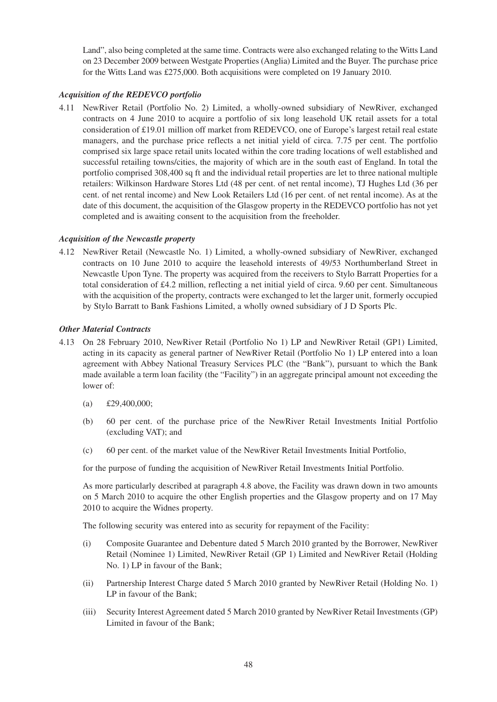Land", also being completed at the same time. Contracts were also exchanged relating to the Witts Land on 23 December 2009 between Westgate Properties (Anglia) Limited and the Buyer. The purchase price for the Witts Land was £275,000. Both acquisitions were completed on 19 January 2010.

## *Acquisition of the REDEVCO portfolio*

4.11 NewRiver Retail (Portfolio No. 2) Limited, a wholly-owned subsidiary of NewRiver, exchanged contracts on 4 June 2010 to acquire a portfolio of six long leasehold UK retail assets for a total consideration of £19.01 million off market from REDEVCO, one of Europe's largest retail real estate managers, and the purchase price reflects a net initial yield of circa. 7.75 per cent. The portfolio comprised six large space retail units located within the core trading locations of well established and successful retailing towns/cities, the majority of which are in the south east of England. In total the portfolio comprised 308,400 sq ft and the individual retail properties are let to three national multiple retailers: Wilkinson Hardware Stores Ltd (48 per cent. of net rental income), TJ Hughes Ltd (36 per cent. of net rental income) and New Look Retailers Ltd (16 per cent. of net rental income). As at the date of this document, the acquisition of the Glasgow property in the REDEVCO portfolio has not yet completed and is awaiting consent to the acquisition from the freeholder.

## *Acquisition of the Newcastle property*

4.12 NewRiver Retail (Newcastle No. 1) Limited, a wholly-owned subsidiary of NewRiver, exchanged contracts on 10 June 2010 to acquire the leasehold interests of 49/53 Northumberland Street in Newcastle Upon Tyne. The property was acquired from the receivers to Stylo Barratt Properties for a total consideration of £4.2 million, reflecting a net initial yield of circa. 9.60 per cent. Simultaneous with the acquisition of the property, contracts were exchanged to let the larger unit, formerly occupied by Stylo Barratt to Bank Fashions Limited, a wholly owned subsidiary of J D Sports Plc.

## *Other Material Contracts*

- 4.13 On 28 February 2010, NewRiver Retail (Portfolio No 1) LP and NewRiver Retail (GP1) Limited, acting in its capacity as general partner of NewRiver Retail (Portfolio No 1) LP entered into a loan agreement with Abbey National Treasury Services PLC (the "Bank"), pursuant to which the Bank made available a term loan facility (the "Facility") in an aggregate principal amount not exceeding the lower of:
	- (a) £29,400,000;
	- (b) 60 per cent. of the purchase price of the NewRiver Retail Investments Initial Portfolio (excluding VAT); and
	- (c) 60 per cent. of the market value of the NewRiver Retail Investments Initial Portfolio,

for the purpose of funding the acquisition of NewRiver Retail Investments Initial Portfolio.

As more particularly described at paragraph 4.8 above, the Facility was drawn down in two amounts on 5 March 2010 to acquire the other English properties and the Glasgow property and on 17 May 2010 to acquire the Widnes property.

The following security was entered into as security for repayment of the Facility:

- (i) Composite Guarantee and Debenture dated 5 March 2010 granted by the Borrower, NewRiver Retail (Nominee 1) Limited, NewRiver Retail (GP 1) Limited and NewRiver Retail (Holding No. 1) LP in favour of the Bank;
- (ii) Partnership Interest Charge dated 5 March 2010 granted by NewRiver Retail (Holding No. 1) LP in favour of the Bank;
- (iii) Security Interest Agreement dated 5 March 2010 granted by NewRiver Retail Investments (GP) Limited in favour of the Bank;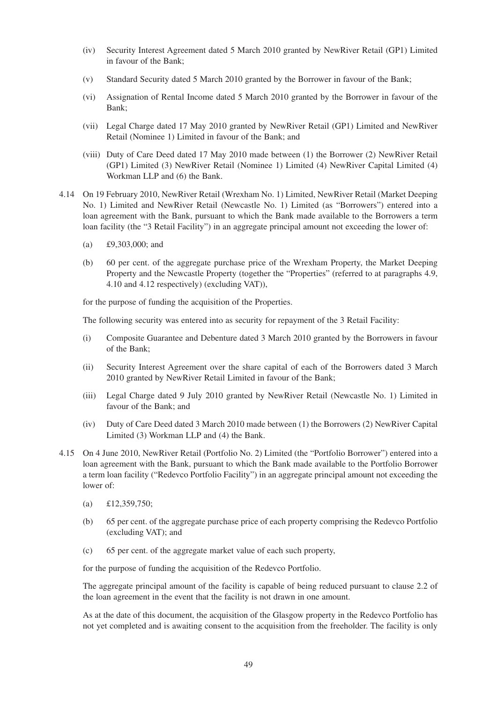- (iv) Security Interest Agreement dated 5 March 2010 granted by NewRiver Retail (GP1) Limited in favour of the Bank;
- (v) Standard Security dated 5 March 2010 granted by the Borrower in favour of the Bank;
- (vi) Assignation of Rental Income dated 5 March 2010 granted by the Borrower in favour of the Bank;
- (vii) Legal Charge dated 17 May 2010 granted by NewRiver Retail (GP1) Limited and NewRiver Retail (Nominee 1) Limited in favour of the Bank; and
- (viii) Duty of Care Deed dated 17 May 2010 made between (1) the Borrower (2) NewRiver Retail (GP1) Limited (3) NewRiver Retail (Nominee 1) Limited (4) NewRiver Capital Limited (4) Workman LLP and (6) the Bank.
- 4.14 On 19 February 2010, NewRiver Retail (Wrexham No. 1) Limited, NewRiver Retail (Market Deeping No. 1) Limited and NewRiver Retail (Newcastle No. 1) Limited (as "Borrowers") entered into a loan agreement with the Bank, pursuant to which the Bank made available to the Borrowers a term loan facility (the "3 Retail Facility") in an aggregate principal amount not exceeding the lower of:
	- (a) £9,303,000; and
	- (b) 60 per cent. of the aggregate purchase price of the Wrexham Property, the Market Deeping Property and the Newcastle Property (together the "Properties" (referred to at paragraphs 4.9, 4.10 and 4.12 respectively) (excluding VAT)),

for the purpose of funding the acquisition of the Properties.

The following security was entered into as security for repayment of the 3 Retail Facility:

- (i) Composite Guarantee and Debenture dated 3 March 2010 granted by the Borrowers in favour of the Bank;
- (ii) Security Interest Agreement over the share capital of each of the Borrowers dated 3 March 2010 granted by NewRiver Retail Limited in favour of the Bank;
- (iii) Legal Charge dated 9 July 2010 granted by NewRiver Retail (Newcastle No. 1) Limited in favour of the Bank; and
- (iv) Duty of Care Deed dated 3 March 2010 made between (1) the Borrowers (2) NewRiver Capital Limited (3) Workman LLP and (4) the Bank.
- 4.15 On 4 June 2010, NewRiver Retail (Portfolio No. 2) Limited (the "Portfolio Borrower") entered into a loan agreement with the Bank, pursuant to which the Bank made available to the Portfolio Borrower a term loan facility ("Redevco Portfolio Facility") in an aggregate principal amount not exceeding the lower of:
	- (a) £12,359,750;
	- (b) 65 per cent. of the aggregate purchase price of each property comprising the Redevco Portfolio (excluding VAT); and
	- (c) 65 per cent. of the aggregate market value of each such property,

for the purpose of funding the acquisition of the Redevco Portfolio.

The aggregate principal amount of the facility is capable of being reduced pursuant to clause 2.2 of the loan agreement in the event that the facility is not drawn in one amount.

As at the date of this document, the acquisition of the Glasgow property in the Redevco Portfolio has not yet completed and is awaiting consent to the acquisition from the freeholder. The facility is only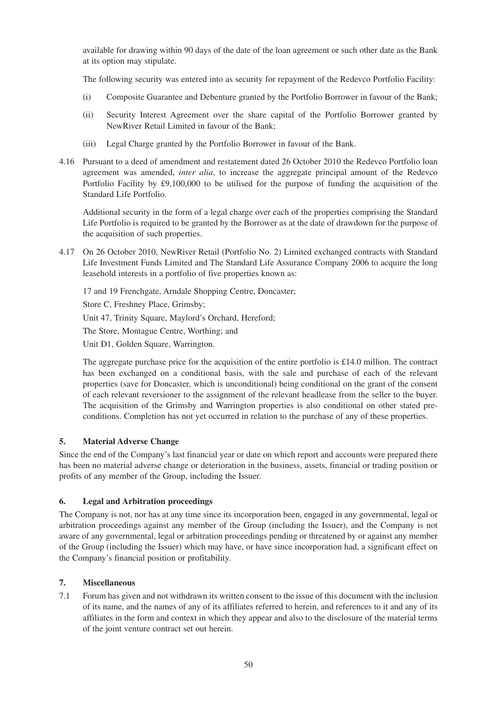available for drawing within 90 days of the date of the loan agreement or such other date as the Bank at its option may stipulate.

The following security was entered into as security for repayment of the Redevco Portfolio Facility:

- (i) Composite Guarantee and Debenture granted by the Portfolio Borrower in favour of the Bank;
- (ii) Security Interest Agreement over the share capital of the Portfolio Borrower granted by NewRiver Retail Limited in favour of the Bank;
- (iii) Legal Charge granted by the Portfolio Borrower in favour of the Bank.
- 4.16 Pursuant to a deed of amendment and restatement dated 26 October 2010 the Redevco Portfolio loan agreement was amended, *inter alia*, to increase the aggregate principal amount of the Redevco Portfolio Facility by £9,100,000 to be utilised for the purpose of funding the acquisition of the Standard Life Portfolio.

Additional security in the form of a legal charge over each of the properties comprising the Standard Life Portfolio is required to be granted by the Borrower as at the date of drawdown for the purpose of the acquisition of such properties.

4.17 On 26 October 2010, NewRiver Retail (Portfolio No. 2) Limited exchanged contracts with Standard Life Investment Funds Limited and The Standard Life Assurance Company 2006 to acquire the long leasehold interests in a portfolio of five properties known as:

17 and 19 Frenchgate, Arndale Shopping Centre, Doncaster; Store C, Freshney Place, Grimsby; Unit 47, Trinity Square, Maylord's Orchard, Hereford; The Store, Montague Centre, Worthing; and Unit D1, Golden Square, Warrington.

The aggregate purchase price for the acquisition of the entire portfolio is £14.0 million. The contract has been exchanged on a conditional basis, with the sale and purchase of each of the relevant properties (save for Doncaster, which is unconditional) being conditional on the grant of the consent of each relevant reversioner to the assignment of the relevant headlease from the seller to the buyer. The acquisition of the Grimsby and Warrington properties is also conditional on other stated preconditions. Completion has not yet occurred in relation to the purchase of any of these properties.

## **5. Material Adverse Change**

Since the end of the Company's last financial year or date on which report and accounts were prepared there has been no material adverse change or deterioration in the business, assets, financial or trading position or profits of any member of the Group, including the Issuer.

## **6. Legal and Arbitration proceedings**

The Company is not, nor has at any time since its incorporation been, engaged in any governmental, legal or arbitration proceedings against any member of the Group (including the Issuer), and the Company is not aware of any governmental, legal or arbitration proceedings pending or threatened by or against any member of the Group (including the Issuer) which may have, or have since incorporation had, a significant effect on the Company's financial position or profitability.

## **7. Miscellaneous**

7.1 Forum has given and not withdrawn its written consent to the issue of this document with the inclusion of its name, and the names of any of its affiliates referred to herein, and references to it and any of its affiliates in the form and context in which they appear and also to the disclosure of the material terms of the joint venture contract set out herein.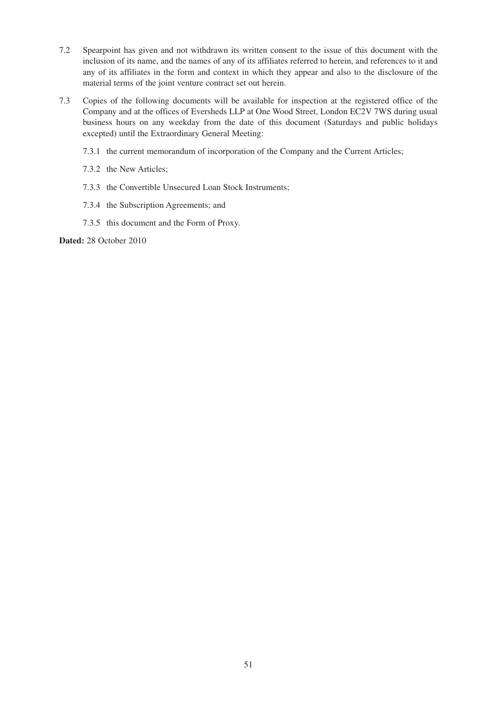- 7.2 Spearpoint has given and not withdrawn its written consent to the issue of this document with the inclusion of its name, and the names of any of its affiliates referred to herein, and references to it and any of its affiliates in the form and context in which they appear and also to the disclosure of the material terms of the joint venture contract set out herein.
- 7.3 Copies of the following documents will be available for inspection at the registered office of the Company and at the offices of Eversheds LLP at One Wood Street, London EC2V 7WS during usual business hours on any weekday from the date of this document (Saturdays and public holidays excepted) until the Extraordinary General Meeting:
	- 7.3.1 the current memorandum of incorporation of the Company and the Current Articles;
	- 7.3.2 the New Articles;
	- 7.3.3 the Convertible Unsecured Loan Stock Instruments;
	- 7.3.4 the Subscription Agreements; and
	- 7.3.5 this document and the Form of Proxy.

**Dated:** 28 October 2010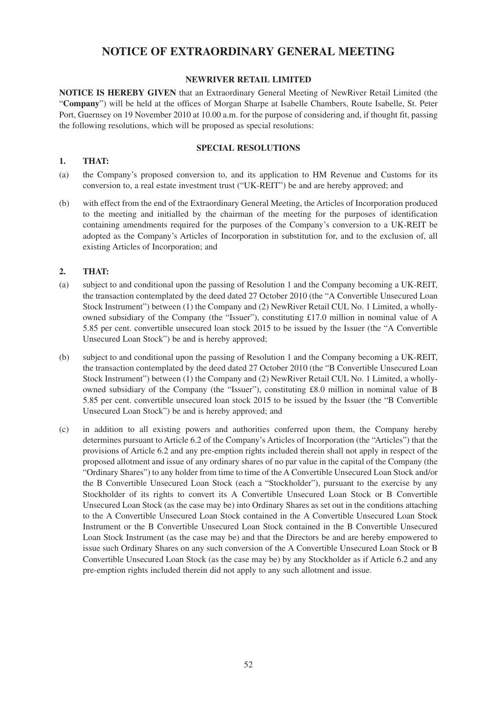## **NOTICE OF EXTRAORDINARY GENERAL MEETING**

## **NEWRIVER RETAIL LIMITED**

**NOTICE IS HEREBY GIVEN** that an Extraordinary General Meeting of NewRiver Retail Limited (the "**Company**") will be held at the offices of Morgan Sharpe at Isabelle Chambers, Route Isabelle, St. Peter Port, Guernsey on 19 November 2010 at 10.00 a.m. for the purpose of considering and, if thought fit, passing the following resolutions, which will be proposed as special resolutions:

#### **SPECIAL RESOLUTIONS**

## **1. THAT:**

- (a) the Company's proposed conversion to, and its application to HM Revenue and Customs for its conversion to, a real estate investment trust ("UK-REIT") be and are hereby approved; and
- (b) with effect from the end of the Extraordinary General Meeting, the Articles of Incorporation produced to the meeting and initialled by the chairman of the meeting for the purposes of identification containing amendments required for the purposes of the Company's conversion to a UK-REIT be adopted as the Company's Articles of Incorporation in substitution for, and to the exclusion of, all existing Articles of Incorporation; and

## **2. THAT:**

- (a) subject to and conditional upon the passing of Resolution 1 and the Company becoming a UK-REIT, the transaction contemplated by the deed dated 27 October 2010 (the "A Convertible Unsecured Loan Stock Instrument") between (1) the Company and (2) NewRiver Retail CUL No. 1 Limited, a whollyowned subsidiary of the Company (the "Issuer"), constituting £17.0 million in nominal value of A 5.85 per cent. convertible unsecured loan stock 2015 to be issued by the Issuer (the "A Convertible Unsecured Loan Stock") be and is hereby approved;
- (b) subject to and conditional upon the passing of Resolution 1 and the Company becoming a UK-REIT, the transaction contemplated by the deed dated 27 October 2010 (the "B Convertible Unsecured Loan Stock Instrument") between (1) the Company and (2) NewRiver Retail CUL No. 1 Limited, a whollyowned subsidiary of the Company (the "Issuer"), constituting £8.0 million in nominal value of B 5.85 per cent. convertible unsecured loan stock 2015 to be issued by the Issuer (the "B Convertible Unsecured Loan Stock") be and is hereby approved; and
- (c) in addition to all existing powers and authorities conferred upon them, the Company hereby determines pursuant to Article 6.2 of the Company's Articles of Incorporation (the "Articles") that the provisions of Article 6.2 and any pre-emption rights included therein shall not apply in respect of the proposed allotment and issue of any ordinary shares of no par value in the capital of the Company (the "Ordinary Shares") to any holder from time to time of the A Convertible Unsecured Loan Stock and/or the B Convertible Unsecured Loan Stock (each a "Stockholder"), pursuant to the exercise by any Stockholder of its rights to convert its A Convertible Unsecured Loan Stock or B Convertible Unsecured Loan Stock (as the case may be) into Ordinary Shares as set out in the conditions attaching to the A Convertible Unsecured Loan Stock contained in the A Convertible Unsecured Loan Stock Instrument or the B Convertible Unsecured Loan Stock contained in the B Convertible Unsecured Loan Stock Instrument (as the case may be) and that the Directors be and are hereby empowered to issue such Ordinary Shares on any such conversion of the A Convertible Unsecured Loan Stock or B Convertible Unsecured Loan Stock (as the case may be) by any Stockholder as if Article 6.2 and any pre-emption rights included therein did not apply to any such allotment and issue.